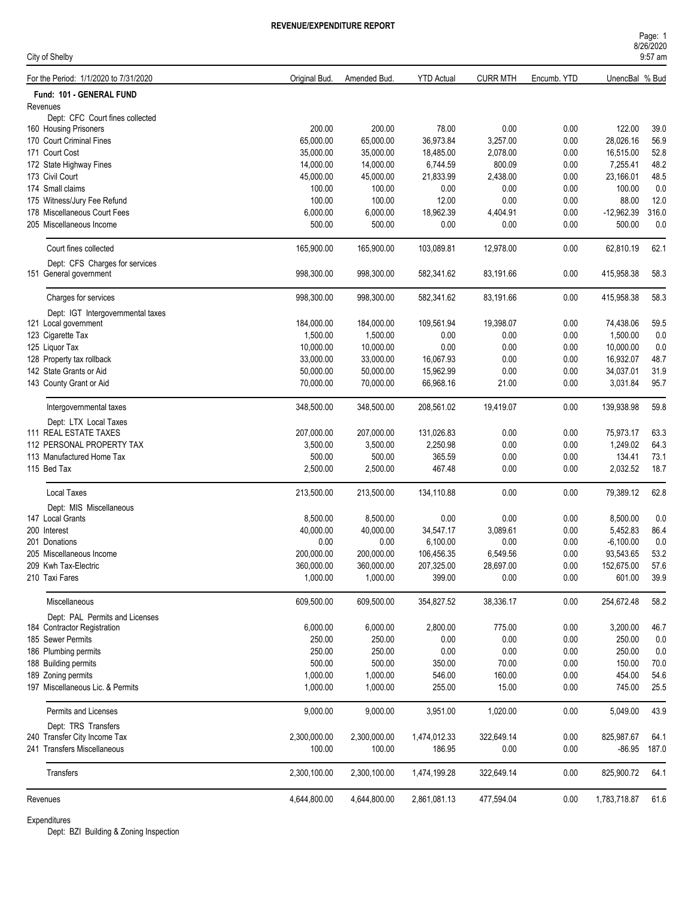| Page: 1   |  |
|-----------|--|
| 8/26/2020 |  |
| $9:57$ am |  |

| City of Shelby                        |               |              |                   |                 |             |                | 9:57 am |
|---------------------------------------|---------------|--------------|-------------------|-----------------|-------------|----------------|---------|
| For the Period: 1/1/2020 to 7/31/2020 | Original Bud. | Amended Bud. | <b>YTD Actual</b> | <b>CURR MTH</b> | Encumb. YTD | UnencBal % Bud |         |
| Fund: 101 - GENERAL FUND              |               |              |                   |                 |             |                |         |
| Revenues                              |               |              |                   |                 |             |                |         |
| Dept: CFC Court fines collected       |               |              |                   |                 |             |                |         |
| 160 Housing Prisoners                 | 200.00        | 200.00       | 78.00             | 0.00            | 0.00        | 122.00         | 39.0    |
| 170 Court Criminal Fines              | 65,000.00     | 65,000.00    | 36,973.84         | 3,257.00        | 0.00        | 28,026.16      | 56.9    |
| 171 Court Cost                        | 35,000.00     | 35,000.00    | 18,485.00         | 2,078.00        | 0.00        | 16,515.00      | 52.8    |
| 172 State Highway Fines               | 14,000.00     | 14,000.00    | 6,744.59          | 800.09          | 0.00        | 7,255.41       | 48.2    |
| 173 Civil Court                       | 45.000.00     | 45,000.00    | 21,833.99         | 2,438.00        | 0.00        | 23,166.01      | 48.5    |
| 174 Small claims                      | 100.00        | 100.00       | 0.00              | 0.00            | 0.00        | 100.00         | 0.0     |
| 175 Witness/Jury Fee Refund           | 100.00        | 100.00       | 12.00             | 0.00            | 0.00        | 88.00          | 12.0    |
| 178 Miscellaneous Court Fees          | 6,000.00      | 6,000.00     | 18,962.39         | 4,404.91        | 0.00        | $-12,962.39$   | 316.0   |
| 205 Miscellaneous Income              | 500.00        | 500.00       | 0.00              | 0.00            | 0.00        | 500.00         | 0.0     |
| Court fines collected                 | 165,900.00    | 165,900.00   | 103,089.81        | 12,978.00       | 0.00        | 62,810.19      | 62.1    |
| Dept: CFS Charges for services        |               |              |                   |                 |             |                |         |
| 151 General government                | 998,300.00    | 998,300.00   | 582,341.62        | 83,191.66       | 0.00        | 415,958.38     | 58.3    |
| Charges for services                  | 998,300.00    | 998,300.00   | 582,341.62        | 83,191.66       | 0.00        | 415,958.38     | 58.3    |
| Dept: IGT Intergovernmental taxes     |               |              |                   |                 |             |                |         |
| 121 Local government                  | 184,000.00    | 184,000.00   | 109,561.94        | 19,398.07       | 0.00        | 74,438.06      | 59.5    |
| 123 Cigarette Tax                     | 1,500.00      | 1,500.00     | 0.00              | 0.00            | 0.00        | 1,500.00       | 0.0     |
| 125 Liquor Tax                        | 10,000.00     | 10,000.00    | 0.00              | 0.00            | 0.00        | 10.000.00      | 0.0     |
| 128 Property tax rollback             | 33,000.00     | 33,000.00    | 16,067.93         | 0.00            | 0.00        | 16,932.07      | 48.7    |
| 142 State Grants or Aid               | 50,000.00     | 50,000.00    | 15,962.99         | 0.00            | 0.00        | 34,037.01      | 31.9    |
| 143 County Grant or Aid               | 70,000.00     | 70,000.00    | 66,968.16         | 21.00           | 0.00        | 3,031.84       | 95.7    |
| Intergovernmental taxes               | 348,500.00    | 348,500.00   | 208,561.02        | 19,419.07       | 0.00        | 139,938.98     | 59.8    |
| Dept: LTX Local Taxes                 |               |              |                   |                 |             |                |         |
| 111 REAL ESTATE TAXES                 | 207,000.00    | 207,000.00   | 131,026.83        | 0.00            | 0.00        | 75,973.17      | 63.3    |
| 112 PERSONAL PROPERTY TAX             | 3,500.00      | 3,500.00     | 2,250.98          | 0.00            | 0.00        | 1,249.02       | 64.3    |
| 113 Manufactured Home Tax             | 500.00        | 500.00       | 365.59            | 0.00            | 0.00        | 134.41         | 73.1    |
| 115 Bed Tax                           | 2,500.00      | 2,500.00     | 467.48            | 0.00            | 0.00        | 2,032.52       | 18.7    |
|                                       |               |              |                   |                 |             |                |         |
| <b>Local Taxes</b>                    | 213,500.00    | 213,500.00   | 134,110.88        | 0.00            | 0.00        | 79,389.12      | 62.8    |
| Dept: MIS Miscellaneous               |               |              |                   |                 |             |                |         |
| 147 Local Grants                      | 8,500.00      | 8,500.00     | 0.00              | 0.00            | 0.00        | 8,500.00       | 0.0     |
| 200 Interest                          | 40,000.00     | 40,000.00    | 34,547.17         | 3,089.61        | 0.00        | 5,452.83       | 86.4    |
| 201 Donations                         | 0.00          | 0.00         | 6,100.00          | 0.00            | 0.00        | $-6,100.00$    | 0.0     |
| 205 Miscellaneous Income              | 200,000.00    | 200,000.00   | 106,456.35        | 6.549.56        | 0.00        | 93,543.65      | 53.2    |
| 209 Kwh Tax-Electric                  | 360,000.00    | 360,000.00   | 207,325.00        | 28,697.00       | 0.00        | 152,675.00     | 57.6    |
| 210 Taxi Fares                        | 1,000.00      | 1,000.00     | 399.00            | 0.00            | 0.00        | 601.00         | 39.9    |
| Miscellaneous                         | 609,500.00    | 609,500.00   | 354,827.52        | 38,336.17       | 0.00        | 254,672.48     | 58.2    |
| Dept: PAL Permits and Licenses        |               |              |                   |                 |             |                |         |
| 184 Contractor Registration           | 6,000.00      | 6,000.00     | 2,800.00          | 775.00          | 0.00        | 3,200.00       | 46.7    |
| 185 Sewer Permits                     | 250.00        | 250.00       | 0.00              | 0.00            | 0.00        | 250.00         | 0.0     |
| 186 Plumbing permits                  | 250.00        | 250.00       | 0.00              | 0.00            | 0.00        | 250.00         | 0.0     |
| 188 Building permits                  | 500.00        | 500.00       | 350.00            | 70.00           | 0.00        | 150.00         | 70.0    |
| 189 Zoning permits                    | 1,000.00      | 1,000.00     | 546.00            | 160.00          | 0.00        | 454.00         | 54.6    |
| 197 Miscellaneous Lic. & Permits      | 1,000.00      | 1,000.00     | 255.00            | 15.00           | 0.00        | 745.00         | 25.5    |
|                                       |               |              |                   |                 |             |                |         |
| Permits and Licenses                  | 9,000.00      | 9,000.00     | 3,951.00          | 1,020.00        | 0.00        | 5,049.00       | 43.9    |
| Dept: TRS Transfers                   |               |              |                   |                 |             |                |         |
| 240 Transfer City Income Tax          | 2,300,000.00  | 2,300,000.00 | 1,474,012.33      | 322,649.14      | 0.00        | 825,987.67     | 64.1    |
| 241 Transfers Miscellaneous           | 100.00        | 100.00       | 186.95            | 0.00            | 0.00        | $-86.95$       | 187.0   |
| Transfers                             | 2,300,100.00  | 2,300,100.00 | 1,474,199.28      | 322,649.14      | 0.00        | 825,900.72     | 64.1    |
| Revenues                              | 4,644,800.00  | 4,644,800.00 | 2,861,081.13      | 477,594.04      | 0.00        | 1,783,718.87   | 61.6    |
|                                       |               |              |                   |                 |             |                |         |

Expenditures

Dept: BZI Building & Zoning Inspection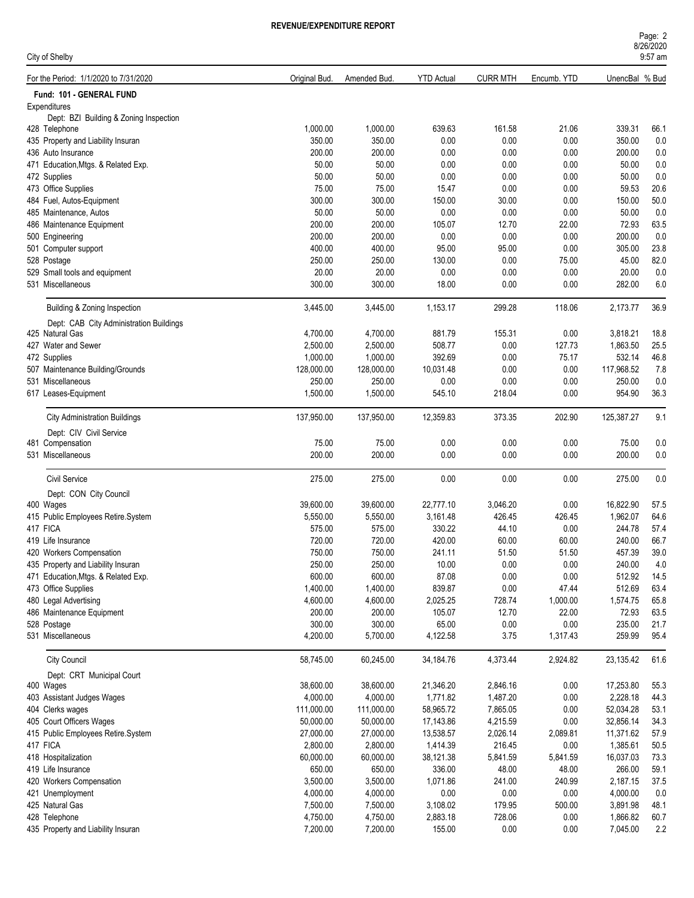| Page: 2   |  |
|-----------|--|
| 8/26/2020 |  |
| $0.57$ am |  |

| City of Shelby                                                          |                    |                    |                   |                 |               |                  | UILUILULU<br>9:57 am |
|-------------------------------------------------------------------------|--------------------|--------------------|-------------------|-----------------|---------------|------------------|----------------------|
| For the Period: 1/1/2020 to 7/31/2020                                   | Original Bud.      | Amended Bud.       | <b>YTD Actual</b> | <b>CURR MTH</b> | Encumb. YTD   | UnencBal % Bud   |                      |
| Fund: 101 - GENERAL FUND                                                |                    |                    |                   |                 |               |                  |                      |
| Expenditures                                                            |                    |                    |                   |                 |               |                  |                      |
| Dept: BZI Building & Zoning Inspection                                  |                    |                    |                   |                 |               |                  |                      |
| 428 Telephone                                                           | 1,000.00<br>350.00 | 1,000.00<br>350.00 | 639.63<br>0.00    | 161.58<br>0.00  | 21.06<br>0.00 | 339.31<br>350.00 | 66.1<br>0.0          |
| 435 Property and Liability Insuran<br>436 Auto Insurance                | 200.00             | 200.00             | 0.00              | 0.00            | 0.00          | 200.00           | 0.0                  |
| 471 Education, Mtgs. & Related Exp.                                     | 50.00              | 50.00              | 0.00              | 0.00            | 0.00          | 50.00            | 0.0                  |
| 472 Supplies                                                            | 50.00              | 50.00              | 0.00              | 0.00            | 0.00          | 50.00            | 0.0                  |
| 473 Office Supplies                                                     | 75.00              | 75.00              | 15.47             | 0.00            | 0.00          | 59.53            | 20.6                 |
| 484 Fuel, Autos-Equipment                                               | 300.00             | 300.00             | 150.00            | 30.00           | 0.00          | 150.00           | 50.0                 |
| 485 Maintenance, Autos                                                  | 50.00              | 50.00              | 0.00              | 0.00            | 0.00          | 50.00            | 0.0                  |
| 486 Maintenance Equipment                                               | 200.00             | 200.00             | 105.07            | 12.70           | 22.00         | 72.93            | 63.5                 |
| 500 Engineering                                                         | 200.00             | 200.00             | 0.00              | 0.00            | 0.00          | 200.00           | 0.0                  |
| 501 Computer support                                                    | 400.00             | 400.00             | 95.00             | 95.00           | 0.00          | 305.00           | 23.8                 |
| 528 Postage                                                             | 250.00             | 250.00             | 130.00            | 0.00            | 75.00         | 45.00            | 82.0                 |
| 529 Small tools and equipment                                           | 20.00              | 20.00              | 0.00              | 0.00            | 0.00          | 20.00            | 0.0                  |
| 531 Miscellaneous                                                       | 300.00             | 300.00             | 18.00             | 0.00            | 0.00          | 282.00           | 6.0                  |
|                                                                         |                    |                    |                   |                 |               |                  |                      |
| Building & Zoning Inspection<br>Dept: CAB City Administration Buildings | 3,445.00           | 3,445.00           | 1,153.17          | 299.28          | 118.06        | 2,173.77         | 36.9                 |
| 425 Natural Gas                                                         | 4,700.00           | 4,700.00           | 881.79            | 155.31          | 0.00          | 3,818.21         | 18.8                 |
| 427 Water and Sewer                                                     | 2,500.00           | 2,500.00           | 508.77            | 0.00            | 127.73        | 1,863.50         | 25.5                 |
| 472 Supplies                                                            | 1,000.00           | 1,000.00           | 392.69            | 0.00            | 75.17         | 532.14           | 46.8                 |
| 507 Maintenance Building/Grounds                                        | 128,000.00         | 128,000.00         | 10,031.48         | 0.00            | 0.00          | 117,968.52       | 7.8                  |
| 531 Miscellaneous                                                       | 250.00             | 250.00             | 0.00              | 0.00            | 0.00          | 250.00           | 0.0                  |
| 617 Leases-Equipment                                                    | 1,500.00           | 1,500.00           | 545.10            | 218.04          | 0.00          | 954.90           | 36.3                 |
| <b>City Administration Buildings</b>                                    | 137,950.00         | 137,950.00         | 12,359.83         | 373.35          | 202.90        | 125,387.27       | 9.1                  |
| Dept: CIV Civil Service                                                 |                    |                    |                   |                 |               |                  |                      |
| 481 Compensation                                                        | 75.00              | 75.00              | 0.00              | 0.00            | 0.00          | 75.00            | 0.0                  |
| 531 Miscellaneous                                                       | 200.00             | 200.00             | 0.00              | 0.00            | 0.00          | 200.00           | 0.0                  |
|                                                                         |                    |                    |                   |                 |               |                  |                      |
| <b>Civil Service</b>                                                    | 275.00             | 275.00             | 0.00              | 0.00            | 0.00          | 275.00           | 0.0                  |
| Dept: CON City Council<br>400 Wages                                     | 39,600.00          | 39,600.00          | 22,777.10         | 3,046.20        | 0.00          | 16,822.90        | 57.5                 |
| 415 Public Employees Retire.System                                      | 5,550.00           | 5,550.00           | 3,161.48          | 426.45          | 426.45        | 1,962.07         | 64.6                 |
| 417 FICA                                                                | 575.00             | 575.00             | 330.22            | 44.10           | 0.00          | 244.78           | 57.4                 |
| 419 Life Insurance                                                      | 720.00             | 720.00             | 420.00            | 60.00           | 60.00         | 240.00           | 66.7                 |
| 420 Workers Compensation                                                | 750.00             | 750.00             | 241.11            | 51.50           | 51.50         | 457.39           | 39.0                 |
| 435 Property and Liability Insuran                                      | 250.00             | 250.00             | 10.00             | 0.00            | 0.00          | 240.00           | 4.0                  |
| 471 Education, Mtgs. & Related Exp.                                     | 600.00             | 600.00             | 87.08             | 0.00            | 0.00          | 512.92           | 14.5                 |
| 473 Office Supplies                                                     | 1,400.00           | 1,400.00           | 839.87            | 0.00            | 47.44         | 512.69           | 63.4                 |
| 480 Legal Advertising                                                   | 4,600.00           | 4,600.00           | 2,025.25          | 728.74          | 1,000.00      | 1,574.75         | 65.8                 |
| 486 Maintenance Equipment                                               | 200.00             | 200.00             | 105.07            | 12.70           | 22.00         | 72.93            | 63.5                 |
| 528 Postage                                                             | 300.00             | 300.00             | 65.00             | 0.00            | 0.00          | 235.00           | 21.7                 |
| 531 Miscellaneous                                                       | 4,200.00           | 5,700.00           | 4,122.58          | 3.75            | 1,317.43      | 259.99           | 95.4                 |
| <b>City Council</b>                                                     | 58,745.00          | 60,245.00          | 34,184.76         | 4,373.44        | 2,924.82      | 23,135.42        | 61.6                 |
| Dept: CRT Municipal Court                                               |                    |                    |                   |                 |               |                  |                      |
| 400 Wages                                                               | 38,600.00          | 38,600.00          | 21,346.20         | 2,846.16        | 0.00          | 17,253.80        | 55.3                 |
| 403 Assistant Judges Wages                                              | 4,000.00           | 4,000.00           | 1,771.82          | 1,487.20        | 0.00          | 2,228.18         | 44.3                 |
| 404 Clerks wages                                                        | 111,000.00         | 111,000.00         | 58,965.72         | 7,865.05        | 0.00          | 52,034.28        | 53.1                 |
| 405 Court Officers Wages                                                | 50,000.00          | 50,000.00          | 17,143.86         | 4,215.59        | 0.00          | 32,856.14        | 34.3                 |
| 415 Public Employees Retire.System                                      | 27,000.00          | 27,000.00          | 13,538.57         | 2,026.14        | 2,089.81      | 11,371.62        | 57.9                 |
| 417 FICA                                                                | 2,800.00           | 2,800.00           | 1,414.39          | 216.45          | 0.00          | 1,385.61         | 50.5                 |
| 418 Hospitalization                                                     | 60,000.00          | 60,000.00          | 38,121.38         | 5,841.59        | 5,841.59      | 16,037.03        | 73.3                 |
| 419 Life Insurance                                                      | 650.00             | 650.00             | 336.00            | 48.00           | 48.00         | 266.00           | 59.1                 |
| 420 Workers Compensation                                                | 3,500.00           | 3,500.00           | 1,071.86          | 241.00          | 240.99        | 2,187.15         | 37.5                 |
| 421 Unemployment                                                        | 4,000.00           | 4,000.00           | 0.00              | $0.00\,$        | 0.00          | 4,000.00         | 0.0                  |
| 425 Natural Gas                                                         | 7,500.00           | 7,500.00           | 3,108.02          | 179.95          | 500.00        | 3,891.98         | 48.1                 |
| 428 Telephone                                                           | 4,750.00           | 4,750.00           | 2,883.18          | 728.06          | 0.00          | 1,866.82         | 60.7                 |
| 435 Property and Liability Insuran                                      | 7,200.00           | 7,200.00           | 155.00            | $0.00\,$        | 0.00          | 7,045.00         | 2.2                  |
|                                                                         |                    |                    |                   |                 |               |                  |                      |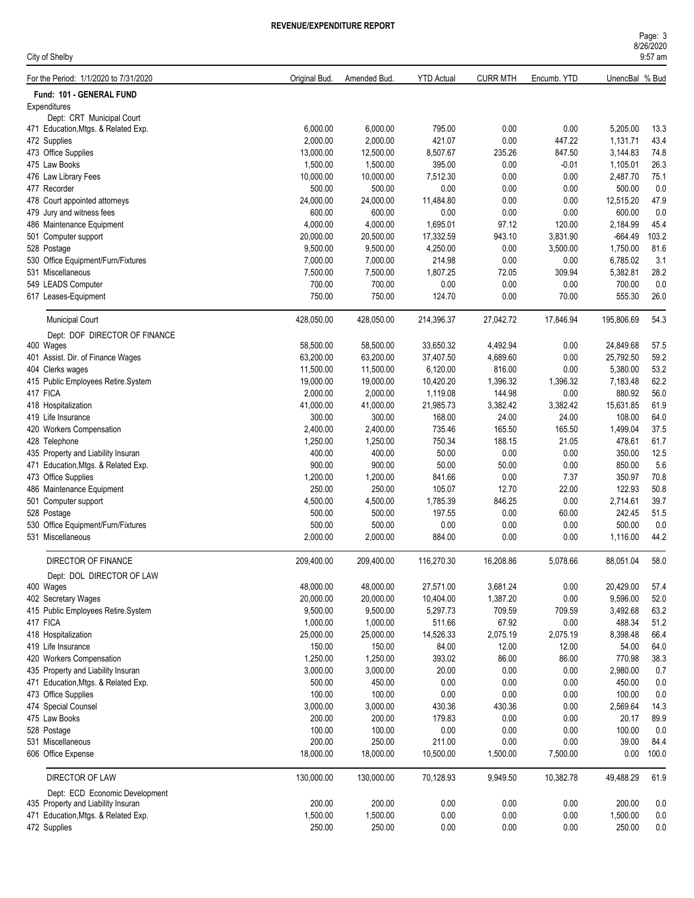| Page: 3   |  |
|-----------|--|
| 8/26/2020 |  |
| $9:57$ am |  |

| City of Shelby                                          |               |              |                   |                 |             |                | 9:57 am |
|---------------------------------------------------------|---------------|--------------|-------------------|-----------------|-------------|----------------|---------|
| For the Period: 1/1/2020 to 7/31/2020                   | Original Bud. | Amended Bud. | <b>YTD Actual</b> | <b>CURR MTH</b> | Encumb. YTD | UnencBal % Bud |         |
| Fund: 101 - GENERAL FUND                                |               |              |                   |                 |             |                |         |
| Expenditures                                            |               |              |                   |                 |             |                |         |
| Dept: CRT Municipal Court                               |               |              |                   |                 |             |                |         |
| 471 Education, Mtgs. & Related Exp.                     | 6,000.00      | 6,000.00     | 795.00            | 0.00            | 0.00        | 5,205.00       | 13.3    |
| 472 Supplies                                            | 2,000.00      | 2,000.00     | 421.07            | 0.00            | 447.22      | 1,131.71       | 43.4    |
| 473 Office Supplies                                     | 13,000.00     | 12,500.00    | 8,507.67          | 235.26          | 847.50      | 3,144.83       | 74.8    |
| 475 Law Books                                           | 1,500.00      | 1,500.00     | 395.00            | 0.00            | $-0.01$     | 1,105.01       | 26.3    |
| 476 Law Library Fees                                    | 10,000.00     | 10,000.00    | 7,512.30          | 0.00            | 0.00        | 2,487.70       | 75.1    |
| 477 Recorder                                            | 500.00        | 500.00       | 0.00              | 0.00            | 0.00        | 500.00         | 0.0     |
| 478 Court appointed attorneys                           | 24,000.00     | 24,000.00    | 11,484.80         | 0.00            | 0.00        | 12,515.20      | 47.9    |
| 479 Jury and witness fees                               | 600.00        | 600.00       | 0.00              | 0.00            | 0.00        | 600.00         | 0.0     |
| 486 Maintenance Equipment                               | 4,000.00      | 4,000.00     | 1,695.01          | 97.12           | 120.00      | 2,184.99       | 45.4    |
| 501 Computer support                                    | 20,000.00     | 20,500.00    | 17,332.59         | 943.10          | 3,831.90    | $-664.49$      | 103.2   |
| 528 Postage                                             | 9,500.00      | 9,500.00     | 4,250.00          | 0.00            | 3,500.00    | 1,750.00       | 81.6    |
| 530 Office Equipment/Furn/Fixtures                      | 7,000.00      | 7,000.00     | 214.98            | 0.00            | 0.00        | 6,785.02       | 3.1     |
| 531 Miscellaneous                                       | 7,500.00      | 7,500.00     | 1,807.25          | 72.05           | 309.94      | 5,382.81       | 28.2    |
| 549 LEADS Computer                                      | 700.00        | 700.00       | 0.00              | 0.00            | 0.00        | 700.00         | 0.0     |
| 617 Leases-Equipment                                    | 750.00        | 750.00       | 124.70            | 0.00            | 70.00       | 555.30         | 26.0    |
| <b>Municipal Court</b>                                  | 428,050.00    | 428,050.00   | 214,396.37        | 27,042.72       | 17,846.94   | 195,806.69     | 54.3    |
| Dept: DOF DIRECTOR OF FINANCE                           |               |              |                   |                 |             |                |         |
| 400 Wages                                               | 58,500.00     | 58,500.00    | 33,650.32         | 4,492.94        | 0.00        | 24,849.68      | 57.5    |
| 401 Assist. Dir. of Finance Wages                       | 63,200.00     | 63,200.00    | 37,407.50         | 4,689.60        | 0.00        | 25,792.50      | 59.2    |
| 404 Clerks wages                                        | 11,500.00     | 11,500.00    | 6,120.00          | 816.00          | 0.00        | 5,380.00       | 53.2    |
| 415 Public Employees Retire.System                      | 19,000.00     | 19,000.00    | 10,420.20         | 1,396.32        | 1,396.32    | 7,183.48       | 62.2    |
| 417 FICA                                                | 2,000.00      | 2,000.00     | 1,119.08          | 144.98          | 0.00        | 880.92         | 56.0    |
| 418 Hospitalization                                     | 41,000.00     | 41,000.00    | 21,985.73         | 3,382.42        | 3,382.42    | 15,631.85      | 61.9    |
| 419 Life Insurance                                      | 300.00        | 300.00       | 168.00            | 24.00           | 24.00       | 108.00         | 64.0    |
| 420 Workers Compensation                                | 2,400.00      | 2,400.00     | 735.46            | 165.50          | 165.50      | 1,499.04       | 37.5    |
| 428 Telephone                                           | 1,250.00      | 1,250.00     | 750.34            | 188.15          | 21.05       | 478.61         | 61.7    |
| 435 Property and Liability Insuran                      | 400.00        | 400.00       | 50.00             | 0.00            | 0.00        | 350.00         | 12.5    |
| 471 Education, Mtgs. & Related Exp.                     | 900.00        | 900.00       | 50.00             | 50.00           | 0.00        | 850.00         | 5.6     |
| 473 Office Supplies                                     | 1,200.00      | 1,200.00     | 841.66            | 0.00            | 7.37        | 350.97         | 70.8    |
| 486 Maintenance Equipment                               | 250.00        | 250.00       | 105.07            | 12.70           | 22.00       | 122.93         | 50.8    |
| 501 Computer support                                    | 4,500.00      | 4,500.00     | 1,785.39          | 846.25          | 0.00        | 2,714.61       | 39.7    |
| 528 Postage                                             | 500.00        | 500.00       | 197.55            | 0.00            | 60.00       | 242.45         | 51.5    |
|                                                         | 500.00        | 500.00       | 0.00              | 0.00            | 0.00        | 500.00         | 0.0     |
| 530 Office Equipment/Furn/Fixtures<br>531 Miscellaneous |               |              |                   |                 |             |                |         |
|                                                         | 2,000.00      | 2,000.00     | 884.00            | 0.00            | 0.00        | 1,116.00       | 44.2    |
| DIRECTOR OF FINANCE                                     | 209,400.00    | 209,400.00   | 116,270.30        | 16,208.86       | 5,078.66    | 88,051.04      | 58.0    |
| Dept: DOL DIRECTOR OF LAW                               |               |              |                   |                 |             |                |         |
| 400 Wages                                               | 48,000.00     | 48,000.00    | 27,571.00         | 3,681.24        | 0.00        | 20,429.00      | 57.4    |
| 402 Secretary Wages                                     | 20,000.00     | 20,000.00    | 10,404.00         | 1,387.20        | 0.00        | 9,596.00       | 52.0    |
| 415 Public Employees Retire.System                      | 9,500.00      | 9,500.00     | 5,297.73          | 709.59          | 709.59      | 3,492.68       | 63.2    |
| 417 FICA                                                | 1,000.00      | 1,000.00     | 511.66            | 67.92           | 0.00        | 488.34         | 51.2    |
| 418 Hospitalization                                     | 25,000.00     | 25,000.00    | 14,526.33         | 2,075.19        | 2,075.19    | 8,398.48       | 66.4    |
| 419 Life Insurance                                      | 150.00        | 150.00       | 84.00             | 12.00           | 12.00       | 54.00          | 64.0    |
| 420 Workers Compensation                                | 1,250.00      | 1,250.00     | 393.02            | 86.00           | 86.00       | 770.98         | 38.3    |
| 435 Property and Liability Insuran                      | 3,000.00      | 3,000.00     | 20.00             | 0.00            | 0.00        | 2,980.00       | 0.7     |
| 471 Education, Mtgs. & Related Exp.                     | 500.00        | 450.00       | 0.00              | 0.00            | 0.00        | 450.00         | 0.0     |
| 473 Office Supplies                                     | 100.00        | 100.00       | 0.00              | 0.00            | 0.00        | 100.00         | 0.0     |
| 474 Special Counsel                                     | 3,000.00      | 3,000.00     | 430.36            | 430.36          | 0.00        | 2,569.64       | 14.3    |
| 475 Law Books                                           | 200.00        | 200.00       | 179.83            | 0.00            | 0.00        | 20.17          | 89.9    |
| 528 Postage                                             | 100.00        | 100.00       | $0.00\,$          | 0.00            | 0.00        | 100.00         | 0.0     |
| 531 Miscellaneous                                       | 200.00        | 250.00       | 211.00            | 0.00            | 0.00        | 39.00          | 84.4    |
| 606 Office Expense                                      | 18,000.00     | 18,000.00    | 10,500.00         | 1,500.00        | 7,500.00    | 0.00           | 100.0   |
| DIRECTOR OF LAW                                         | 130,000.00    | 130,000.00   | 70,128.93         | 9,949.50        | 10,382.78   | 49,488.29      | 61.9    |
| Dept: ECD Economic Development                          |               |              |                   |                 |             |                |         |
| 435 Property and Liability Insuran                      | 200.00        | 200.00       | 0.00              | 0.00            | 0.00        | 200.00         | 0.0     |
| 471 Education, Mtgs. & Related Exp.                     | 1,500.00      | 1,500.00     | $0.00\,$          | 0.00            | 0.00        | 1,500.00       | 0.0     |
| 472 Supplies                                            | 250.00        | 250.00       | 0.00              | 0.00            | 0.00        | 250.00         | 0.0     |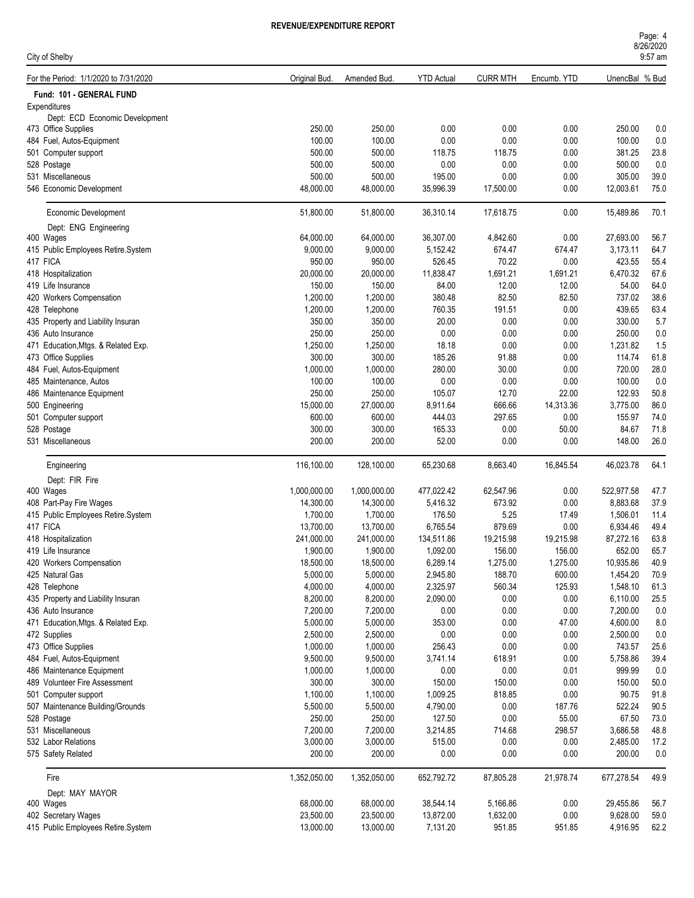| Page: 4   |  |
|-----------|--|
| 8/26/2020 |  |
| $9:57$ am |  |

| City of Shelby                        |               |              |                   |                 |             |                | 9:57 am |
|---------------------------------------|---------------|--------------|-------------------|-----------------|-------------|----------------|---------|
| For the Period: 1/1/2020 to 7/31/2020 | Original Bud. | Amended Bud. | <b>YTD Actual</b> | <b>CURR MTH</b> | Encumb. YTD | UnencBal % Bud |         |
| Fund: 101 - GENERAL FUND              |               |              |                   |                 |             |                |         |
| Expenditures                          |               |              |                   |                 |             |                |         |
| Dept: ECD Economic Development        |               |              |                   |                 |             |                |         |
| 473 Office Supplies                   | 250.00        | 250.00       | 0.00              | 0.00            | 0.00        | 250.00         | 0.0     |
| 484 Fuel, Autos-Equipment             | 100.00        | 100.00       | 0.00              | 0.00            | 0.00        | 100.00         | 0.0     |
| 501 Computer support                  | 500.00        | 500.00       | 118.75            | 118.75          | 0.00        | 381.25         | 23.8    |
| 528 Postage                           | 500.00        | 500.00       | 0.00              | 0.00            | 0.00        | 500.00         | 0.0     |
| 531 Miscellaneous                     | 500.00        | 500.00       | 195.00            | 0.00            | 0.00        | 305.00         | 39.0    |
| 546 Economic Development              | 48,000.00     | 48,000.00    | 35,996.39         | 17,500.00       | 0.00        | 12,003.61      | 75.0    |
| Economic Development                  | 51,800.00     | 51,800.00    | 36,310.14         | 17,618.75       | 0.00        | 15,489.86      | 70.1    |
| Dept: ENG Engineering                 |               |              |                   |                 |             |                |         |
| 400 Wages                             | 64,000.00     | 64,000.00    | 36,307.00         | 4,842.60        | 0.00        | 27,693.00      | 56.7    |
| 415 Public Employees Retire.System    | 9,000.00      | 9,000.00     | 5,152.42          | 674.47          | 674.47      | 3,173.11       | 64.7    |
| 417 FICA                              | 950.00        | 950.00       | 526.45            | 70.22           | 0.00        | 423.55         | 55.4    |
| 418 Hospitalization                   | 20,000.00     | 20,000.00    | 11,838.47         | 1,691.21        | 1,691.21    | 6,470.32       | 67.6    |
| 419 Life Insurance                    | 150.00        | 150.00       | 84.00             | 12.00           | 12.00       | 54.00          | 64.0    |
| 420 Workers Compensation              | 1,200.00      | 1,200.00     | 380.48            | 82.50           | 82.50       | 737.02         | 38.6    |
| 428 Telephone                         | 1,200.00      | 1,200.00     | 760.35            | 191.51          | 0.00        | 439.65         | 63.4    |
| 435 Property and Liability Insuran    | 350.00        | 350.00       | 20.00             | 0.00            | 0.00        | 330.00         | 5.7     |
| 436 Auto Insurance                    | 250.00        | 250.00       | 0.00              | 0.00            | 0.00        | 250.00         | 0.0     |
| 471 Education, Mtgs. & Related Exp.   | 1,250.00      | 1,250.00     | 18.18             | 0.00            | 0.00        | 1,231.82       | 1.5     |
| 473 Office Supplies                   | 300.00        | 300.00       | 185.26            | 91.88           | 0.00        | 114.74         | 61.8    |
| 484 Fuel, Autos-Equipment             | 1,000.00      | 1,000.00     | 280.00            | 30.00           | 0.00        | 720.00         | 28.0    |
| 485 Maintenance, Autos                | 100.00        | 100.00       | 0.00              | 0.00            | 0.00        | 100.00         | 0.0     |
| 486 Maintenance Equipment             | 250.00        | 250.00       | 105.07            | 12.70           | 22.00       | 122.93         | 50.8    |
| 500 Engineering                       | 15,000.00     | 27,000.00    | 8,911.64          | 666.66          | 14,313.36   | 3,775.00       | 86.0    |
| 501 Computer support                  | 600.00        | 600.00       | 444.03            | 297.65          | 0.00        | 155.97         | 74.0    |
| 528 Postage                           | 300.00        | 300.00       | 165.33            | 0.00            | 50.00       | 84.67          | 71.8    |
| 531 Miscellaneous                     | 200.00        | 200.00       | 52.00             | 0.00            | 0.00        | 148.00         | 26.0    |
| Engineering                           | 116,100.00    | 128,100.00   | 65,230.68         | 8,663.40        | 16,845.54   | 46,023.78      | 64.1    |
| Dept: FIR Fire                        |               |              |                   |                 |             |                |         |
| 400 Wages                             | 1,000,000.00  | 1,000,000.00 | 477,022.42        | 62,547.96       | 0.00        | 522,977.58     | 47.7    |
| 408 Part-Pay Fire Wages               | 14,300.00     | 14,300.00    | 5,416.32          | 673.92          | 0.00        | 8,883.68       | 37.9    |
| 415 Public Employees Retire.System    | 1,700.00      | 1,700.00     | 176.50            | 5.25            | 17.49       | 1,506.01       | 11.4    |
| 417 FICA                              | 13,700.00     | 13,700.00    | 6,765.54          | 879.69          | 0.00        | 6,934.46       | 49.4    |
| 418 Hospitalization                   | 241,000.00    | 241,000.00   | 134,511.86        | 19,215.98       | 19,215.98   | 87,272.16      | 63.8    |
| 419 Life Insurance                    | 1,900.00      | 1,900.00     | 1,092.00          | 156.00          | 156.00      | 652.00         | 65.7    |
| 420 Workers Compensation              | 18,500.00     | 18,500.00    | 6,289.14          | 1,275.00        | 1,275.00    | 10,935.86      | 40.9    |
| 425 Natural Gas                       | 5,000.00      | 5,000.00     | 2,945.80          | 188.70          | 600.00      | 1,454.20       | 70.9    |
| 428 Telephone                         | 4,000.00      | 4,000.00     | 2,325.97          | 560.34          | 125.93      | 1,548.10       | 61.3    |
| 435 Property and Liability Insuran    | 8,200.00      | 8,200.00     | 2,090.00          | 0.00            | 0.00        | 6,110.00       | 25.5    |
| 436 Auto Insurance                    | 7,200.00      | 7,200.00     | 0.00              | 0.00            | 0.00        | 7,200.00       | 0.0     |
| 471 Education, Mtgs. & Related Exp.   | 5,000.00      | 5,000.00     | 353.00            | 0.00            | 47.00       | 4,600.00       | $8.0\,$ |
| 472 Supplies                          | 2,500.00      | 2,500.00     | 0.00              | 0.00            | 0.00        | 2,500.00       | 0.0     |
| 473 Office Supplies                   | 1,000.00      | 1,000.00     | 256.43            | 0.00            | 0.00        | 743.57         | 25.6    |
| 484 Fuel, Autos-Equipment             | 9,500.00      | 9,500.00     | 3,741.14          | 618.91          | 0.00        | 5,758.86       | 39.4    |
| 486 Maintenance Equipment             | 1,000.00      | 1,000.00     | $0.00\,$          | 0.00            | 0.01        | 999.99         | 0.0     |
| 489 Volunteer Fire Assessment         | 300.00        | 300.00       | 150.00            | 150.00          | 0.00        | 150.00         | 50.0    |
| 501 Computer support                  | 1,100.00      | 1,100.00     | 1,009.25          | 818.85          | 0.00        | 90.75          | 91.8    |
|                                       |               |              |                   |                 |             |                |         |
| 507 Maintenance Building/Grounds      | 5,500.00      | 5,500.00     | 4,790.00          | 0.00            | 187.76      | 522.24         | 90.5    |
| 528 Postage                           | 250.00        | 250.00       | 127.50            | 0.00            | 55.00       | 67.50          | 73.0    |
| 531 Miscellaneous                     | 7,200.00      | 7,200.00     | 3,214.85          | 714.68          | 298.57      | 3,686.58       | 48.8    |
| 532 Labor Relations                   | 3,000.00      | 3,000.00     | 515.00            | 0.00            | 0.00        | 2,485.00       | 17.2    |
| 575 Safety Related                    | 200.00        | 200.00       | 0.00              | 0.00            | 0.00        | 200.00         | $0.0\,$ |
| Fire                                  | 1,352,050.00  | 1,352,050.00 | 652,792.72        | 87,805.28       | 21,978.74   | 677,278.54     | 49.9    |
| Dept: MAY MAYOR                       |               |              |                   |                 |             |                |         |
| 400 Wages                             | 68,000.00     | 68,000.00    | 38,544.14         | 5,166.86        | 0.00        | 29,455.86      | 56.7    |
| 402 Secretary Wages                   | 23,500.00     | 23,500.00    | 13,872.00         | 1,632.00        | 0.00        | 9,628.00       | 59.0    |
| 415 Public Employees Retire.System    | 13,000.00     | 13,000.00    | 7,131.20          | 951.85          | 951.85      | 4,916.95       | 62.2    |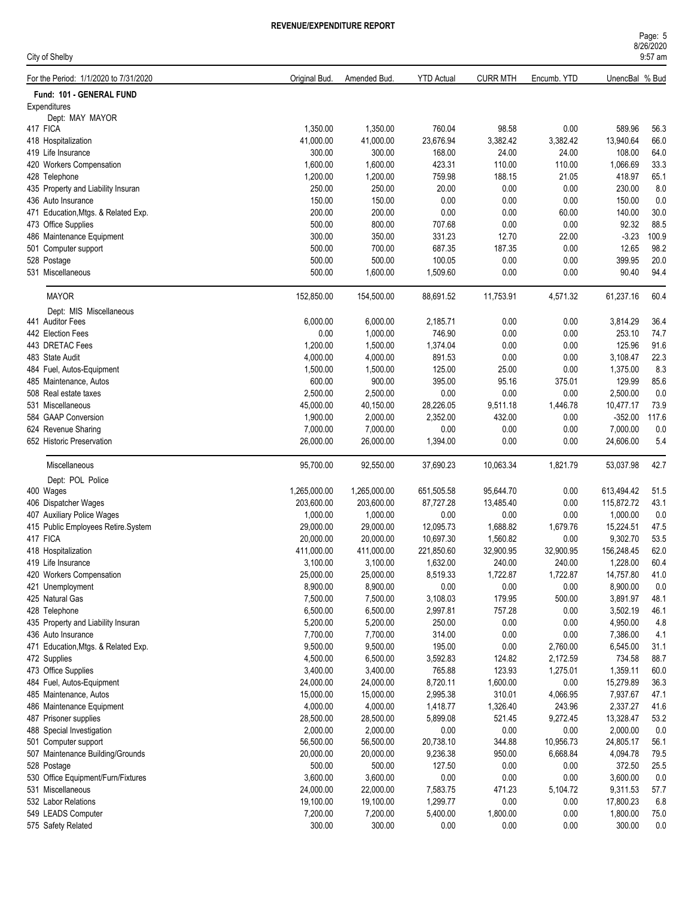| City of Shelby                        |               |              |                   |                 |             |                | 9:57 am |
|---------------------------------------|---------------|--------------|-------------------|-----------------|-------------|----------------|---------|
| For the Period: 1/1/2020 to 7/31/2020 | Original Bud. | Amended Bud. | <b>YTD Actual</b> | <b>CURR MTH</b> | Encumb. YTD | UnencBal % Bud |         |
| Fund: 101 - GENERAL FUND              |               |              |                   |                 |             |                |         |
| Expenditures                          |               |              |                   |                 |             |                |         |
| Dept: MAY MAYOR                       |               |              |                   |                 |             |                |         |
| 417 FICA                              | 1,350.00      | 1,350.00     | 760.04            | 98.58           | 0.00        | 589.96         | 56.3    |
| 418 Hospitalization                   | 41,000.00     | 41,000.00    | 23,676.94         | 3,382.42        | 3,382.42    | 13,940.64      | 66.0    |
| 419 Life Insurance                    | 300.00        | 300.00       | 168.00            | 24.00           | 24.00       | 108.00         | 64.0    |
| 420 Workers Compensation              | 1,600.00      | 1,600.00     | 423.31            | 110.00          | 110.00      | 1,066.69       | 33.3    |
| 428 Telephone                         | 1,200.00      | 1,200.00     | 759.98            | 188.15          | 21.05       | 418.97         | 65.1    |
| 435 Property and Liability Insuran    | 250.00        | 250.00       | 20.00             | 0.00            | 0.00        | 230.00         | 8.0     |
| 436 Auto Insurance                    | 150.00        | 150.00       | 0.00              | 0.00            | 0.00        | 150.00         | 0.0     |
| 471 Education, Mtgs. & Related Exp.   | 200.00        | 200.00       | 0.00              | 0.00            | 60.00       | 140.00         | 30.0    |
| 473 Office Supplies                   | 500.00        | 800.00       | 707.68            | 0.00            | 0.00        | 92.32          | 88.5    |
| 486 Maintenance Equipment             | 300.00        | 350.00       | 331.23            | 12.70           | 22.00       | $-3.23$        | 100.9   |
| 501 Computer support                  | 500.00        | 700.00       | 687.35            | 187.35          | 0.00        | 12.65          | 98.2    |
| 528 Postage                           | 500.00        | 500.00       | 100.05            | 0.00            | 0.00        | 399.95         | 20.0    |
| 531 Miscellaneous                     | 500.00        | 1,600.00     | 1,509.60          | 0.00            | 0.00        | 90.40          | 94.4    |
| <b>MAYOR</b>                          | 152,850.00    | 154,500.00   | 88,691.52         | 11,753.91       | 4,571.32    | 61,237.16      | 60.4    |
| Dept: MIS Miscellaneous               |               |              |                   |                 |             |                |         |
| 441 Auditor Fees                      | 6,000.00      | 6,000.00     | 2,185.71          | 0.00            | 0.00        | 3,814.29       | 36.4    |
| 442 Election Fees                     | 0.00          | 1,000.00     | 746.90            | 0.00            | 0.00        | 253.10         | 74.7    |
| 443 DRETAC Fees                       | 1,200.00      | 1,500.00     | 1,374.04          | 0.00            | 0.00        | 125.96         | 91.6    |
| 483 State Audit                       | 4,000.00      | 4,000.00     | 891.53            | 0.00            | 0.00        | 3,108.47       | 22.3    |
| 484 Fuel, Autos-Equipment             | 1,500.00      | 1,500.00     | 125.00            | 25.00           | 0.00        | 1,375.00       | 8.3     |
| 485 Maintenance, Autos                | 600.00        | 900.00       | 395.00            | 95.16           | 375.01      | 129.99         | 85.6    |
| 508 Real estate taxes                 | 2,500.00      | 2,500.00     | 0.00              | 0.00            | 0.00        | 2,500.00       | 0.0     |
| 531 Miscellaneous                     | 45,000.00     | 40,150.00    | 28,226.05         | 9,511.18        | 1,446.78    | 10,477.17      | 73.9    |
| 584 GAAP Conversion                   | 1,900.00      | 2,000.00     | 2,352.00          | 432.00          | 0.00        | $-352.00$      | 117.6   |
| 624 Revenue Sharing                   | 7,000.00      | 7,000.00     | 0.00              | 0.00            | 0.00        | 7,000.00       | 0.0     |
| 652 Historic Preservation             | 26,000.00     | 26,000.00    | 1,394.00          | 0.00            | 0.00        | 24,606.00      | 5.4     |
| Miscellaneous                         | 95,700.00     | 92,550.00    | 37,690.23         | 10,063.34       | 1,821.79    | 53,037.98      | 42.7    |
| Dept: POL Police                      |               |              |                   |                 |             |                |         |
| 400 Wages                             | 1,265,000.00  | 1,265,000.00 | 651,505.58        | 95,644.70       | 0.00        | 613,494.42     | 51.5    |
| 406 Dispatcher Wages                  | 203,600.00    | 203,600.00   | 87,727.28         | 13,485.40       | 0.00        | 115,872.72     | 43.1    |
| 407 Auxiliary Police Wages            | 1,000.00      | 1,000.00     | 0.00              | 0.00            | 0.00        | 1,000.00       | 0.0     |
| 415 Public Employees Retire.System    | 29,000.00     | 29,000.00    | 12,095.73         | 1,688.82        | 1,679.76    | 15,224.51      | 47.5    |
| 417 FICA                              | 20,000.00     | 20,000.00    | 10,697.30         | 1,560.82        | 0.00        | 9,302.70       | 53.5    |
| 418 Hospitalization                   | 411,000.00    | 411,000.00   | 221,850.60        | 32,900.95       | 32,900.95   | 156,248.45     | 62.0    |
| 419 Life Insurance                    | 3,100.00      | 3,100.00     | 1,632.00          | 240.00          | 240.00      | 1,228.00       | 60.4    |
| 420 Workers Compensation              | 25,000.00     | 25,000.00    | 8,519.33          | 1,722.87        | 1,722.87    | 14,757.80      | 41.0    |
| 421 Unemployment                      | 8,900.00      | 8,900.00     | $0.00\,$          | 0.00            | 0.00        | 8,900.00       | 0.0     |
| 425 Natural Gas                       | 7,500.00      | 7,500.00     | 3,108.03          | 179.95          | 500.00      | 3,891.97       | 48.1    |
| 428 Telephone                         | 6,500.00      | 6,500.00     | 2,997.81          | 757.28          | 0.00        | 3,502.19       | 46.1    |
| 435 Property and Liability Insuran    | 5,200.00      | 5,200.00     | 250.00            | 0.00            | 0.00        | 4,950.00       | 4.8     |
| 436 Auto Insurance                    | 7,700.00      | 7,700.00     | 314.00            | 0.00            | 0.00        | 7,386.00       | 4.1     |
| 471 Education, Mtgs. & Related Exp.   | 9,500.00      | 9,500.00     | 195.00            | 0.00            | 2,760.00    | 6,545.00       | 31.1    |
| 472 Supplies                          | 4,500.00      | 6,500.00     | 3,592.83          | 124.82          | 2,172.59    | 734.58         | 88.7    |
| 473 Office Supplies                   | 3,400.00      | 3,400.00     | 765.88            | 123.93          | 1,275.01    | 1,359.11       | 60.0    |
| 484 Fuel, Autos-Equipment             | 24,000.00     | 24,000.00    | 8,720.11          | 1,600.00        | 0.00        | 15,279.89      | 36.3    |
| 485 Maintenance, Autos                | 15,000.00     | 15,000.00    | 2,995.38          | 310.01          | 4,066.95    | 7,937.67       | 47.1    |
| 486 Maintenance Equipment             | 4,000.00      | 4,000.00     | 1,418.77          | 1,326.40        | 243.96      | 2,337.27       | 41.6    |
| 487 Prisoner supplies                 | 28,500.00     | 28,500.00    | 5,899.08          | 521.45          | 9,272.45    | 13,328.47      | 53.2    |
| 488 Special Investigation             | 2,000.00      | 2,000.00     | $0.00\,$          | 0.00            | 0.00        | 2,000.00       | $0.0\,$ |
| 501 Computer support                  | 56,500.00     | 56,500.00    | 20,738.10         | 344.88          | 10,956.73   | 24,805.17      | 56.1    |
| 507 Maintenance Building/Grounds      | 20,000.00     | 20,000.00    | 9,236.38          | 950.00          | 6,668.84    | 4,094.78       | 79.5    |
| 528 Postage                           | 500.00        | 500.00       | 127.50            | 0.00            | 0.00        | 372.50         | 25.5    |
| 530 Office Equipment/Furn/Fixtures    | 3,600.00      | 3,600.00     | $0.00\,$          | 0.00            | 0.00        | 3,600.00       | $0.0\,$ |
| 531 Miscellaneous                     | 24,000.00     | 22,000.00    | 7,583.75          | 471.23          | 5,104.72    | 9,311.53       | 57.7    |
| 532 Labor Relations                   | 19,100.00     | 19,100.00    | 1,299.77          | 0.00            | 0.00        | 17,800.23      | 6.8     |
| 549 LEADS Computer                    | 7,200.00      | 7,200.00     | 5,400.00          | 1,800.00        | 0.00        | 1,800.00       | 75.0    |
| 575 Safety Related                    | 300.00        | 300.00       | 0.00              | 0.00            | 0.00        | 300.00         | $0.0\,$ |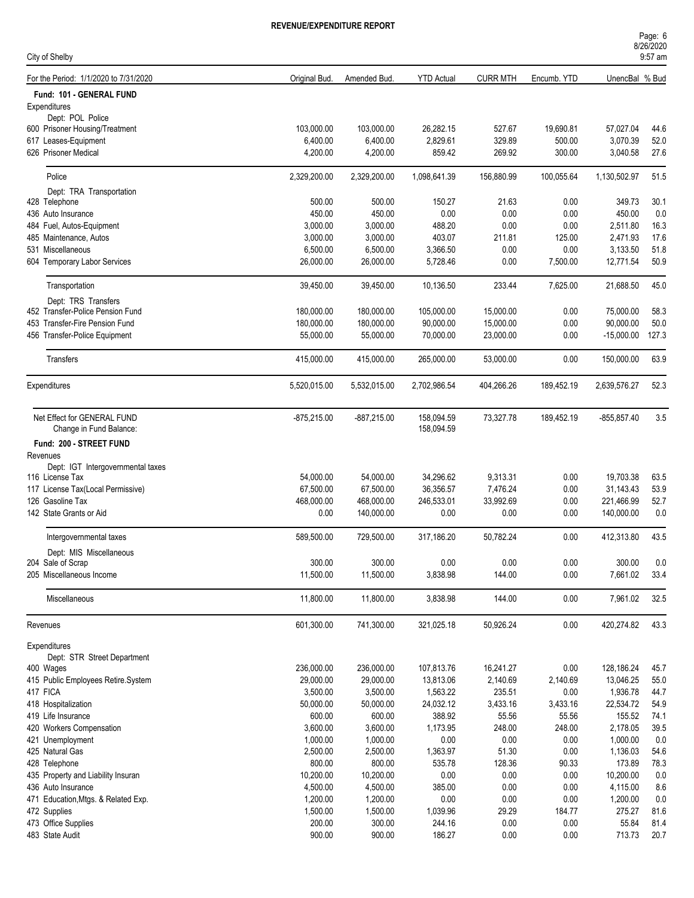#### 8/26/2020 Page: 6 9:57 am

| City of Shelby                                         |               |               |                          |                 |             |                | 9:57 am |
|--------------------------------------------------------|---------------|---------------|--------------------------|-----------------|-------------|----------------|---------|
| For the Period: 1/1/2020 to 7/31/2020                  | Original Bud. | Amended Bud.  | <b>YTD Actual</b>        | <b>CURR MTH</b> | Encumb. YTD | UnencBal % Bud |         |
| Fund: 101 - GENERAL FUND                               |               |               |                          |                 |             |                |         |
| Expenditures                                           |               |               |                          |                 |             |                |         |
| Dept: POL Police                                       |               |               |                          |                 |             |                |         |
| 600 Prisoner Housing/Treatment                         | 103,000.00    | 103,000.00    | 26,282.15                | 527.67          | 19,690.81   | 57,027.04      | 44.6    |
| 617 Leases-Equipment                                   | 6,400.00      | 6,400.00      | 2,829.61                 | 329.89          | 500.00      | 3,070.39       | 52.0    |
| 626 Prisoner Medical                                   | 4,200.00      | 4,200.00      | 859.42                   | 269.92          | 300.00      | 3,040.58       | 27.6    |
| Police                                                 | 2,329,200.00  | 2,329,200.00  | 1,098,641.39             | 156,880.99      | 100,055.64  | 1,130,502.97   | 51.5    |
| Dept: TRA Transportation                               |               |               |                          |                 |             |                |         |
| 428 Telephone                                          | 500.00        | 500.00        | 150.27                   | 21.63           | 0.00        | 349.73         | 30.1    |
| 436 Auto Insurance                                     | 450.00        | 450.00        | 0.00                     | 0.00            | 0.00        | 450.00         | 0.0     |
| 484 Fuel, Autos-Equipment                              | 3,000.00      | 3,000.00      | 488.20                   | 0.00            | 0.00        | 2,511.80       | 16.3    |
| 485 Maintenance, Autos                                 | 3,000.00      | 3,000.00      | 403.07                   | 211.81          | 125.00      | 2,471.93       | 17.6    |
| 531 Miscellaneous                                      | 6,500.00      | 6,500.00      | 3,366.50                 | 0.00            | 0.00        | 3,133.50       | 51.8    |
| 604 Temporary Labor Services                           | 26,000.00     | 26,000.00     | 5,728.46                 | 0.00            | 7,500.00    | 12,771.54      | 50.9    |
| Transportation                                         | 39,450.00     | 39,450.00     | 10,136.50                | 233.44          | 7,625.00    | 21,688.50      | 45.0    |
| Dept: TRS Transfers                                    |               |               |                          |                 |             |                |         |
| 452 Transfer-Police Pension Fund                       | 180,000.00    | 180,000.00    | 105,000.00               | 15,000.00       | 0.00        | 75,000.00      | 58.3    |
| 453 Transfer-Fire Pension Fund                         | 180,000.00    | 180,000.00    | 90,000.00                | 15,000.00       | 0.00        | 90.000.00      | 50.0    |
| 456 Transfer-Police Equipment                          | 55,000.00     | 55,000.00     | 70,000.00                | 23,000.00       | 0.00        | $-15,000.00$   | 127.3   |
| Transfers                                              | 415,000.00    | 415,000.00    | 265,000.00               | 53,000.00       | 0.00        | 150,000.00     | 63.9    |
| Expenditures                                           | 5,520,015.00  | 5,532,015.00  | 2,702,986.54             | 404,266.26      | 189,452.19  | 2,639,576.27   | 52.3    |
|                                                        |               |               |                          |                 |             |                |         |
| Net Effect for GENERAL FUND<br>Change in Fund Balance: | $-875,215.00$ | $-887,215.00$ | 158,094.59<br>158,094.59 | 73,327.78       | 189,452.19  | $-855, 857.40$ | 3.5     |
|                                                        |               |               |                          |                 |             |                |         |
| Fund: 200 - STREET FUND                                |               |               |                          |                 |             |                |         |
| Revenues                                               |               |               |                          |                 |             |                |         |
| Dept: IGT Intergovernmental taxes                      |               |               |                          |                 |             |                |         |
| 116 License Tax                                        | 54,000.00     | 54,000.00     | 34,296.62                | 9,313.31        | 0.00        | 19,703.38      | 63.5    |
| 117 License Tax(Local Permissive)                      | 67,500.00     | 67,500.00     | 36,356.57                | 7,476.24        | 0.00        | 31,143.43      | 53.9    |
| 126 Gasoline Tax                                       | 468,000.00    | 468,000.00    | 246,533.01               | 33,992.69       | 0.00        | 221,466.99     | 52.7    |
| 142 State Grants or Aid                                | 0.00          | 140,000.00    | 0.00                     | 0.00            | 0.00        | 140,000.00     | 0.0     |
| Intergovernmental taxes                                | 589,500.00    | 729,500.00    | 317,186.20               | 50,782.24       | 0.00        | 412,313.80     | 43.5    |
| Dept: MIS Miscellaneous                                |               |               |                          |                 |             |                |         |
| 204 Sale of Scrap                                      | 300.00        | 300.00        | 0.00                     | 0.00            | 0.00        | 300.00         | 0.0     |
| 205 Miscellaneous Income                               | 11,500.00     | 11,500.00     | 3,838.98                 | 144.00          | 0.00        | 7,661.02       | 33.4    |
| Miscellaneous                                          | 11,800.00     | 11,800.00     | 3,838.98                 | 144.00          | 0.00        | 7,961.02       | 32.5    |
| Revenues                                               | 601,300.00    | 741,300.00    | 321,025.18               | 50,926.24       | 0.00        | 420,274.82     | 43.3    |
| Expenditures                                           |               |               |                          |                 |             |                |         |
| Dept: STR Street Department                            |               |               |                          |                 |             |                |         |
| 400 Wages                                              | 236,000.00    | 236,000.00    | 107,813.76               | 16,241.27       | 0.00        | 128,186.24     | 45.7    |
| 415 Public Employees Retire.System                     | 29,000.00     | 29,000.00     | 13,813.06                | 2,140.69        | 2,140.69    | 13,046.25      | 55.0    |
| 417 FICA                                               | 3,500.00      | 3,500.00      | 1,563.22                 | 235.51          | 0.00        | 1,936.78       | 44.7    |
| 418 Hospitalization                                    | 50,000.00     | 50,000.00     | 24,032.12                | 3,433.16        | 3,433.16    | 22,534.72      | 54.9    |
| 419 Life Insurance                                     | 600.00        | 600.00        | 388.92                   | 55.56           | 55.56       | 155.52         | 74.1    |
| 420 Workers Compensation                               | 3,600.00      | 3,600.00      | 1,173.95                 | 248.00          | 248.00      | 2,178.05       | 39.5    |
| 421 Unemployment                                       | 1,000.00      | 1,000.00      | $0.00\,$                 | 0.00            | 0.00        | 1,000.00       | 0.0     |
| 425 Natural Gas                                        | 2,500.00      | 2,500.00      | 1,363.97                 | 51.30           | 0.00        | 1,136.03       | 54.6    |
| 428 Telephone                                          | 800.00        | 800.00        | 535.78                   | 128.36          | 90.33       | 173.89         | 78.3    |
| 435 Property and Liability Insuran                     | 10,200.00     | 10,200.00     | 0.00                     | 0.00            | 0.00        | 10,200.00      | 0.0     |
| 436 Auto Insurance                                     | 4,500.00      | 4,500.00      | 385.00                   | 0.00            | 0.00        | 4,115.00       | 8.6     |
| 471 Education, Mtgs. & Related Exp.                    | 1,200.00      | 1,200.00      | $0.00\,$                 | 0.00            | 0.00        | 1,200.00       | 0.0     |
| 472 Supplies                                           | 1,500.00      | 1,500.00      | 1,039.96                 | 29.29           | 184.77      | 275.27         | 81.6    |
| 473 Office Supplies                                    | 200.00        | 300.00        | 244.16                   | 0.00            | 0.00        | 55.84          | 81.4    |
| 483 State Audit                                        | 900.00        | 900.00        | 186.27                   | 0.00            | 0.00        | 713.73         | 20.7    |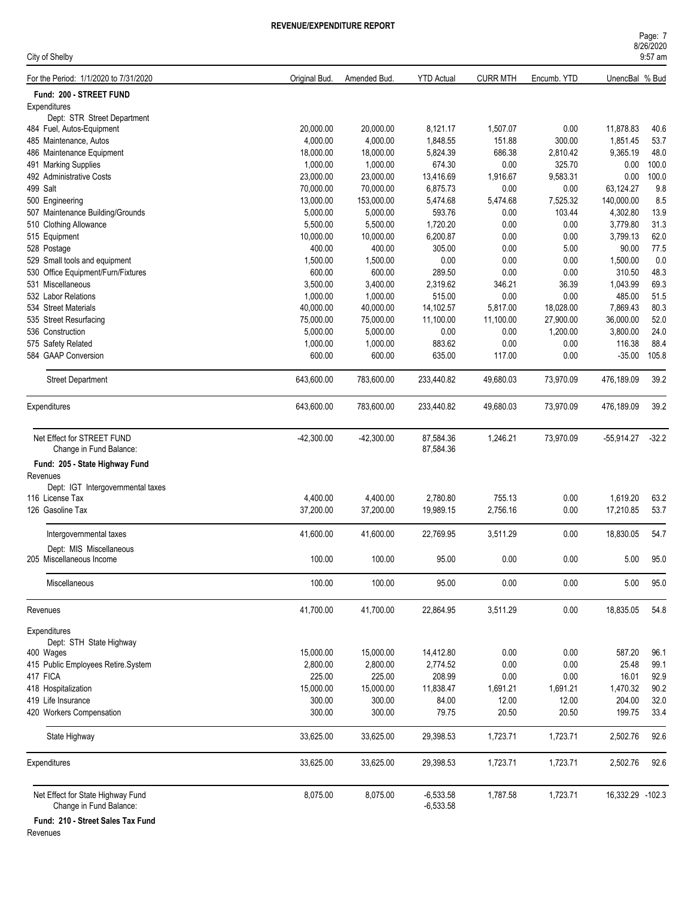| Page: 7   |  |
|-----------|--|
| 8/26/2020 |  |
| $9:57$ am |  |

| City of Shelby                                               |               |              |                            |                 |             |                  | <b>UILUILULU</b><br>9:57 am |
|--------------------------------------------------------------|---------------|--------------|----------------------------|-----------------|-------------|------------------|-----------------------------|
| For the Period: 1/1/2020 to 7/31/2020                        | Original Bud. | Amended Bud. | <b>YTD Actual</b>          | <b>CURR MTH</b> | Encumb. YTD | UnencBal % Bud   |                             |
| Fund: 200 - STREET FUND                                      |               |              |                            |                 |             |                  |                             |
| Expenditures                                                 |               |              |                            |                 |             |                  |                             |
| Dept: STR Street Department                                  |               |              |                            |                 |             |                  |                             |
| 484 Fuel, Autos-Equipment                                    | 20,000.00     | 20,000.00    | 8,121.17                   | 1,507.07        | 0.00        | 11,878.83        | 40.6                        |
| 485 Maintenance, Autos                                       | 4,000.00      | 4,000.00     | 1,848.55                   | 151.88          | 300.00      | 1,851.45         | 53.7                        |
| 486 Maintenance Equipment                                    | 18,000.00     | 18,000.00    | 5,824.39                   | 686.38          | 2,810.42    | 9,365.19         | 48.0                        |
| 491 Marking Supplies                                         | 1,000.00      | 1,000.00     | 674.30                     | 0.00            | 325.70      | 0.00             | 100.0                       |
| 492 Administrative Costs                                     | 23,000.00     | 23,000.00    | 13,416.69                  | 1,916.67        | 9,583.31    | 0.00             | 100.0                       |
| 499 Salt                                                     | 70,000.00     | 70,000.00    | 6,875.73                   | 0.00            | 0.00        | 63,124.27        | 9.8                         |
| 500 Engineering                                              | 13,000.00     | 153,000.00   | 5,474.68                   | 5,474.68        | 7,525.32    | 140,000.00       | 8.5                         |
| 507 Maintenance Building/Grounds                             | 5,000.00      | 5,000.00     | 593.76                     | 0.00            | 103.44      | 4,302.80         | 13.9                        |
| 510 Clothing Allowance                                       | 5,500.00      | 5,500.00     | 1,720.20                   | 0.00            | 0.00        | 3,779.80         | 31.3                        |
| 515 Equipment                                                | 10,000.00     | 10,000.00    | 6,200.87                   | 0.00            | 0.00        | 3,799.13         | 62.0                        |
| 528 Postage                                                  | 400.00        | 400.00       | 305.00                     | 0.00            | 5.00        | 90.00            | 77.5                        |
| 529 Small tools and equipment                                | 1,500.00      | 1,500.00     | 0.00                       | 0.00            | 0.00        | 1,500.00         | 0.0                         |
| 530 Office Equipment/Furn/Fixtures                           | 600.00        | 600.00       | 289.50                     | 0.00            | 0.00        | 310.50           | 48.3                        |
| 531 Miscellaneous                                            | 3,500.00      | 3,400.00     | 2,319.62                   | 346.21          | 36.39       | 1,043.99         | 69.3                        |
| 532 Labor Relations                                          | 1,000.00      | 1,000.00     | 515.00                     | 0.00            | 0.00        | 485.00           | 51.5                        |
| 534 Street Materials                                         | 40,000.00     | 40,000.00    | 14,102.57                  | 5,817.00        | 18,028.00   | 7,869.43         | 80.3                        |
| 535 Street Resurfacing                                       | 75,000.00     | 75,000.00    | 11,100.00                  | 11,100.00       | 27,900.00   | 36,000.00        | 52.0                        |
| 536 Construction                                             | 5,000.00      | 5,000.00     | 0.00                       | 0.00            | 1,200.00    | 3,800.00         | 24.0                        |
| 575 Safety Related                                           | 1,000.00      | 1,000.00     | 883.62                     | 0.00            | 0.00        | 116.38           | 88.4                        |
| 584 GAAP Conversion                                          | 600.00        | 600.00       | 635.00                     | 117.00          | 0.00        | $-35.00$         | 105.8                       |
| <b>Street Department</b>                                     | 643,600.00    | 783,600.00   | 233,440.82                 | 49,680.03       | 73,970.09   | 476,189.09       | 39.2                        |
| Expenditures                                                 | 643,600.00    | 783,600.00   | 233,440.82                 | 49,680.03       | 73,970.09   | 476,189.09       | 39.2                        |
| Net Effect for STREET FUND                                   | $-42,300.00$  | $-42,300.00$ | 87,584.36                  | 1,246.21        | 73,970.09   | $-55,914.27$     | $-32.2$                     |
| Change in Fund Balance:                                      |               |              | 87,584.36                  |                 |             |                  |                             |
|                                                              |               |              |                            |                 |             |                  |                             |
| Fund: 205 - State Highway Fund                               |               |              |                            |                 |             |                  |                             |
| Revenues                                                     |               |              |                            |                 |             |                  |                             |
| Dept: IGT Intergovernmental taxes<br>116 License Tax         | 4,400.00      | 4,400.00     | 2,780.80                   | 755.13          | 0.00        | 1,619.20         | 63.2                        |
| 126 Gasoline Tax                                             | 37,200.00     | 37,200.00    | 19,989.15                  | 2,756.16        | 0.00        | 17,210.85        | 53.7                        |
|                                                              |               |              |                            |                 |             |                  |                             |
| Intergovernmental taxes                                      | 41,600.00     | 41,600.00    | 22,769.95                  | 3,511.29        | 0.00        | 18,830.05        | 54.7                        |
| Dept: MIS Miscellaneous                                      |               |              |                            |                 |             |                  |                             |
| 205 Miscellaneous Income                                     | 100.00        | 100.00       | 95.00                      | 0.00            | 0.00        | 5.00             | 95.0                        |
| Miscellaneous                                                | 100.00        | 100.00       | 95.00                      | 0.00            | 0.00        | 5.00             | 95.0                        |
| Revenues                                                     | 41,700.00     | 41,700.00    | 22,864.95                  | 3,511.29        | 0.00        | 18,835.05        | 54.8                        |
| Expenditures                                                 |               |              |                            |                 |             |                  |                             |
| Dept: STH State Highway                                      |               |              |                            |                 |             |                  |                             |
| 400 Wages                                                    | 15,000.00     | 15,000.00    | 14,412.80                  | 0.00            | 0.00        | 587.20           | 96.1                        |
| 415 Public Employees Retire.System                           | 2,800.00      | 2,800.00     | 2,774.52                   | 0.00            | 0.00        | 25.48            | 99.1                        |
| 417 FICA                                                     | 225.00        | 225.00       | 208.99                     | 0.00            | 0.00        | 16.01            | 92.9                        |
| 418 Hospitalization                                          | 15,000.00     | 15,000.00    | 11,838.47                  | 1,691.21        | 1,691.21    | 1,470.32         | 90.2                        |
| 419 Life Insurance                                           | 300.00        | 300.00       | 84.00                      | 12.00           | 12.00       | 204.00           | 32.0                        |
| 420 Workers Compensation                                     | 300.00        | 300.00       | 79.75                      | 20.50           | 20.50       | 199.75           | 33.4                        |
|                                                              |               |              |                            |                 |             |                  |                             |
| State Highway                                                | 33,625.00     | 33,625.00    | 29,398.53                  | 1,723.71        | 1,723.71    | 2,502.76         | 92.6                        |
| Expenditures                                                 | 33,625.00     | 33,625.00    | 29,398.53                  | 1,723.71        | 1,723.71    | 2,502.76         | 92.6                        |
| Net Effect for State Highway Fund<br>Change in Fund Balance: | 8,075.00      | 8,075.00     | $-6,533.58$<br>$-6,533.58$ | 1,787.58        | 1,723.71    | 16,332.29 -102.3 |                             |
|                                                              |               |              |                            |                 |             |                  |                             |

**Fund: 210 - Street Sales Tax Fund**

Revenues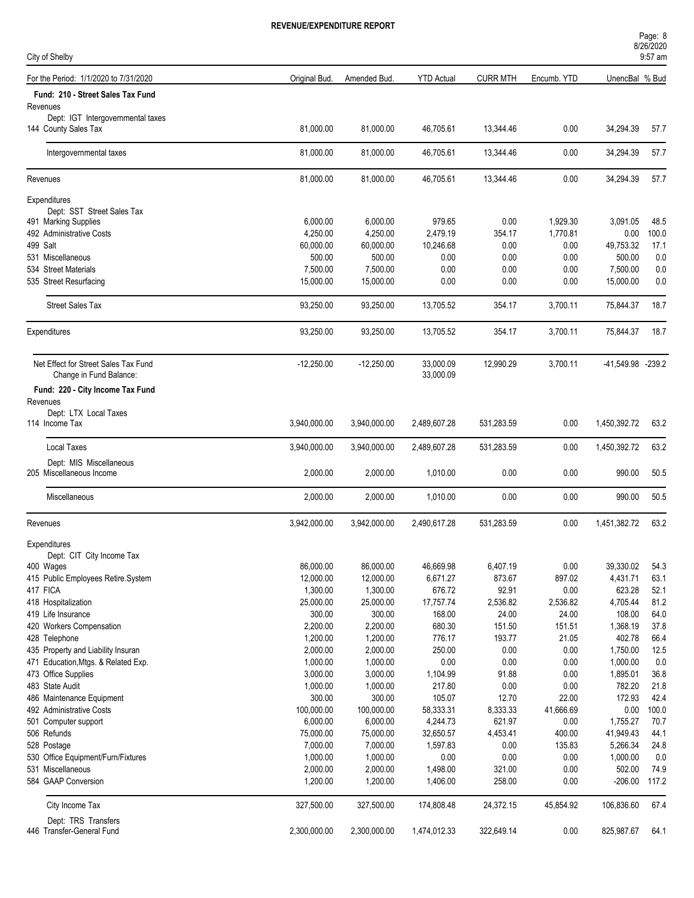| City of Shelby                                      |               |              |                   |                 |             |                   | Page: 8<br>8/26/2020<br>9:57 am |
|-----------------------------------------------------|---------------|--------------|-------------------|-----------------|-------------|-------------------|---------------------------------|
| For the Period: 1/1/2020 to 7/31/2020               | Original Bud. | Amended Bud. | <b>YTD Actual</b> | <b>CURR MTH</b> | Encumb. YTD | UnencBal % Bud    |                                 |
| Fund: 210 - Street Sales Tax Fund                   |               |              |                   |                 |             |                   |                                 |
| Revenues                                            |               |              |                   |                 |             |                   |                                 |
| Dept: IGT Intergovernmental taxes                   |               |              |                   |                 |             |                   |                                 |
| 144 County Sales Tax                                | 81,000.00     | 81,000.00    | 46,705.61         | 13,344.46       | 0.00        | 34,294.39         | 57.7                            |
| Intergovernmental taxes                             | 81,000.00     | 81,000.00    | 46,705.61         | 13,344.46       | 0.00        | 34,294.39         | 57.7                            |
| Revenues                                            | 81,000.00     | 81,000.00    | 46,705.61         | 13,344.46       | 0.00        | 34,294.39         | 57.7                            |
| Expenditures                                        |               |              |                   |                 |             |                   |                                 |
| Dept: SST Street Sales Tax                          |               |              |                   |                 |             |                   |                                 |
| 491 Marking Supplies                                | 6,000.00      | 6,000.00     | 979.65            | 0.00            | 1,929.30    | 3,091.05          | 48.5                            |
| 492 Administrative Costs                            | 4,250.00      | 4,250.00     | 2,479.19          | 354.17          | 1,770.81    | 0.00              | 100.0                           |
| 499 Salt                                            | 60,000.00     | 60,000.00    | 10,246.68         | 0.00            | 0.00        | 49,753.32         | 17.1                            |
| 531 Miscellaneous                                   | 500.00        | 500.00       | 0.00              | 0.00            | 0.00        | 500.00            | 0.0                             |
| 534 Street Materials                                | 7,500.00      | 7,500.00     | 0.00              | 0.00            | 0.00        | 7,500.00          | 0.0                             |
| 535 Street Resurfacing                              | 15,000.00     | 15,000.00    | 0.00              | 0.00            | 0.00        | 15,000.00         | 0.0                             |
|                                                     |               |              |                   |                 |             |                   |                                 |
| <b>Street Sales Tax</b>                             | 93,250.00     | 93,250.00    | 13,705.52         | 354.17          | 3,700.11    | 75,844.37         | 18.7                            |
| Expenditures                                        | 93.250.00     | 93,250.00    | 13,705.52         | 354.17          | 3,700.11    | 75,844.37         | 18.7                            |
| Net Effect for Street Sales Tax Fund                | $-12,250.00$  | $-12,250.00$ | 33,000.09         | 12,990.29       | 3,700.11    | -41,549.98 -239.2 |                                 |
| Change in Fund Balance:                             |               |              | 33,000.09         |                 |             |                   |                                 |
| Fund: 220 - City Income Tax Fund                    |               |              |                   |                 |             |                   |                                 |
| Revenues                                            |               |              |                   |                 |             |                   |                                 |
| Dept: LTX Local Taxes<br>114 Income Tax             | 3,940,000.00  | 3,940,000.00 | 2,489,607.28      | 531,283.59      | 0.00        | 1,450,392.72      | 63.2                            |
|                                                     |               |              |                   |                 |             |                   |                                 |
| <b>Local Taxes</b>                                  | 3,940,000.00  | 3,940,000.00 | 2,489,607.28      | 531,283.59      | 0.00        | 1,450,392.72      | 63.2                            |
| Dept: MIS Miscellaneous<br>205 Miscellaneous Income | 2,000.00      | 2,000.00     | 1,010.00          | 0.00            | 0.00        | 990.00            | 50.5                            |
|                                                     |               |              |                   |                 |             |                   |                                 |
| <b>Miscellaneous</b>                                | 2,000.00      | 2,000.00     | 1,010.00          | 0.00            | 0.00        | 990.00            | 50.5                            |
| Revenues                                            | 3,942,000.00  | 3,942,000.00 | 2,490,617.28      | 531,283.59      | 0.00        | 1,451,382.72      | 63.2                            |
| Expenditures                                        |               |              |                   |                 |             |                   |                                 |
| Dept: CIT City Income Tax                           |               |              |                   |                 |             |                   |                                 |
| 400 Wages                                           | 86,000.00     | 86,000.00    | 46,669.98         | 6,407.19        | 0.00        | 39,330.02         | 54.3                            |
| 415 Public Employees Retire.System                  | 12,000.00     | 12,000.00    | 6,671.27          | 873.67          | 897.02      | 4,431.71          | 63.1                            |
| 417 FICA                                            | 1,300.00      | 1,300.00     | 676.72            | 92.91           | 0.00        | 623.28            | 52.1                            |
| 418 Hospitalization                                 | 25,000.00     | 25,000.00    | 17,757.74         | 2,536.82        | 2,536.82    | 4,705.44          | 81.2                            |
| 419 Life Insurance                                  | 300.00        | 300.00       | 168.00            | 24.00           | 24.00       | 108.00            | 64.0                            |
| 420 Workers Compensation                            | 2,200.00      | 2,200.00     | 680.30            | 151.50          | 151.51      | 1,368.19          | 37.8                            |
| 428 Telephone                                       | 1,200.00      | 1,200.00     | 776.17            | 193.77          | 21.05       | 402.78            | 66.4                            |
| 435 Property and Liability Insuran                  | 2,000.00      | 2,000.00     | 250.00            | 0.00            | 0.00        | 1,750.00          | 12.5                            |
| 471 Education, Mtgs. & Related Exp.                 | 1,000.00      | 1,000.00     | 0.00              | 0.00            | 0.00        | 1,000.00          | 0.0                             |
| 473 Office Supplies                                 | 3,000.00      | 3,000.00     | 1,104.99          | 91.88           | 0.00        | 1,895.01          | 36.8                            |
| 483 State Audit                                     | 1,000.00      | 1,000.00     | 217.80            | 0.00            | 0.00        | 782.20            | 21.8                            |
| 486 Maintenance Equipment                           | 300.00        | 300.00       | 105.07            | 12.70           | 22.00       | 172.93            | 42.4                            |
| 492 Administrative Costs                            | 100,000.00    | 100,000.00   | 58,333.31         | 8,333.33        | 41,666.69   | 0.00              | 100.0                           |
| 501 Computer support                                | 6,000.00      | 6,000.00     | 4,244.73          | 621.97          | 0.00        | 1,755.27          | 70.7                            |
| 506 Refunds                                         | 75,000.00     | 75,000.00    | 32,650.57         | 4,453.41        | 400.00      | 41,949.43         | 44.1                            |
| 528 Postage                                         | 7,000.00      | 7,000.00     | 1,597.83          | 0.00            | 135.83      | 5,266.34          | 24.8                            |
| 530 Office Equipment/Furn/Fixtures                  | 1,000.00      | 1,000.00     | 0.00              | 0.00            | 0.00        | 1,000.00          | 0.0                             |
| 531 Miscellaneous                                   | 2,000.00      | 2,000.00     | 1,498.00          | 321.00          | 0.00        | 502.00            |                                 |
| 584 GAAP Conversion                                 | 1,200.00      | 1,200.00     | 1,406.00          | 258.00          | 0.00        | $-206.00$         | 74.9<br>117.2                   |
| City Income Tax                                     | 327,500.00    | 327,500.00   | 174,808.48        | 24,372.15       | 45,854.92   | 106,836.60        | 67.4                            |
| Dept: TRS Transfers                                 |               |              |                   |                 |             |                   |                                 |
| 446 Transfer-General Fund                           | 2,300,000.00  | 2,300,000.00 | 1,474,012.33      | 322,649.14      | 0.00        | 825,987.67        | 64.1                            |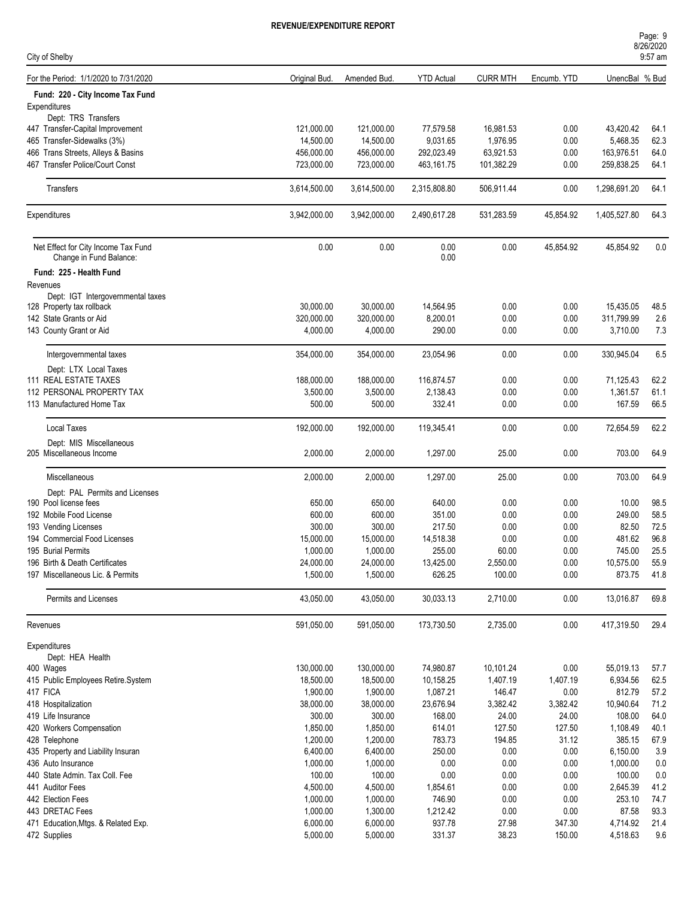| Page: 9   |  |  |  |
|-----------|--|--|--|
| 8/26/2020 |  |  |  |
| $9:57$ am |  |  |  |

| City of Shelby                                                 |                         |                         |                        |                       |                   |                       | 9:57 am      |
|----------------------------------------------------------------|-------------------------|-------------------------|------------------------|-----------------------|-------------------|-----------------------|--------------|
| For the Period: 1/1/2020 to 7/31/2020                          | Original Bud.           | Amended Bud.            | <b>YTD Actual</b>      | <b>CURR MTH</b>       | Encumb. YTD       | UnencBal % Bud        |              |
| Fund: 220 - City Income Tax Fund                               |                         |                         |                        |                       |                   |                       |              |
| Expenditures                                                   |                         |                         |                        |                       |                   |                       |              |
| Dept: TRS Transfers                                            |                         |                         |                        |                       |                   |                       |              |
| 447 Transfer-Capital Improvement                               | 121,000.00              | 121,000.00              | 77,579.58              | 16,981.53             | 0.00              | 43,420.42             | 64.1         |
| 465 Transfer-Sidewalks (3%)                                    | 14,500.00               | 14,500.00               | 9,031.65               | 1,976.95              | 0.00              | 5,468.35              | 62.3         |
| 466 Trans Streets, Alleys & Basins                             | 456,000.00              | 456,000.00              | 292,023.49             | 63,921.53             | 0.00              | 163,976.51            | 64.0         |
| 467 Transfer Police/Court Const                                | 723,000.00              | 723,000.00              | 463,161.75             | 101,382.29            | 0.00              | 259,838.25            | 64.1         |
| Transfers                                                      | 3,614,500.00            | 3,614,500.00            | 2,315,808.80           | 506,911.44            | 0.00              | 1,298,691.20          | 64.1         |
| Expenditures                                                   | 3,942,000.00            | 3,942,000.00            | 2,490,617.28           | 531,283.59            | 45,854.92         | 1,405,527.80          | 64.3         |
| Net Effect for City Income Tax Fund<br>Change in Fund Balance: | 0.00                    | 0.00                    | 0.00<br>0.00           | 0.00                  | 45,854.92         | 45,854.92             | 0.0          |
| Fund: 225 - Health Fund                                        |                         |                         |                        |                       |                   |                       |              |
| Revenues                                                       |                         |                         |                        |                       |                   |                       |              |
| Dept: IGT Intergovernmental taxes                              |                         |                         |                        |                       |                   |                       |              |
| 128 Property tax rollback                                      | 30,000.00               | 30,000.00               | 14,564.95              | 0.00                  | 0.00              | 15,435.05             | 48.5         |
| 142 State Grants or Aid                                        | 320,000.00              | 320.000.00              | 8,200.01               | 0.00                  | 0.00              | 311,799.99            | 2.6          |
| 143 County Grant or Aid                                        | 4,000.00                | 4,000.00                | 290.00                 | 0.00                  | 0.00              | 3,710.00              | 7.3          |
|                                                                |                         |                         |                        |                       |                   |                       |              |
| Intergovernmental taxes                                        | 354,000.00              | 354,000.00              | 23,054.96              | 0.00                  | 0.00              | 330,945.04            | 6.5          |
| Dept: LTX Local Taxes<br>111 REAL ESTATE TAXES                 | 188,000.00              | 188,000.00              | 116,874.57             | 0.00                  | 0.00              | 71,125.43             | 62.2         |
| 112 PERSONAL PROPERTY TAX                                      | 3,500.00                | 3,500.00                | 2,138.43               | 0.00                  | 0.00              | 1,361.57              | 61.1         |
| 113 Manufactured Home Tax                                      | 500.00                  | 500.00                  | 332.41                 | 0.00                  | 0.00              | 167.59                | 66.5         |
|                                                                |                         |                         |                        |                       |                   |                       |              |
| <b>Local Taxes</b>                                             | 192,000.00              | 192,000.00              | 119,345.41             | 0.00                  | 0.00              | 72,654.59             | 62.2         |
| Dept: MIS Miscellaneous<br>205 Miscellaneous Income            | 2,000.00                | 2,000.00                | 1,297.00               | 25.00                 | 0.00              | 703.00                | 64.9         |
| Miscellaneous                                                  | 2,000.00                | 2,000.00                | 1,297.00               | 25.00                 | 0.00              | 703.00                | 64.9         |
| Dept: PAL Permits and Licenses                                 |                         |                         |                        |                       |                   |                       |              |
| 190 Pool license fees                                          | 650.00                  | 650.00                  | 640.00                 | 0.00                  | 0.00              | 10.00                 | 98.5         |
| 192 Mobile Food License                                        | 600.00                  | 600.00                  | 351.00                 | 0.00                  | 0.00              | 249.00                | 58.5         |
| 193 Vending Licenses                                           | 300.00                  | 300.00                  | 217.50                 | 0.00                  | 0.00              | 82.50                 | 72.5         |
| 194 Commercial Food Licenses                                   | 15,000.00               | 15,000.00               | 14,518.38              | 0.00                  | 0.00              | 481.62                | 96.8         |
| 195 Burial Permits                                             | 1,000.00                | 1,000.00                | 255.00                 | 60.00                 | 0.00              | 745.00                | 25.5         |
| 196 Birth & Death Certificates                                 | 24,000.00               | 24,000.00               | 13,425.00              | 2,550.00              | 0.00              | 10,575.00             | 55.9         |
| 197 Miscellaneous Lic. & Permits                               | 1,500.00                | 1,500.00                | 626.25                 | 100.00                | 0.00              | 873.75                | 41.8         |
|                                                                |                         |                         |                        |                       |                   |                       |              |
| Permits and Licenses                                           | 43,050.00               | 43,050.00               | 30,033.13              | 2,710.00              | 0.00              | 13,016.87             | 69.8         |
| Revenues                                                       | 591,050.00              | 591,050.00              | 173,730.50             | 2,735.00              | 0.00              | 417,319.50            | 29.4         |
| Expenditures                                                   |                         |                         |                        |                       |                   |                       |              |
| Dept: HEA Health                                               |                         |                         |                        |                       |                   |                       |              |
| 400 Wages<br>415 Public Employees Retire.System                | 130,000.00<br>18,500.00 | 130,000.00<br>18,500.00 | 74,980.87<br>10,158.25 | 10,101.24<br>1,407.19 | 0.00              | 55,019.13<br>6,934.56 | 57.7<br>62.5 |
| 417 FICA                                                       | 1,900.00                | 1,900.00                | 1,087.21               | 146.47                | 1,407.19<br>0.00  | 812.79                | 57.2         |
| 418 Hospitalization                                            | 38,000.00               |                         |                        |                       |                   |                       | 71.2         |
| 419 Life Insurance                                             | 300.00                  | 38,000.00<br>300.00     | 23,676.94<br>168.00    | 3,382.42<br>24.00     | 3,382.42<br>24.00 | 10,940.64<br>108.00   | 64.0         |
| 420 Workers Compensation                                       |                         |                         |                        |                       |                   |                       | 40.1         |
| 428 Telephone                                                  | 1,850.00<br>1,200.00    | 1,850.00<br>1,200.00    | 614.01<br>783.73       | 127.50<br>194.85      | 127.50<br>31.12   | 1,108.49<br>385.15    | 67.9         |
|                                                                |                         |                         |                        |                       |                   |                       |              |
| 435 Property and Liability Insuran                             | 6,400.00                | 6,400.00                | 250.00                 | 0.00                  | 0.00              | 6,150.00              | 3.9          |
| 436 Auto Insurance                                             | 1,000.00                | 1,000.00                | 0.00                   | 0.00                  | 0.00              | 1,000.00              | 0.0          |
| 440 State Admin. Tax Coll. Fee                                 | 100.00                  | 100.00                  | 0.00                   | 0.00                  | 0.00              | 100.00                | 0.0          |
| 441 Auditor Fees                                               | 4,500.00                | 4,500.00                | 1,854.61               | 0.00                  | 0.00              | 2,645.39              | 41.2         |
| 442 Election Fees                                              | 1,000.00                | 1,000.00                | 746.90                 | 0.00                  | 0.00              | 253.10                | 74.7         |
| 443 DRETAC Fees                                                | 1,000.00                | 1,300.00                | 1,212.42               | 0.00                  | 0.00              | 87.58                 | 93.3         |
| 471 Education, Mtgs. & Related Exp.                            | 6,000.00                | 6,000.00                | 937.78                 | 27.98                 | 347.30            | 4,714.92              | 21.4         |
| 472 Supplies                                                   | 5,000.00                | 5,000.00                | 331.37                 | 38.23                 | 150.00            | 4,518.63              | 9.6          |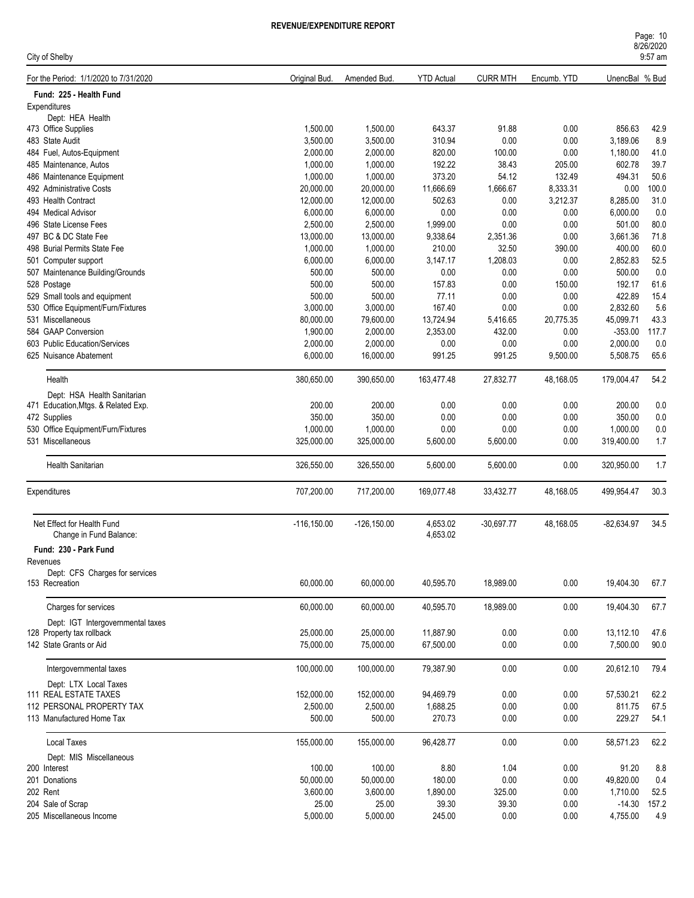City of Shelby

| For the Period: 1/1/2020 to 7/31/2020 |                                   | Original Bud.  | Amended Bud.   | <b>YTD Actual</b> | <b>CURR MTH</b> | Encumb. YTD | UnencBal % Bud |       |
|---------------------------------------|-----------------------------------|----------------|----------------|-------------------|-----------------|-------------|----------------|-------|
| Fund: 225 - Health Fund               |                                   |                |                |                   |                 |             |                |       |
| Expenditures                          |                                   |                |                |                   |                 |             |                |       |
| Dept: HEA Health                      |                                   |                |                |                   |                 |             |                |       |
| 473 Office Supplies                   |                                   | 1,500.00       | 1,500.00       | 643.37            | 91.88           | 0.00        | 856.63         | 42.9  |
| 483 State Audit                       |                                   | 3,500.00       | 3,500.00       | 310.94            | 0.00            | 0.00        | 3,189.06       | 8.9   |
| 484 Fuel, Autos-Equipment             |                                   | 2,000.00       | 2,000.00       | 820.00            | 100.00          | 0.00        | 1,180.00       | 41.0  |
| 485 Maintenance, Autos                |                                   | 1,000.00       | 1,000.00       | 192.22            | 38.43           | 205.00      | 602.78         | 39.7  |
| 486 Maintenance Equipment             |                                   | 1,000.00       | 1,000.00       | 373.20            | 54.12           | 132.49      | 494.31         | 50.6  |
| 492 Administrative Costs              |                                   | 20,000.00      | 20,000.00      | 11,666.69         | 1,666.67        | 8,333.31    | 0.00           | 100.0 |
| 493 Health Contract                   |                                   | 12,000.00      | 12,000.00      | 502.63            | 0.00            | 3,212.37    | 8,285.00       | 31.0  |
| 494 Medical Advisor                   |                                   | 6,000.00       | 6,000.00       | 0.00              | 0.00            | 0.00        | 6,000.00       | 0.0   |
| 496 State License Fees                |                                   | 2,500.00       | 2,500.00       | 1,999.00          | 0.00            | 0.00        | 501.00         | 80.0  |
| 497 BC & DC State Fee                 |                                   | 13,000.00      | 13,000.00      | 9,338.64          | 2,351.36        | 0.00        | 3,661.36       | 71.8  |
| 498 Burial Permits State Fee          |                                   | 1,000.00       | 1,000.00       | 210.00            | 32.50           | 390.00      | 400.00         | 60.0  |
| 501 Computer support                  |                                   | 6,000.00       | 6,000.00       | 3,147.17          | 1,208.03        | 0.00        | 2,852.83       | 52.5  |
| 507 Maintenance Building/Grounds      |                                   | 500.00         | 500.00         | 0.00              | 0.00            | 0.00        | 500.00         | 0.0   |
| 528 Postage                           |                                   | 500.00         | 500.00         | 157.83            | 0.00            | 150.00      | 192.17         | 61.6  |
| 529 Small tools and equipment         |                                   | 500.00         | 500.00         | 77.11             | 0.00            | 0.00        | 422.89         | 15.4  |
| 530 Office Equipment/Furn/Fixtures    |                                   | 3,000.00       | 3,000.00       | 167.40            | 0.00            | 0.00        | 2,832.60       | 5.6   |
| 531 Miscellaneous                     |                                   | 80,000.00      | 79,600.00      | 13,724.94         | 5,416.65        | 20,775.35   | 45,099.71      | 43.3  |
| 584 GAAP Conversion                   |                                   | 1,900.00       | 2,000.00       | 2,353.00          | 432.00          | 0.00        | $-353.00$      | 117.7 |
| 603 Public Education/Services         |                                   | 2.000.00       | 2,000.00       | 0.00              | 0.00            | 0.00        | 2,000.00       | 0.0   |
| 625 Nuisance Abatement                |                                   | 6,000.00       | 16,000.00      | 991.25            | 991.25          | 9,500.00    | 5,508.75       | 65.6  |
|                                       |                                   |                |                |                   |                 |             |                |       |
| Health                                |                                   | 380,650.00     | 390,650.00     | 163,477.48        | 27,832.77       | 48,168.05   | 179,004.47     | 54.2  |
| Dept: HSA Health Sanitarian           |                                   |                |                |                   |                 |             |                |       |
| 471 Education, Mtgs. & Related Exp.   |                                   | 200.00         | 200.00         | 0.00              | 0.00            | 0.00        | 200.00         | 0.0   |
| 472 Supplies                          |                                   | 350.00         | 350.00         | 0.00              | 0.00            | 0.00        | 350.00         | 0.0   |
| 530 Office Equipment/Furn/Fixtures    |                                   | 1,000.00       | 1,000.00       | 0.00              | 0.00            | 0.00        | 1,000.00       | 0.0   |
| 531 Miscellaneous                     |                                   | 325,000.00     | 325,000.00     | 5,600.00          | 5,600.00        | 0.00        | 319,400.00     | 1.7   |
|                                       |                                   |                |                |                   |                 |             |                |       |
| Health Sanitarian                     |                                   | 326,550.00     | 326,550.00     | 5,600.00          | 5,600.00        | 0.00        | 320,950.00     | 1.7   |
| Expenditures                          |                                   | 707,200.00     | 717,200.00     | 169,077.48        | 33,432.77       | 48,168.05   | 499,954.47     | 30.3  |
|                                       |                                   |                |                |                   |                 |             |                |       |
| Net Effect for Health Fund            |                                   | $-116, 150.00$ | $-126, 150.00$ | 4,653.02          | $-30,697.77$    | 48,168.05   | $-82,634.97$   | 34.5  |
| Change in Fund Balance:               |                                   |                |                | 4,653.02          |                 |             |                |       |
| Fund: 230 - Park Fund                 |                                   |                |                |                   |                 |             |                |       |
| Revenues                              |                                   |                |                |                   |                 |             |                |       |
|                                       | Dept: CFS Charges for services    |                |                |                   |                 |             |                |       |
| 153 Recreation                        |                                   | 60,000.00      | 60,000.00      | 40,595.70         | 18,989.00       | 0.00        | 19,404.30      | 67.7  |
|                                       |                                   |                |                |                   |                 |             |                |       |
| Charges for services                  |                                   | 60,000.00      | 60,000.00      | 40,595.70         | 18,989.00       | 0.00        | 19,404.30      | 67.7  |
|                                       | Dept: IGT Intergovernmental taxes |                |                |                   |                 |             |                |       |
| 128 Property tax rollback             |                                   | 25,000.00      | 25,000.00      | 11,887.90         | 0.00            | 0.00        | 13,112.10      | 47.6  |
| 142 State Grants or Aid               |                                   | 75,000.00      | 75,000.00      | 67,500.00         | 0.00            | 0.00        | 7,500.00       | 90.0  |
|                                       |                                   |                |                |                   |                 |             |                |       |
| Intergovernmental taxes               |                                   | 100,000.00     | 100,000.00     | 79,387.90         | 0.00            | 0.00        | 20,612.10      | 79.4  |
| Dept: LTX Local Taxes                 |                                   |                |                |                   |                 |             |                |       |
| 111 REAL ESTATE TAXES                 |                                   | 152,000.00     | 152,000.00     | 94,469.79         | 0.00            | 0.00        | 57,530.21      | 62.2  |
| 112 PERSONAL PROPERTY TAX             |                                   | 2,500.00       | 2,500.00       | 1,688.25          | 0.00            | 0.00        | 811.75         | 67.5  |
| 113 Manufactured Home Tax             |                                   | 500.00         | 500.00         | 270.73            | 0.00            | 0.00        | 229.27         | 54.1  |
|                                       |                                   |                |                |                   |                 |             |                |       |
| Local Taxes                           |                                   | 155,000.00     | 155,000.00     | 96,428.77         | 0.00            | 0.00        | 58,571.23      | 62.2  |
| Dept: MIS Miscellaneous               |                                   |                |                |                   |                 |             |                |       |
| 200 Interest                          |                                   | 100.00         | 100.00         | 8.80              | 1.04            | 0.00        | 91.20          | 8.8   |
| 201 Donations                         |                                   | 50,000.00      | 50,000.00      | 180.00            | 0.00            | 0.00        | 49,820.00      | 0.4   |
| 202 Rent                              |                                   | 3,600.00       | 3,600.00       | 1,890.00          | 325.00          | 0.00        | 1,710.00       | 52.5  |
| 204 Sale of Scrap                     |                                   | 25.00          | 25.00          | 39.30             | 39.30           | 0.00        | $-14.30$       | 157.2 |
| 205 Miscellaneous Income              |                                   | 5,000.00       | 5,000.00       | 245.00            | 0.00            | 0.00        | 4,755.00       | 4.9   |
|                                       |                                   |                |                |                   |                 |             |                |       |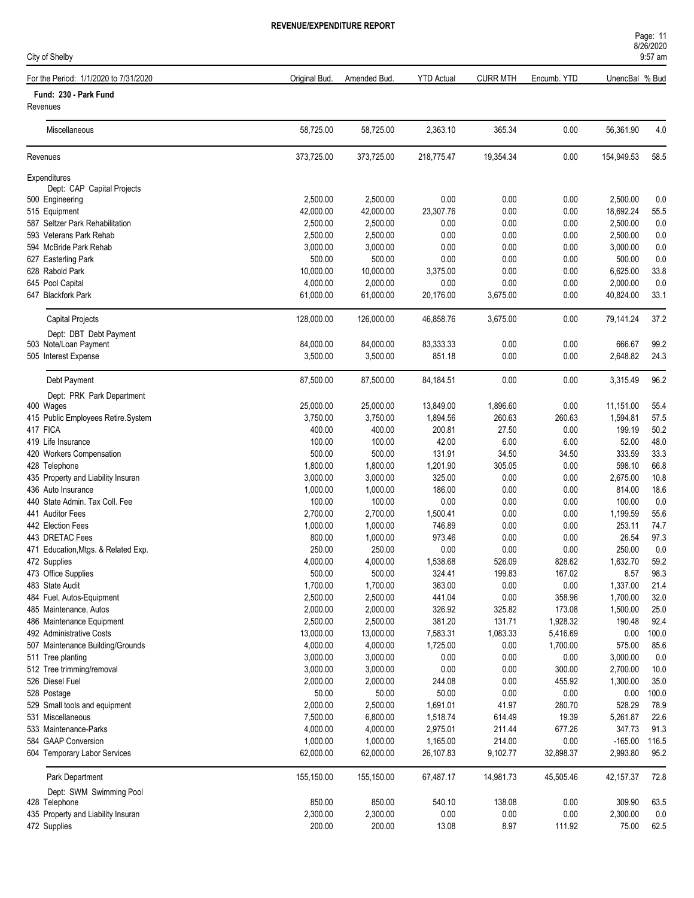| City of Shelby                                       |                      |                      |                    |                 |              |                    | 9:57 am      |
|------------------------------------------------------|----------------------|----------------------|--------------------|-----------------|--------------|--------------------|--------------|
| For the Period: 1/1/2020 to 7/31/2020                | Original Bud.        | Amended Bud.         | <b>YTD Actual</b>  | <b>CURR MTH</b> | Encumb. YTD  | UnencBal % Bud     |              |
| Fund: 230 - Park Fund<br>Revenues                    |                      |                      |                    |                 |              |                    |              |
| Miscellaneous                                        | 58,725.00            | 58,725.00            | 2,363.10           | 365.34          | 0.00         | 56,361.90          | 4.0          |
| Revenues                                             | 373,725.00           | 373,725.00           | 218,775.47         | 19,354.34       | 0.00         | 154,949.53         | 58.5         |
| Expenditures                                         |                      |                      |                    |                 |              |                    |              |
| Dept: CAP Capital Projects                           |                      |                      |                    |                 |              |                    |              |
| 500 Engineering                                      | 2,500.00             | 2,500.00             | 0.00               | 0.00            | 0.00         | 2,500.00           | 0.0          |
| 515 Equipment                                        | 42,000.00            | 42,000.00            | 23,307.76          | 0.00            | 0.00         | 18,692.24          | 55.5         |
| 587 Seltzer Park Rehabilitation                      | 2,500.00             | 2,500.00             | 0.00               | 0.00            | 0.00         | 2,500.00           | 0.0          |
| 593 Veterans Park Rehab                              | 2,500.00             | 2,500.00             | 0.00               | 0.00            | 0.00         | 2,500.00           | 0.0          |
| 594 McBride Park Rehab                               | 3,000.00             | 3,000.00             | 0.00               | 0.00            | 0.00         | 3,000.00           | 0.0          |
| 627 Easterling Park                                  | 500.00               | 500.00               | 0.00               | 0.00            | 0.00         | 500.00             | 0.0          |
| 628 Rabold Park                                      | 10,000.00            | 10,000.00            | 3,375.00           | 0.00            | 0.00         | 6,625.00           | 33.8         |
| 645 Pool Capital                                     | 4,000.00             | 2,000.00             | 0.00               | 0.00            | 0.00         | 2,000.00           | 0.0          |
| 647 Blackfork Park                                   | 61,000.00            | 61,000.00            | 20,176.00          | 3,675.00        | 0.00         | 40,824.00          | 33.1         |
| Capital Projects                                     | 128,000.00           | 126,000.00           | 46,858.76          | 3,675.00        | 0.00         | 79.141.24          | 37.2         |
| Dept: DBT Debt Payment                               |                      |                      |                    |                 |              |                    |              |
| 503 Note/Loan Payment                                | 84,000.00            | 84,000.00            | 83,333.33          | 0.00            | 0.00         | 666.67             | 99.2         |
| 505 Interest Expense                                 | 3,500.00             | 3,500.00             | 851.18             | 0.00            | 0.00         | 2,648.82           | 24.3         |
| Debt Payment                                         | 87,500.00            | 87,500.00            | 84,184.51          | 0.00            | 0.00         | 3,315.49           | 96.2         |
| Dept: PRK Park Department                            |                      |                      |                    |                 |              |                    |              |
| 400 Wages                                            | 25,000.00            | 25,000.00            | 13,849.00          | 1,896.60        | 0.00         | 11,151.00          | 55.4         |
| 415 Public Employees Retire.System                   | 3,750.00             | 3,750.00             | 1,894.56           | 260.63          | 260.63       | 1,594.81           | 57.5         |
| 417 FICA                                             | 400.00               | 400.00               | 200.81             | 27.50           | 0.00         | 199.19             | 50.2         |
| 419 Life Insurance                                   | 100.00               | 100.00               | 42.00              | 6.00            | 6.00         | 52.00              | 48.0         |
| 420 Workers Compensation                             | 500.00               | 500.00               | 131.91             | 34.50           | 34.50        | 333.59             | 33.3<br>66.8 |
| 428 Telephone                                        | 1,800.00<br>3,000.00 | 1,800.00<br>3,000.00 | 1,201.90<br>325.00 | 305.05<br>0.00  | 0.00<br>0.00 | 598.10<br>2,675.00 | 10.8         |
| 435 Property and Liability Insuran                   |                      |                      |                    |                 |              |                    | 18.6         |
| 436 Auto Insurance<br>440 State Admin, Tax Coll, Fee | 1,000.00<br>100.00   | 1,000.00<br>100.00   | 186.00<br>0.00     | 0.00<br>0.00    | 0.00<br>0.00 | 814.00<br>100.00   | 0.0          |
| 441 Auditor Fees                                     | 2,700.00             | 2,700.00             |                    | 0.00            | 0.00         | 1,199.59           | 55.6         |
| 442 Election Fees                                    | 1,000.00             | 1,000.00             | 1,500.41<br>746.89 | 0.00            | 0.00         | 253.11             | 74.7         |
| 443 DRETAC Fees                                      | 800.00               | 1,000.00             | 973.46             | 0.00            | 0.00         | 26.54              | 97.3         |
| 471 Education, Mtgs. & Related Exp.                  | 250.00               | 250.00               | 0.00               | 0.00            | 0.00         | 250.00             | 0.0          |
| 472 Supplies                                         | 4,000.00             | 4,000.00             | 1,538.68           | 526.09          | 828.62       | 1,632.70           | 59.2         |
| 473 Office Supplies                                  | 500.00               | 500.00               | 324.41             | 199.83          | 167.02       | 8.57               | 98.3         |
| 483 State Audit                                      | 1,700.00             | 1,700.00             | 363.00             | 0.00            | 0.00         | 1,337.00           | 21.4         |
| 484 Fuel, Autos-Equipment                            | 2,500.00             | 2,500.00             | 441.04             | 0.00            | 358.96       | 1,700.00           | 32.0         |
| 485 Maintenance, Autos                               | 2,000.00             | 2,000.00             | 326.92             | 325.82          | 173.08       | 1,500.00           | 25.0         |
| 486 Maintenance Equipment                            | 2,500.00             | 2,500.00             | 381.20             | 131.71          | 1,928.32     | 190.48             | 92.4         |
| 492 Administrative Costs                             | 13,000.00            | 13,000.00            | 7,583.31           | 1,083.33        | 5,416.69     | 0.00               | 100.0        |
| 507 Maintenance Building/Grounds                     | 4,000.00             | 4,000.00             | 1,725.00           | 0.00            | 1,700.00     | 575.00             | 85.6         |
| 511 Tree planting                                    | 3,000.00             | 3,000.00             | $0.00\,$           | 0.00            | 0.00         | 3,000.00           | 0.0          |
| 512 Tree trimming/removal                            | 3,000.00             | 3,000.00             | 0.00               | 0.00            | 300.00       | 2,700.00           | 10.0         |
| 526 Diesel Fuel                                      | 2,000.00             | 2,000.00             | 244.08             | 0.00            | 455.92       | 1,300.00           | 35.0         |
| 528 Postage                                          | 50.00                | 50.00                | 50.00              | 0.00            | 0.00         | 0.00               | 100.0        |
| 529 Small tools and equipment                        | 2,000.00             | 2,500.00             | 1,691.01           | 41.97           | 280.70       | 528.29             | 78.9         |
| 531 Miscellaneous                                    | 7,500.00             | 6,800.00             | 1,518.74           | 614.49          | 19.39        | 5,261.87           | 22.6         |
| 533 Maintenance-Parks                                | 4,000.00             | 4,000.00             | 2,975.01           | 211.44          | 677.26       | 347.73             | 91.3         |
| 584 GAAP Conversion                                  | 1,000.00             | 1,000.00             | 1,165.00           | 214.00          | 0.00         | $-165.00$          | 116.5        |
| 604 Temporary Labor Services                         | 62,000.00            | 62,000.00            | 26,107.83          | 9,102.77        | 32,898.37    | 2,993.80           | 95.2         |
| Park Department                                      | 155,150.00           | 155,150.00           | 67,487.17          | 14,981.73       | 45,505.46    | 42,157.37          | 72.8         |
| Dept: SWM Swimming Pool                              |                      |                      |                    |                 |              |                    |              |
| 428 Telephone                                        | 850.00               | 850.00               | 540.10             | 138.08          | 0.00         | 309.90             | 63.5         |
| 435 Property and Liability Insuran                   | 2,300.00             | 2,300.00             | 0.00               | 0.00            | 0.00         | 2,300.00           | 0.0          |
| 472 Supplies                                         | 200.00               | 200.00               | 13.08              | 8.97            | 111.92       | 75.00              | 62.5         |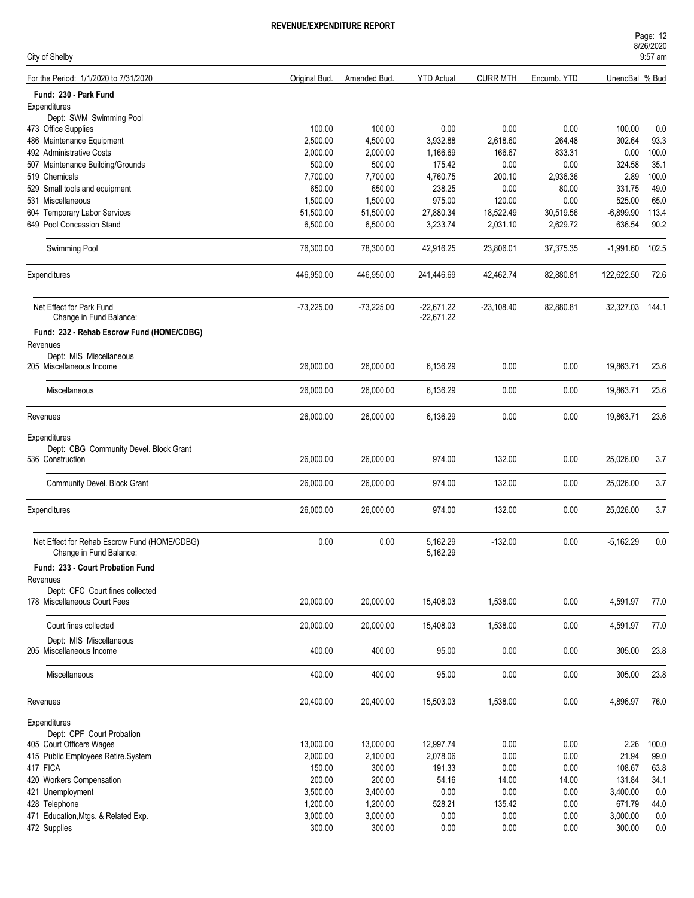| City of Shelby                               |               |              |                   |                 |             |                 | 9:57 am |
|----------------------------------------------|---------------|--------------|-------------------|-----------------|-------------|-----------------|---------|
| For the Period: 1/1/2020 to 7/31/2020        | Original Bud. | Amended Bud  | <b>YTD Actual</b> | <b>CURR MTH</b> | Encumb. YTD | UnencBal % Bud  |         |
| Fund: 230 - Park Fund                        |               |              |                   |                 |             |                 |         |
| Expenditures                                 |               |              |                   |                 |             |                 |         |
| Dept: SWM Swimming Pool                      |               |              |                   |                 |             |                 |         |
| 473 Office Supplies                          | 100.00        | 100.00       | 0.00              | 0.00            | 0.00        | 100.00          | 0.0     |
| 486 Maintenance Equipment                    | 2,500.00      | 4,500.00     | 3,932.88          | 2,618.60        | 264.48      | 302.64          | 93.3    |
| 492 Administrative Costs                     | 2,000.00      | 2,000.00     | 1,166.69          | 166.67          | 833.31      | 0.00            | 100.0   |
| 507 Maintenance Building/Grounds             | 500.00        | 500.00       | 175.42            | 0.00            | 0.00        | 324.58          | 35.1    |
| 519 Chemicals                                | 7,700.00      | 7,700.00     | 4,760.75          | 200.10          | 2,936.36    | 2.89            | 100.0   |
| 529 Small tools and equipment                | 650.00        | 650.00       | 238.25            | 0.00            | 80.00       | 331.75          | 49.0    |
| 531 Miscellaneous                            | 1,500.00      | 1,500.00     | 975.00            | 120.00          | 0.00        | 525.00          | 65.0    |
| 604 Temporary Labor Services                 | 51,500.00     | 51,500.00    | 27,880.34         | 18,522.49       | 30,519.56   | $-6,899.90$     | 113.4   |
| 649 Pool Concession Stand                    | 6,500.00      | 6,500.00     | 3,233.74          | 2,031.10        | 2,629.72    | 636.54          | 90.2    |
| Swimming Pool                                | 76,300.00     | 78,300.00    | 42,916.25         | 23,806.01       | 37,375.35   | $-1,991.60$     | 102.5   |
| Expenditures                                 | 446,950.00    | 446,950.00   | 241,446.69        | 42,462.74       | 82,880.81   | 122,622.50      | 72.6    |
| Net Effect for Park Fund                     | $-73,225.00$  | $-73,225.00$ | $-22,671.22$      | $-23,108.40$    | 82,880.81   | 32,327.03 144.1 |         |
| Change in Fund Balance:                      |               |              | $-22,671.22$      |                 |             |                 |         |
| Fund: 232 - Rehab Escrow Fund (HOME/CDBG)    |               |              |                   |                 |             |                 |         |
| Revenues                                     |               |              |                   |                 |             |                 |         |
| Dept: MIS Miscellaneous                      |               |              |                   |                 |             |                 |         |
| 205 Miscellaneous Income                     | 26,000.00     | 26,000.00    | 6,136.29          | 0.00            | 0.00        | 19,863.71       | 23.6    |
|                                              |               |              |                   |                 |             |                 |         |
| Miscellaneous                                | 26,000.00     | 26,000.00    | 6,136.29          | 0.00            | 0.00        | 19,863.71       | 23.6    |
| Revenues                                     | 26,000.00     | 26,000.00    | 6,136.29          | 0.00            | 0.00        | 19,863.71       | 23.6    |
|                                              |               |              |                   |                 |             |                 |         |
| Expenditures                                 |               |              |                   |                 |             |                 |         |
| Dept: CBG Community Devel. Block Grant       |               |              |                   |                 |             |                 |         |
| 536 Construction                             | 26,000.00     | 26,000.00    | 974.00            | 132.00          | 0.00        | 25,026.00       | 3.7     |
|                                              |               |              |                   |                 |             |                 |         |
| Community Devel. Block Grant                 | 26,000.00     | 26,000.00    | 974.00            | 132.00          | 0.00        | 25,026.00       | 3.7     |
| Expenditures                                 | 26,000.00     | 26,000.00    | 974.00            | 132.00          | 0.00        | 25,026.00       | 3.7     |
|                                              |               |              |                   |                 |             |                 |         |
| Net Effect for Rehab Escrow Fund (HOME/CDBG) | 0.00          | 0.00         | 5,162.29          | $-132.00$       | 0.00        | $-5,162.29$     | 0.0     |
| Change in Fund Balance:                      |               |              | 5,162.29          |                 |             |                 |         |
| Fund: 233 - Court Probation Fund             |               |              |                   |                 |             |                 |         |
| Revenues                                     |               |              |                   |                 |             |                 |         |
| Dept: CFC Court fines collected              |               |              |                   |                 |             |                 |         |
| 178 Miscellaneous Court Fees                 | 20,000.00     | 20,000.00    | 15,408.03         | 1,538.00        | 0.00        | 4,591.97        | 77.0    |
| Court fines collected                        | 20,000.00     | 20,000.00    | 15,408.03         | 1,538.00        | 0.00        | 4,591.97        | 77.0    |
| Dept: MIS Miscellaneous                      |               |              |                   |                 |             |                 |         |
| 205 Miscellaneous Income                     | 400.00        | 400.00       | 95.00             | 0.00            | 0.00        | 305.00          | 23.8    |
| Miscellaneous                                | 400.00        | 400.00       | 95.00             | 0.00            | 0.00        | 305.00          | 23.8    |
| Revenues                                     | 20,400.00     | 20,400.00    | 15,503.03         | 1,538.00        | 0.00        | 4,896.97        | 76.0    |
|                                              |               |              |                   |                 |             |                 |         |
| Expenditures                                 |               |              |                   |                 |             |                 |         |
| Dept: CPF Court Probation                    |               |              |                   |                 |             |                 |         |
| 405 Court Officers Wages                     | 13,000.00     | 13,000.00    | 12,997.74         | 0.00            | 0.00        | 2.26            | 100.0   |
| 415 Public Employees Retire.System           | 2,000.00      | 2,100.00     | 2,078.06          | 0.00            | 0.00        | 21.94           | 99.0    |
| 417 FICA                                     | 150.00        | 300.00       | 191.33            | 0.00            | 0.00        | 108.67          | 63.8    |
| 420 Workers Compensation                     | 200.00        | 200.00       | 54.16             | 14.00           | 14.00       | 131.84          | 34.1    |
| 421 Unemployment                             | 3,500.00      | 3,400.00     | 0.00              | 0.00            | 0.00        | 3,400.00        | 0.0     |
| 428 Telephone                                | 1,200.00      | 1,200.00     | 528.21            | 135.42          | 0.00        | 671.79          | 44.0    |
| 471 Education, Mtgs. & Related Exp.          | 3,000.00      | 3,000.00     | 0.00              | 0.00            | 0.00        | 3,000.00        | 0.0     |
| 472 Supplies                                 | 300.00        | 300.00       | 0.00              | 0.00            | $0.00\,$    | 300.00          | 0.0     |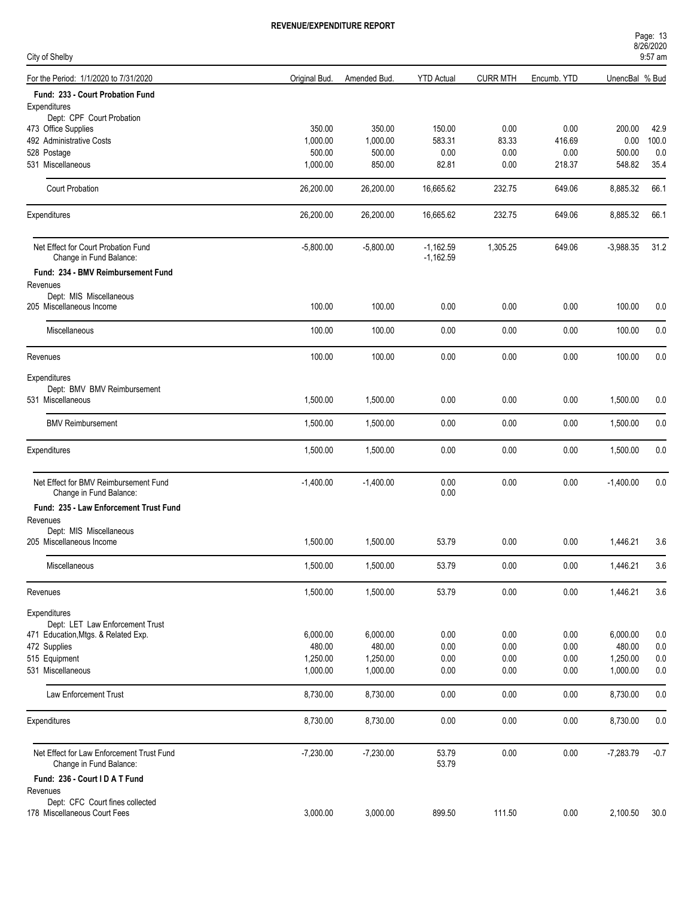| Page: 13  |  |  |
|-----------|--|--|
| 8/26/2020 |  |  |
| 0.57cm    |  |  |

| City of Shelby                                                   |               |              |                            |                 |             |                | 9:57 am |
|------------------------------------------------------------------|---------------|--------------|----------------------------|-----------------|-------------|----------------|---------|
| For the Period: 1/1/2020 to 7/31/2020                            | Original Bud. | Amended Bud. | <b>YTD Actual</b>          | <b>CURR MTH</b> | Encumb. YTD | UnencBal % Bud |         |
| Fund: 233 - Court Probation Fund                                 |               |              |                            |                 |             |                |         |
| Expenditures                                                     |               |              |                            |                 |             |                |         |
| Dept: CPF Court Probation                                        |               |              |                            |                 |             |                |         |
| 473 Office Supplies                                              | 350.00        | 350.00       | 150.00                     | 0.00            | 0.00        | 200.00         | 42.9    |
| 492 Administrative Costs                                         | 1,000.00      | 1,000.00     | 583.31                     | 83.33           | 416.69      | 0.00           | 100.0   |
| 528 Postage                                                      | 500.00        | 500.00       | 0.00                       | 0.00            | 0.00        | 500.00         | 0.0     |
| 531 Miscellaneous                                                | 1,000.00      | 850.00       | 82.81                      | 0.00            | 218.37      | 548.82         | 35.4    |
| <b>Court Probation</b>                                           | 26,200.00     | 26,200.00    | 16,665.62                  | 232.75          | 649.06      | 8,885.32       | 66.1    |
| Expenditures                                                     | 26,200.00     | 26,200.00    | 16,665.62                  | 232.75          | 649.06      | 8,885.32       | 66.1    |
| Net Effect for Court Probation Fund<br>Change in Fund Balance:   | $-5,800.00$   | $-5,800.00$  | $-1,162.59$<br>$-1,162.59$ | 1,305.25        | 649.06      | $-3,988.35$    | 31.2    |
| Fund: 234 - BMV Reimbursement Fund                               |               |              |                            |                 |             |                |         |
| Revenues                                                         |               |              |                            |                 |             |                |         |
| Dept: MIS Miscellaneous                                          |               |              |                            |                 |             |                |         |
| 205 Miscellaneous Income                                         | 100.00        | 100.00       | 0.00                       | 0.00            | 0.00        | 100.00         | 0.0     |
| Miscellaneous                                                    | 100.00        | 100.00       | 0.00                       | 0.00            | 0.00        | 100.00         | 0.0     |
| Revenues                                                         | 100.00        | 100.00       | 0.00                       | 0.00            | 0.00        | 100.00         | 0.0     |
| Expenditures                                                     |               |              |                            |                 |             |                |         |
| Dept: BMV BMV Reimbursement                                      |               |              |                            |                 |             |                |         |
| 531 Miscellaneous                                                | 1,500.00      | 1,500.00     | 0.00                       | 0.00            | 0.00        | 1,500.00       | 0.0     |
| <b>BMV Reimbursement</b>                                         | 1,500.00      | 1,500.00     | 0.00                       | 0.00            | 0.00        | 1,500.00       | 0.0     |
| Expenditures                                                     | 1,500.00      | 1,500.00     | 0.00                       | 0.00            | 0.00        | 1,500.00       | 0.0     |
|                                                                  |               |              |                            |                 |             |                |         |
| Net Effect for BMV Reimbursement Fund<br>Change in Fund Balance: | $-1,400.00$   | $-1,400.00$  | 0.00<br>0.00               | 0.00            | 0.00        | $-1,400.00$    | 0.0     |
| Fund: 235 - Law Enforcement Trust Fund                           |               |              |                            |                 |             |                |         |
| Revenues                                                         |               |              |                            |                 |             |                |         |
| Dept: MIS Miscellaneous                                          |               |              |                            |                 |             |                |         |
| 205 Miscellaneous Income                                         | 1,500.00      | 1,500.00     | 53.79                      | 0.00            | 0.00        | 1,446.21       | 3.6     |
|                                                                  |               |              |                            |                 |             |                |         |
| Miscellaneous                                                    | 1,500.00      | 1,500.00     | 53.79                      | 0.00            | 0.00        | 1,446.21       | 3.6     |
| Revenues                                                         | 1,500.00      | 1,500.00     | 53.79                      | 0.00            | 0.00        | 1,446.21       | 3.6     |
| Expenditures                                                     |               |              |                            |                 |             |                |         |
| Dept: LET Law Enforcement Trust                                  |               |              |                            |                 |             |                |         |
| 471 Education, Mtgs. & Related Exp.                              | 6,000.00      | 6,000.00     | 0.00                       | 0.00            | 0.00        | 6,000.00       | 0.0     |
| 472 Supplies                                                     | 480.00        | 480.00       | 0.00                       | 0.00            | 0.00        | 480.00         | 0.0     |
| 515 Equipment                                                    | 1,250.00      | 1,250.00     | 0.00                       | 0.00            | 0.00        | 1,250.00       | 0.0     |
| 531 Miscellaneous                                                | 1,000.00      | 1,000.00     | 0.00                       | 0.00            | 0.00        | 1,000.00       | 0.0     |
| Law Enforcement Trust                                            | 8,730.00      | 8,730.00     | 0.00                       | 0.00            | 0.00        | 8,730.00       | 0.0     |
| Expenditures                                                     | 8,730.00      | 8,730.00     | 0.00                       | 0.00            | 0.00        | 8,730.00       | 0.0     |
| Net Effect for Law Enforcement Trust Fund                        | $-7,230.00$   | $-7,230.00$  | 53.79                      | 0.00            | 0.00        | $-7,283.79$    | $-0.7$  |
| Change in Fund Balance:                                          |               |              | 53.79                      |                 |             |                |         |
| Fund: 236 - Court I D A T Fund                                   |               |              |                            |                 |             |                |         |
| Revenues<br>Dept: CFC Court fines collected                      |               |              |                            |                 |             |                |         |
| 178 Miscellaneous Court Fees                                     | 3,000.00      | 3,000.00     | 899.50                     | 111.50          | 0.00        | 2,100.50       | 30.0    |
|                                                                  |               |              |                            |                 |             |                |         |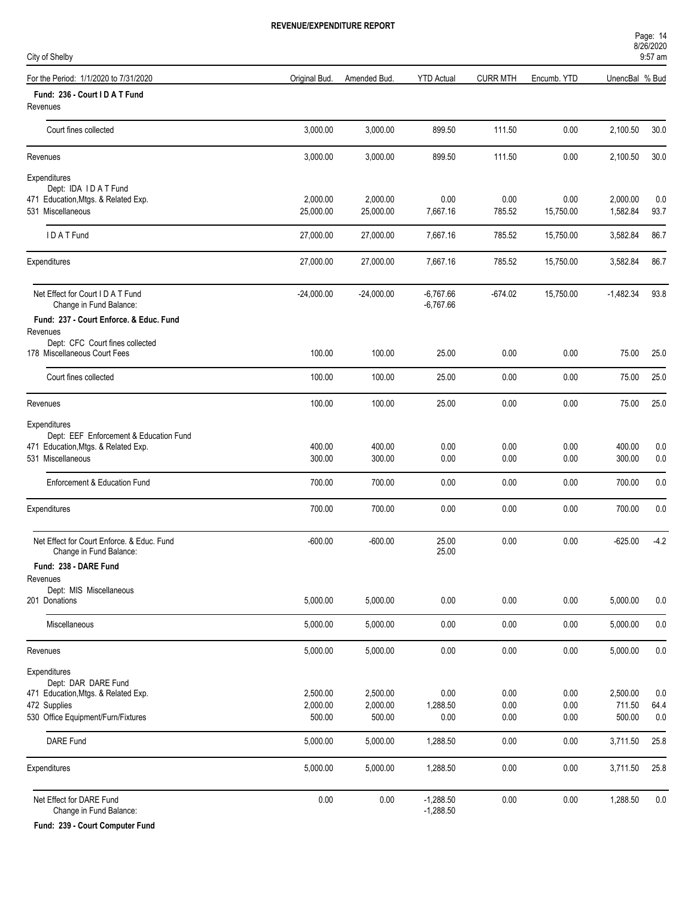| City of Shelby                                                        |                    |                    |                            |                 |              |                  | $9:57$ am   |
|-----------------------------------------------------------------------|--------------------|--------------------|----------------------------|-----------------|--------------|------------------|-------------|
| For the Period: 1/1/2020 to 7/31/2020                                 | Original Bud.      | Amended Bud.       | <b>YTD Actual</b>          | <b>CURR MTH</b> | Encumb. YTD  | UnencBal % Bud   |             |
| Fund: 236 - Court I D A T Fund<br>Revenues                            |                    |                    |                            |                 |              |                  |             |
| Court fines collected                                                 | 3,000.00           | 3,000.00           | 899.50                     | 111.50          | 0.00         | 2,100.50         | 30.0        |
| Revenues                                                              | 3,000.00           | 3,000.00           | 899.50                     | 111.50          | 0.00         | 2,100.50         | 30.0        |
| Expenditures<br>Dept: IDA IDAT Fund                                   |                    |                    |                            |                 |              |                  |             |
| 471 Education, Mtgs. & Related Exp.                                   | 2,000.00           | 2,000.00           | 0.00                       | 0.00            | 0.00         | 2,000.00         | 0.0         |
| 531 Miscellaneous                                                     | 25,000.00          | 25,000.00          | 7,667.16                   | 785.52          | 15,750.00    | 1,582.84         | 93.7        |
| IDATFund                                                              | 27,000.00          | 27,000.00          | 7,667.16                   | 785.52          | 15,750.00    | 3,582.84         | 86.7        |
| Expenditures                                                          | 27,000.00          | 27,000.00          | 7,667.16                   | 785.52          | 15,750.00    | 3,582.84         | 86.7        |
| Net Effect for Court I D A T Fund<br>Change in Fund Balance:          | $-24,000.00$       | $-24,000.00$       | $-6,767.66$<br>$-6,767.66$ | $-674.02$       | 15,750.00    | $-1,482.34$      | 93.8        |
| Fund: 237 - Court Enforce, & Educ, Fund<br>Revenues                   |                    |                    |                            |                 |              |                  |             |
| Dept: CFC Court fines collected<br>178 Miscellaneous Court Fees       | 100.00             | 100.00             | 25.00                      | 0.00            | 0.00         | 75.00            | 25.0        |
| Court fines collected                                                 | 100.00             | 100.00             | 25.00                      | 0.00            | 0.00         | 75.00            | 25.0        |
| Revenues                                                              | 100.00             | 100.00             | 25.00                      | 0.00            | 0.00         | 75.00            | 25.0        |
| Expenditures                                                          |                    |                    |                            |                 |              |                  |             |
| Dept: EEF Enforcement & Education Fund                                |                    |                    |                            |                 |              |                  |             |
| 471 Education, Mtgs. & Related Exp.                                   | 400.00             | 400.00             | 0.00                       | 0.00            | 0.00         | 400.00           | 0.0         |
| 531 Miscellaneous                                                     | 300.00             | 300.00             | 0.00                       | 0.00            | 0.00         | 300.00           | 0.0         |
| Enforcement & Education Fund                                          | 700.00             | 700.00             | 0.00                       | 0.00            | 0.00         | 700.00           | 0.0         |
| Expenditures                                                          | 700.00             | 700.00             | 0.00                       | 0.00            | 0.00         | 700.00           | 0.0         |
| Net Effect for Court Enforce, & Educ, Fund<br>Change in Fund Balance: | $-600.00$          | $-600.00$          | 25.00<br>25.00             | 0.00            | 0.00         | $-625.00$        | $-4.2$      |
| Fund: 238 - DARE Fund                                                 |                    |                    |                            |                 |              |                  |             |
| Revenues<br>Dept: MIS Miscellaneous                                   |                    |                    |                            |                 |              |                  |             |
| 201 Donations                                                         | 5,000.00           | 5,000.00           | 0.00                       | 0.00            | 0.00         | 5,000.00         | 0.0         |
| Miscellaneous                                                         | 5,000.00           | 5,000.00           | 0.00                       | 0.00            | 0.00         | 5,000.00         | $0.0\,$     |
| Revenues                                                              | 5,000.00           | 5,000.00           | 0.00                       | 0.00            | 0.00         | 5,000.00         | $0.0\,$     |
| Expenditures                                                          |                    |                    |                            |                 |              |                  |             |
| Dept: DAR DARE Fund                                                   |                    |                    |                            |                 |              |                  |             |
| 471 Education, Mtgs. & Related Exp.                                   | 2,500.00           | 2,500.00           | 0.00                       | 0.00            | 0.00         | 2,500.00         | 0.0         |
| 472 Supplies<br>530 Office Equipment/Furn/Fixtures                    | 2,000.00<br>500.00 | 2,000.00<br>500.00 | 1,288.50<br>$0.00\,$       | 0.00<br>0.00    | 0.00<br>0.00 | 711.50<br>500.00 | 64.4<br>0.0 |
| DARE Fund                                                             | 5,000.00           | 5,000.00           | 1,288.50                   | 0.00            | 0.00         | 3,711.50         | 25.8        |
| Expenditures                                                          | 5,000.00           | 5,000.00           | 1,288.50                   | 0.00            | 0.00         | 3,711.50         | 25.8        |
|                                                                       |                    |                    |                            |                 |              |                  |             |
| Net Effect for DARE Fund<br>Change in Fund Balance:                   | 0.00               | 0.00               | $-1,288.50$<br>$-1,288.50$ | 0.00            | 0.00         | 1,288.50         | $0.0\,$     |

**Fund: 239 - Court Computer Fund**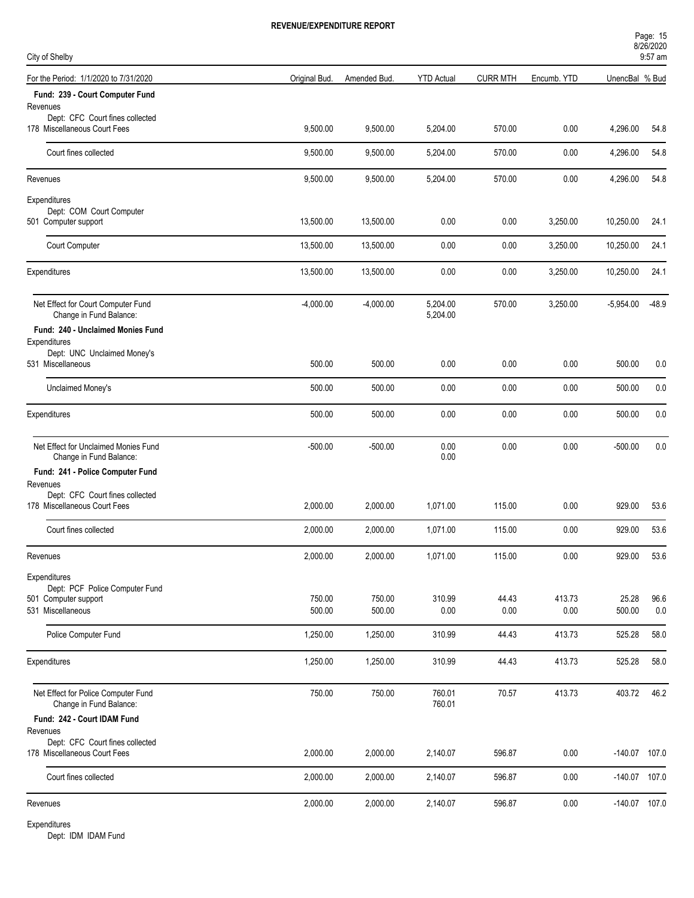Page: 15

| City of Shelby                                                  |               |              |                      |                 |             |                 | 8/26/2020<br>9:57 am |
|-----------------------------------------------------------------|---------------|--------------|----------------------|-----------------|-------------|-----------------|----------------------|
| For the Period: 1/1/2020 to 7/31/2020                           | Original Bud. | Amended Bud. | <b>YTD Actual</b>    | <b>CURR MTH</b> | Encumb. YTD | UnencBal % Bud  |                      |
| Fund: 239 - Court Computer Fund<br>Revenues                     |               |              |                      |                 |             |                 |                      |
| Dept: CFC Court fines collected<br>178 Miscellaneous Court Fees | 9,500.00      | 9,500.00     | 5,204.00             | 570.00          | 0.00        | 4,296.00        | 54.8                 |
| Court fines collected                                           | 9,500.00      | 9,500.00     | 5,204.00             | 570.00          | 0.00        | 4,296.00        | 54.8                 |
| Revenues                                                        | 9,500.00      | 9,500.00     | 5,204.00             | 570.00          | 0.00        | 4,296.00        | 54.8                 |
| Expenditures                                                    |               |              |                      |                 |             |                 |                      |
| Dept: COM Court Computer<br>501 Computer support                | 13,500.00     | 13,500.00    | 0.00                 | 0.00            | 3,250.00    | 10,250.00       | 24.1                 |
| Court Computer                                                  | 13,500.00     | 13,500.00    | 0.00                 | 0.00            | 3,250.00    | 10,250.00       | 24.1                 |
| Expenditures                                                    | 13,500.00     | 13,500.00    | 0.00                 | 0.00            | 3,250.00    | 10,250.00       | 24.1                 |
| Net Effect for Court Computer Fund<br>Change in Fund Balance:   | $-4,000.00$   | $-4,000.00$  | 5,204.00<br>5,204.00 | 570.00          | 3,250.00    | $-5,954.00$     | $-48.9$              |
| Fund: 240 - Unclaimed Monies Fund                               |               |              |                      |                 |             |                 |                      |
| Expenditures<br>Dept: UNC Unclaimed Money's                     |               |              |                      |                 |             |                 |                      |
| 531 Miscellaneous                                               | 500.00        | 500.00       | 0.00                 | 0.00            | 0.00        | 500.00          | 0.0                  |
| Unclaimed Money's                                               | 500.00        | 500.00       | 0.00                 | 0.00            | 0.00        | 500.00          | 0.0                  |
| Expenditures                                                    | 500.00        | 500.00       | 0.00                 | 0.00            | 0.00        | 500.00          | 0.0                  |
| Net Effect for Unclaimed Monies Fund<br>Change in Fund Balance: | $-500.00$     | $-500.00$    | 0.00<br>0.00         | 0.00            | 0.00        | $-500.00$       | 0.0                  |
| Fund: 241 - Police Computer Fund                                |               |              |                      |                 |             |                 |                      |
| Revenues                                                        |               |              |                      |                 |             |                 |                      |
| Dept: CFC Court fines collected<br>178 Miscellaneous Court Fees | 2.000.00      | 2,000.00     | 1,071.00             | 115.00          | 0.00        | 929.00          | 53.6                 |
| Court fines collected                                           | 2,000.00      | 2,000.00     | 1,071.00             | 115.00          | 0.00        | 929.00          | 53.6                 |
| Revenues                                                        | 2,000.00      | 2,000.00     | 1,071.00             | 115.00          | $0.00\,$    | 929.00          | 53.6                 |
| Expenditures                                                    |               |              |                      |                 |             |                 |                      |
| Dept: PCF Police Computer Fund<br>501 Computer support          | 750.00        | 750.00       | 310.99               | 44.43           | 413.73      | 25.28           | 96.6                 |
| 531 Miscellaneous                                               | 500.00        | 500.00       | 0.00                 | 0.00            | 0.00        | 500.00          | 0.0                  |
| Police Computer Fund                                            | 1,250.00      | 1,250.00     | 310.99               | 44.43           | 413.73      | 525.28          | 58.0                 |
| Expenditures                                                    | 1,250.00      | 1,250.00     | 310.99               | 44.43           | 413.73      | 525.28          | 58.0                 |
|                                                                 |               |              |                      |                 |             |                 |                      |
| Net Effect for Police Computer Fund<br>Change in Fund Balance:  | 750.00        | 750.00       | 760.01<br>760.01     | 70.57           | 413.73      | 403.72          | 46.2                 |
| Fund: 242 - Court IDAM Fund                                     |               |              |                      |                 |             |                 |                      |
| Revenues<br>Dept: CFC Court fines collected                     |               |              |                      |                 |             |                 |                      |
| 178 Miscellaneous Court Fees                                    | 2,000.00      | 2,000.00     | 2,140.07             | 596.87          | 0.00        | $-140.07$ 107.0 |                      |
| Court fines collected                                           | 2,000.00      | 2,000.00     | 2,140.07             | 596.87          | 0.00        | $-140.07$ 107.0 |                      |
| Revenues                                                        | 2,000.00      | 2,000.00     | 2,140.07             | 596.87          | 0.00        | $-140.07$ 107.0 |                      |

Expenditures

Dept: IDM IDAM Fund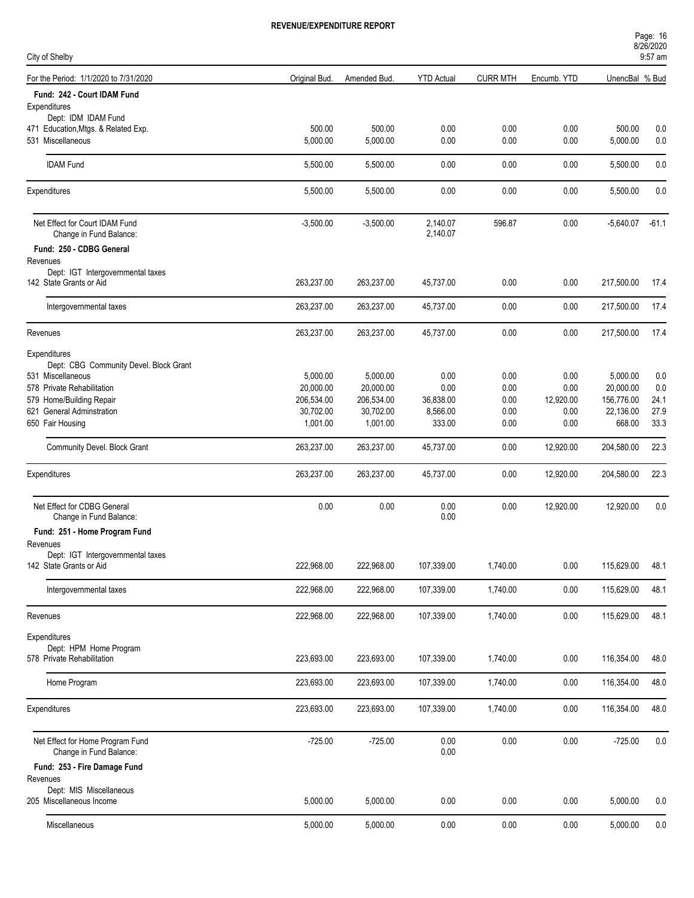| Page: 16   |  |  |
|------------|--|--|
| 8/26/2020  |  |  |
| $\sim$ $-$ |  |  |

| City of Shelby                                              |               |              |                   |                 |             |                | 9:57 am |
|-------------------------------------------------------------|---------------|--------------|-------------------|-----------------|-------------|----------------|---------|
| For the Period: 1/1/2020 to 7/31/2020                       | Original Bud. | Amended Bud. | <b>YTD Actual</b> | <b>CURR MTH</b> | Encumb. YTD | UnencBal % Bud |         |
| Fund: 242 - Court IDAM Fund                                 |               |              |                   |                 |             |                |         |
| Expenditures                                                |               |              |                   |                 |             |                |         |
| Dept: IDM IDAM Fund<br>471 Education, Mtgs. & Related Exp.  | 500.00        | 500.00       | 0.00              | 0.00            | 0.00        | 500.00         | 0.0     |
| 531 Miscellaneous                                           | 5,000.00      | 5,000.00     | 0.00              | 0.00            | 0.00        | 5,000.00       | 0.0     |
|                                                             |               |              |                   |                 |             |                |         |
| <b>IDAM Fund</b>                                            | 5,500.00      | 5,500.00     | 0.00              | 0.00            | 0.00        | 5,500.00       | 0.0     |
| Expenditures                                                | 5,500.00      | 5,500.00     | 0.00              | 0.00            | 0.00        | 5,500.00       | 0.0     |
| Net Effect for Court IDAM Fund                              | $-3,500.00$   | $-3,500.00$  | 2,140.07          | 596.87          | 0.00        | $-5,640.07$    | $-61.1$ |
| Change in Fund Balance:                                     |               |              | 2,140.07          |                 |             |                |         |
| Fund: 250 - CDBG General                                    |               |              |                   |                 |             |                |         |
| Revenues<br>Dept: IGT Intergovernmental taxes               |               |              |                   |                 |             |                |         |
| 142 State Grants or Aid                                     | 263,237.00    | 263,237.00   | 45,737.00         | 0.00            | 0.00        | 217,500.00     | 17.4    |
| Intergovernmental taxes                                     | 263,237.00    | 263,237.00   | 45,737.00         | 0.00            | 0.00        | 217,500.00     | 17.4    |
| Revenues                                                    | 263,237.00    | 263,237.00   | 45,737.00         | 0.00            | 0.00        | 217,500.00     | 17.4    |
| Expenditures                                                |               |              |                   |                 |             |                |         |
| Dept: CBG Community Devel. Block Grant                      |               |              |                   |                 |             |                |         |
| 531 Miscellaneous                                           | 5,000.00      | 5,000.00     | 0.00              | 0.00            | 0.00        | 5,000.00       | 0.0     |
| 578 Private Rehabilitation                                  | 20,000.00     | 20,000.00    | 0.00              | 0.00            | 0.00        | 20,000.00      | 0.0     |
| 579 Home/Building Repair                                    | 206,534.00    | 206,534.00   | 36,838.00         | 0.00            | 12,920.00   | 156,776.00     | 24.1    |
| 621 General Adminstration                                   | 30,702.00     | 30,702.00    | 8,566.00          | 0.00            | 0.00        | 22,136.00      | 27.9    |
| 650 Fair Housing                                            | 1,001.00      | 1,001.00     | 333.00            | 0.00            | 0.00        | 668.00         | 33.3    |
| Community Devel. Block Grant                                | 263,237.00    | 263,237.00   | 45,737.00         | 0.00            | 12,920.00   | 204,580.00     | 22.3    |
| Expenditures                                                | 263,237.00    | 263,237.00   | 45,737.00         | 0.00            | 12,920.00   | 204,580.00     | 22.3    |
| Net Effect for CDBG General                                 | 0.00          | 0.00         | 0.00              | 0.00            | 12,920.00   | 12,920.00      | 0.0     |
| Change in Fund Balance:                                     |               |              | 0.00              |                 |             |                |         |
| Fund: 251 - Home Program Fund                               |               |              |                   |                 |             |                |         |
| Revenues                                                    |               |              |                   |                 |             |                |         |
| Dept: IGT Intergovernmental taxes                           |               |              |                   |                 |             |                |         |
| 142 State Grants or Aid                                     | 222,968.00    | 222,968.00   | 107,339.00        | 1,740.00        | 0.00        | 115,629.00     | 48.1    |
| Intergovernmental taxes                                     | 222,968.00    | 222,968.00   | 107,339.00        | 1,740.00        | 0.00        | 115,629.00     | 48.1    |
| Revenues                                                    | 222,968.00    | 222,968.00   | 107,339.00        | 1,740.00        | 0.00        | 115,629.00     | 48.1    |
| Expenditures                                                |               |              |                   |                 |             |                |         |
| Dept: HPM Home Program<br>578 Private Rehabilitation        | 223,693.00    | 223,693.00   | 107,339.00        | 1,740.00        | 0.00        | 116,354.00     | 48.0    |
| Home Program                                                | 223,693.00    | 223,693.00   | 107,339.00        | 1,740.00        | 0.00        | 116,354.00     | 48.0    |
|                                                             |               |              |                   |                 |             |                |         |
| Expenditures                                                | 223,693.00    | 223,693.00   | 107,339.00        | 1,740.00        | 0.00        | 116,354.00     | 48.0    |
| Net Effect for Home Program Fund<br>Change in Fund Balance: | $-725.00$     | $-725.00$    | 0.00<br>0.00      | 0.00            | 0.00        | $-725.00$      | 0.0     |
| Fund: 253 - Fire Damage Fund                                |               |              |                   |                 |             |                |         |
| Revenues                                                    |               |              |                   |                 |             |                |         |
| Dept: MIS Miscellaneous<br>205 Miscellaneous Income         | 5,000.00      | 5,000.00     | 0.00              | 0.00            | 0.00        | 5,000.00       | 0.0     |
| Miscellaneous                                               | 5,000.00      | 5,000.00     | 0.00              | 0.00            | 0.00        | 5,000.00       | 0.0     |
|                                                             |               |              |                   |                 |             |                |         |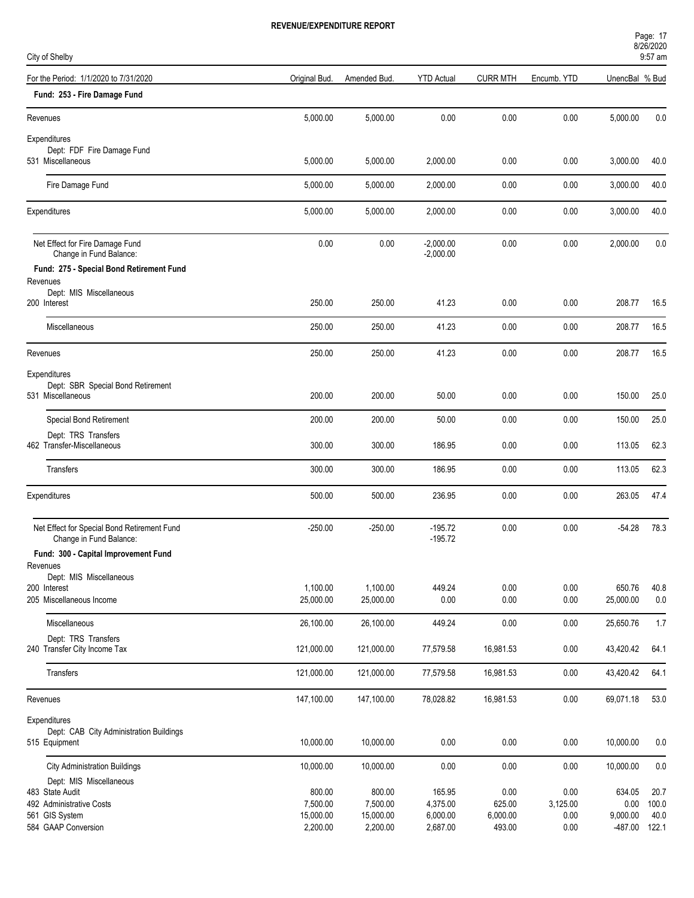| Page: 17   |  |
|------------|--|
| 8/26/2020  |  |
| $\sim$ $-$ |  |

| City of Shelby                                                         |               |              |                            |                 |             |                | $9:57$ am |
|------------------------------------------------------------------------|---------------|--------------|----------------------------|-----------------|-------------|----------------|-----------|
| For the Period: 1/1/2020 to 7/31/2020                                  | Original Bud. | Amended Bud. | <b>YTD Actual</b>          | <b>CURR MTH</b> | Encumb. YTD | UnencBal % Bud |           |
| Fund: 253 - Fire Damage Fund                                           |               |              |                            |                 |             |                |           |
| Revenues                                                               | 5,000.00      | 5,000.00     | 0.00                       | 0.00            | 0.00        | 5,000.00       | 0.0       |
| Expenditures                                                           |               |              |                            |                 |             |                |           |
| Dept: FDF Fire Damage Fund<br>531 Miscellaneous                        | 5,000.00      | 5,000.00     | 2,000.00                   | 0.00            | 0.00        | 3,000.00       | 40.0      |
| Fire Damage Fund                                                       | 5,000.00      | 5,000.00     | 2,000.00                   | 0.00            | 0.00        | 3,000.00       | 40.0      |
| Expenditures                                                           | 5,000.00      | 5,000.00     | 2,000.00                   | 0.00            | 0.00        | 3,000.00       | 40.0      |
| Net Effect for Fire Damage Fund<br>Change in Fund Balance:             | 0.00          | 0.00         | $-2,000.00$<br>$-2,000.00$ | 0.00            | 0.00        | 2,000.00       | 0.0       |
| Fund: 275 - Special Bond Retirement Fund                               |               |              |                            |                 |             |                |           |
| Revenues<br>Dept: MIS Miscellaneous                                    |               |              |                            |                 |             |                |           |
| 200 Interest                                                           | 250.00        | 250.00       | 41.23                      | 0.00            | 0.00        | 208.77         | 16.5      |
| Miscellaneous                                                          | 250.00        | 250.00       | 41.23                      | 0.00            | 0.00        | 208.77         | 16.5      |
| Revenues                                                               | 250.00        | 250.00       | 41.23                      | 0.00            | 0.00        | 208.77         | 16.5      |
| Expenditures                                                           |               |              |                            |                 |             |                |           |
| Dept: SBR Special Bond Retirement<br>531 Miscellaneous                 | 200.00        | 200.00       | 50.00                      | 0.00            | 0.00        | 150.00         | 25.0      |
| Special Bond Retirement                                                | 200.00        | 200.00       | 50.00                      | 0.00            | 0.00        | 150.00         | 25.0      |
| Dept: TRS Transfers                                                    |               |              |                            |                 |             |                |           |
| 462 Transfer-Miscellaneous                                             | 300.00        | 300.00       | 186.95                     | 0.00            | 0.00        | 113.05         | 62.3      |
| Transfers                                                              | 300.00        | 300.00       | 186.95                     | 0.00            | 0.00        | 113.05         | 62.3      |
| Expenditures                                                           | 500.00        | 500.00       | 236.95                     | 0.00            | 0.00        | 263.05         | 47.4      |
| Net Effect for Special Bond Retirement Fund<br>Change in Fund Balance: | $-250.00$     | $-250.00$    | $-195.72$<br>$-195.72$     | 0.00            | 0.00        | $-54.28$       | 78.3      |
| Fund: 300 - Capital Improvement Fund                                   |               |              |                            |                 |             |                |           |
| Revenues<br>Dept: MIS Miscellaneous                                    |               |              |                            |                 |             |                |           |
| 200 Interest                                                           | 1,100.00      | 1,100.00     | 449.24                     | 0.00            | 0.00        | 650.76         | 40.8      |
| 205 Miscellaneous Income                                               | 25,000.00     | 25,000.00    | 0.00                       | 0.00            | 0.00        | 25,000.00      | 0.0       |
| Miscellaneous                                                          | 26,100.00     | 26,100.00    | 449.24                     | 0.00            | 0.00        | 25,650.76      | 1.7       |
| Dept: TRS Transfers<br>240 Transfer City Income Tax                    | 121,000.00    | 121,000.00   | 77,579.58                  | 16,981.53       | 0.00        | 43,420.42      | 64.1      |
| Transfers                                                              | 121,000.00    | 121,000.00   | 77,579.58                  | 16,981.53       | 0.00        | 43,420.42      | 64.1      |
| Revenues                                                               | 147,100.00    | 147,100.00   | 78,028.82                  | 16,981.53       | 0.00        | 69,071.18      | 53.0      |
| Expenditures                                                           |               |              |                            |                 |             |                |           |
| Dept: CAB City Administration Buildings<br>515 Equipment               | 10,000.00     | 10,000.00    | 0.00                       | 0.00            | 0.00        | 10,000.00      | 0.0       |
|                                                                        |               |              |                            |                 |             |                |           |
| <b>City Administration Buildings</b>                                   | 10,000.00     | 10,000.00    | 0.00                       | 0.00            | 0.00        | 10,000.00      | 0.0       |
| Dept: MIS Miscellaneous<br>483 State Audit                             | 800.00        | 800.00       | 165.95                     | 0.00            | 0.00        | 634.05         | 20.7      |
| 492 Administrative Costs                                               | 7,500.00      | 7,500.00     | 4,375.00                   | 625.00          | 3,125.00    | 0.00           | 100.0     |
| 561 GIS System                                                         | 15,000.00     | 15,000.00    | 6,000.00                   | 6,000.00        | 0.00        | 9,000.00       | 40.0      |
| 584 GAAP Conversion                                                    | 2,200.00      | 2,200.00     | 2,687.00                   | 493.00          | 0.00        | $-487.00$      | 122.1     |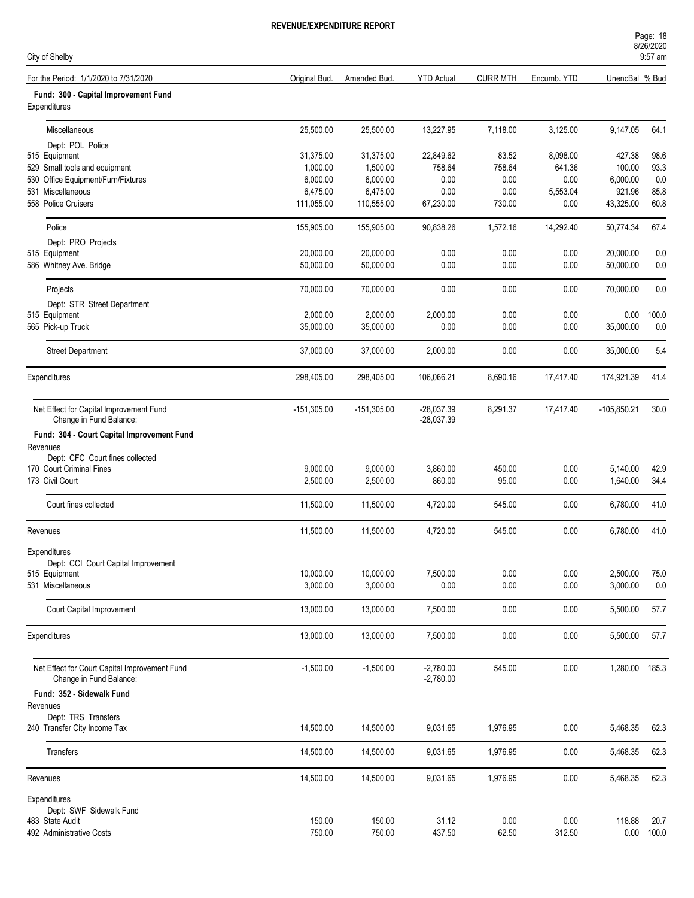| Page: 18  |  |
|-----------|--|
| 8/26/2020 |  |
| $0.57$ am |  |

| City of Shelby                                                     |               |               |                              |                 |             | UILUILULU<br>9:57 am |       |  |
|--------------------------------------------------------------------|---------------|---------------|------------------------------|-----------------|-------------|----------------------|-------|--|
| For the Period: 1/1/2020 to 7/31/2020                              | Original Bud. | Amended Bud.  | <b>YTD Actual</b>            | <b>CURR MTH</b> | Encumb. YTD | UnencBal % Bud       |       |  |
| Fund: 300 - Capital Improvement Fund<br>Expenditures               |               |               |                              |                 |             |                      |       |  |
| Miscellaneous                                                      | 25,500.00     | 25,500.00     | 13,227.95                    | 7,118.00        | 3,125.00    | 9,147.05             | 64.1  |  |
| Dept: POL Police                                                   |               |               |                              |                 |             |                      |       |  |
| 515 Equipment                                                      | 31,375.00     | 31,375.00     | 22,849.62                    | 83.52           | 8,098.00    | 427.38               | 98.6  |  |
| 529 Small tools and equipment                                      | 1,000.00      | 1,500.00      | 758.64                       | 758.64          | 641.36      | 100.00               | 93.3  |  |
| 530 Office Equipment/Furn/Fixtures                                 | 6,000.00      | 6,000.00      | 0.00                         | 0.00            | 0.00        | 6,000.00             | 0.0   |  |
| 531 Miscellaneous                                                  | 6,475.00      | 6,475.00      | 0.00                         | 0.00            | 5,553.04    | 921.96               | 85.8  |  |
| 558 Police Cruisers                                                | 111,055.00    | 110,555.00    | 67,230.00                    | 730.00          | 0.00        | 43,325.00            | 60.8  |  |
| Police                                                             | 155,905.00    | 155,905.00    | 90,838.26                    | 1,572.16        | 14,292.40   | 50,774.34            | 67.4  |  |
| Dept: PRO Projects                                                 |               |               |                              |                 |             |                      |       |  |
| 515 Equipment                                                      | 20,000.00     | 20,000.00     | 0.00                         | 0.00            | 0.00        | 20,000.00            | 0.0   |  |
| 586 Whitney Ave. Bridge                                            | 50,000.00     | 50,000.00     | 0.00                         | 0.00            | 0.00        | 50,000.00            | 0.0   |  |
| Projects                                                           | 70,000.00     | 70,000.00     | 0.00                         | 0.00            | 0.00        | 70,000.00            | 0.0   |  |
| Dept: STR Street Department                                        |               |               |                              |                 |             |                      |       |  |
| 515 Equipment                                                      | 2,000.00      | 2,000.00      | 2,000.00                     | 0.00            | 0.00        | 0.00                 | 100.0 |  |
| 565 Pick-up Truck                                                  | 35,000.00     | 35,000.00     | 0.00                         | 0.00            | 0.00        | 35,000.00            | 0.0   |  |
| <b>Street Department</b>                                           | 37,000.00     | 37,000.00     | 2,000.00                     | 0.00            | 0.00        | 35,000.00            | 5.4   |  |
| Expenditures                                                       | 298,405.00    | 298,405.00    | 106,066.21                   | 8,690.16        | 17,417.40   | 174,921.39           | 41.4  |  |
| Net Effect for Capital Improvement Fund<br>Change in Fund Balance: | $-151,305.00$ | $-151,305.00$ | $-28,037.39$<br>$-28,037.39$ | 8,291.37        | 17,417.40   | $-105,850.21$        | 30.0  |  |
| Fund: 304 - Court Capital Improvement Fund                         |               |               |                              |                 |             |                      |       |  |
| Revenues                                                           |               |               |                              |                 |             |                      |       |  |
| Dept: CFC Court fines collected                                    |               |               |                              |                 |             |                      |       |  |
| 170 Court Criminal Fines                                           | 9,000.00      | 9,000.00      | 3,860.00                     | 450.00          | 0.00        | 5,140.00             | 42.9  |  |
| 173 Civil Court                                                    | 2,500.00      | 2,500.00      | 860.00                       | 95.00           | 0.00        | 1,640.00             | 34.4  |  |
| Court fines collected                                              | 11,500.00     | 11,500.00     | 4,720.00                     | 545.00          | 0.00        | 6,780.00             | 41.0  |  |
| Revenues                                                           | 11,500.00     | 11,500.00     | 4,720.00                     | 545.00          | 0.00        | 6,780.00             | 41.0  |  |
| Expenditures                                                       |               |               |                              |                 |             |                      |       |  |
| Dept: CCI Court Capital Improvement                                |               |               |                              |                 |             |                      |       |  |
| 515 Equipment                                                      | 10,000.00     | 10,000.00     | 7,500.00                     | 0.00            | 0.00        | 2,500.00             | 75.0  |  |
| 531 Miscellaneous                                                  | 3,000.00      | 3,000.00      | 0.00                         | 0.00            | 0.00        | 3,000.00             | $0.0$ |  |
| Court Capital Improvement                                          | 13,000.00     | 13,000.00     | 7,500.00                     | 0.00            | 0.00        | 5,500.00             | 57.7  |  |
| Expenditures                                                       | 13,000.00     | 13,000.00     | 7,500.00                     | 0.00            | 0.00        | 5,500.00             | 57.7  |  |
| Net Effect for Court Capital Improvement Fund                      | $-1,500.00$   | $-1,500.00$   | $-2,780.00$                  | 545.00          | 0.00        | 1,280.00 185.3       |       |  |
| Change in Fund Balance:                                            |               |               | $-2,780.00$                  |                 |             |                      |       |  |
| Fund: 352 - Sidewalk Fund<br>Revenues                              |               |               |                              |                 |             |                      |       |  |
| Dept: TRS Transfers                                                |               |               |                              |                 |             |                      |       |  |
| 240 Transfer City Income Tax                                       | 14,500.00     | 14,500.00     | 9,031.65                     | 1,976.95        | 0.00        | 5,468.35             | 62.3  |  |
| Transfers                                                          | 14,500.00     | 14,500.00     | 9,031.65                     | 1,976.95        | 0.00        | 5,468.35             | 62.3  |  |
| Revenues                                                           | 14,500.00     | 14,500.00     | 9,031.65                     | 1,976.95        | 0.00        | 5,468.35             | 62.3  |  |
| Expenditures                                                       |               |               |                              |                 |             |                      |       |  |
| Dept: SWF Sidewalk Fund                                            |               |               |                              |                 |             |                      |       |  |
| 483 State Audit                                                    | 150.00        | 150.00        | 31.12                        | 0.00            | 0.00        | 118.88               | 20.7  |  |
| 492 Administrative Costs                                           | 750.00        | 750.00        | 437.50                       | 62.50           | 312.50      | 0.00                 | 100.0 |  |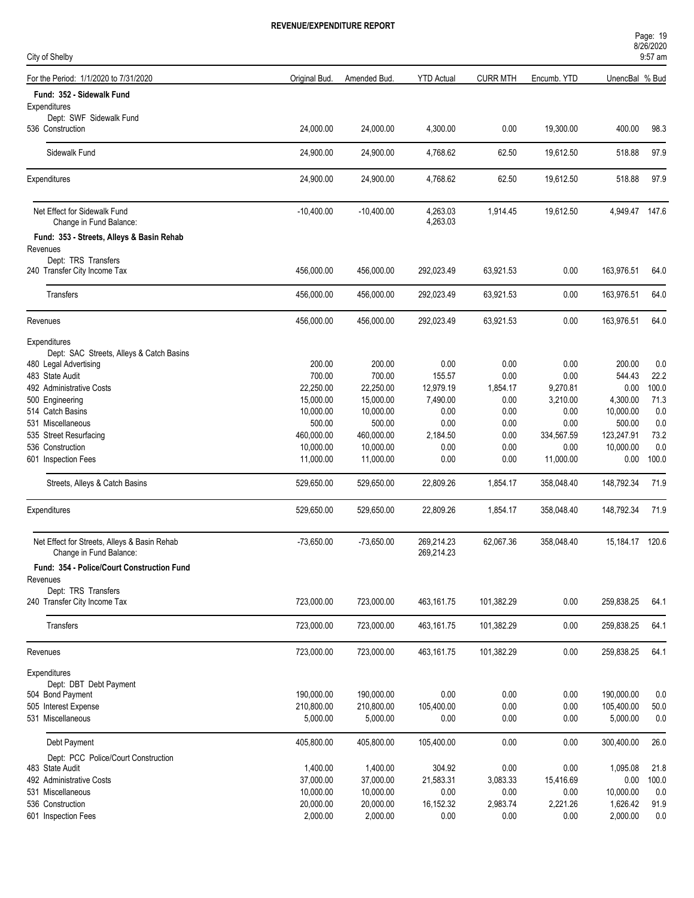| Page: 19  |  |  |
|-----------|--|--|
| 8/26/2020 |  |  |
|           |  |  |

| City of Shelby                                                          |                        |                        |                          |                  |                  |                   | $9:57$ am    |
|-------------------------------------------------------------------------|------------------------|------------------------|--------------------------|------------------|------------------|-------------------|--------------|
| For the Period: 1/1/2020 to 7/31/2020                                   | Original Bud.          | Amended Bud.           | <b>YTD Actual</b>        | <b>CURR MTH</b>  | Encumb. YTD      | UnencBal % Bud    |              |
| Fund: 352 - Sidewalk Fund                                               |                        |                        |                          |                  |                  |                   |              |
| Expenditures                                                            |                        |                        |                          |                  |                  |                   |              |
| Dept: SWF Sidewalk Fund<br>536 Construction                             | 24,000.00              | 24,000.00              | 4,300.00                 | 0.00             | 19,300.00        | 400.00            | 98.3         |
| Sidewalk Fund                                                           | 24,900.00              | 24,900.00              | 4,768.62                 | 62.50            | 19,612.50        | 518.88            | 97.9         |
| Expenditures                                                            | 24,900.00              | 24,900.00              | 4,768.62                 | 62.50            | 19,612.50        | 518.88            | 97.9         |
| Net Effect for Sidewalk Fund<br>Change in Fund Balance:                 | $-10,400.00$           | $-10,400.00$           | 4,263.03<br>4,263.03     | 1,914.45         | 19,612.50        | 4,949.47 147.6    |              |
| Fund: 353 - Streets, Alleys & Basin Rehab<br>Revenues                   |                        |                        |                          |                  |                  |                   |              |
| Dept: TRS Transfers<br>240 Transfer City Income Tax                     | 456,000.00             | 456,000.00             | 292,023.49               | 63,921.53        | 0.00             | 163,976.51        | 64.0         |
| Transfers                                                               | 456,000.00             | 456,000.00             | 292,023.49               | 63,921.53        | 0.00             | 163,976.51        | 64.0         |
| Revenues                                                                | 456,000.00             | 456,000.00             | 292,023.49               | 63,921.53        | 0.00             | 163,976.51        | 64.0         |
| Expenditures                                                            |                        |                        |                          |                  |                  |                   |              |
| Dept: SAC Streets, Alleys & Catch Basins                                |                        |                        |                          |                  |                  |                   |              |
| 480 Legal Advertising                                                   | 200.00                 | 200.00                 | 0.00                     | 0.00             | 0.00             | 200.00            | 0.0          |
| 483 State Audit                                                         | 700.00                 | 700.00                 | 155.57                   | 0.00             | 0.00             | 544.43            | 22.2         |
| 492 Administrative Costs                                                | 22,250.00              | 22,250.00              | 12,979.19                | 1,854.17         | 9,270.81         | 0.00              | 100.0        |
| 500 Engineering                                                         | 15,000.00              | 15,000.00              | 7,490.00                 | 0.00             | 3,210.00         | 4,300.00          | 71.3         |
| 514 Catch Basins                                                        | 10,000.00              | 10,000.00              | 0.00                     | 0.00             | 0.00             | 10,000.00         | 0.0          |
| 531 Miscellaneous                                                       | 500.00                 | 500.00                 | 0.00                     | 0.00             | 0.00             | 500.00            | 0.0          |
| 535 Street Resurfacing                                                  | 460,000.00             | 460,000.00             | 2,184.50                 | 0.00             | 334,567.59       | 123,247.91        | 73.2         |
| 536 Construction                                                        | 10,000.00              | 10,000.00              | 0.00                     | 0.00             | 0.00             | 10,000.00         | 0.0          |
| 601 Inspection Fees                                                     | 11,000.00              | 11,000.00              | 0.00                     | 0.00             | 11,000.00        | 0.00              | 100.0        |
| Streets, Alleys & Catch Basins                                          | 529,650.00             | 529,650.00             | 22,809.26                | 1,854.17         | 358,048.40       | 148,792.34        | 71.9         |
| Expenditures                                                            | 529,650.00             | 529,650.00             | 22,809.26                | 1,854.17         | 358,048.40       | 148,792.34        | 71.9         |
| Net Effect for Streets, Alleys & Basin Rehab<br>Change in Fund Balance: | $-73,650.00$           | $-73,650.00$           | 269,214.23<br>269,214.23 | 62,067.36        | 358,048.40       | 15,184.17 120.6   |              |
| Fund: 354 - Police/Court Construction Fund                              |                        |                        |                          |                  |                  |                   |              |
| Revenues<br>Dept: TRS Transfers                                         |                        |                        |                          |                  |                  |                   |              |
| 240 Transfer City Income Tax                                            | 723,000.00             | 723,000.00             | 463,161.75               | 101,382.29       | 0.00             | 259,838.25        | 64.1         |
| Transfers                                                               | 723,000.00             | 723,000.00             | 463,161.75               | 101,382.29       | 0.00             | 259,838.25        | 64.1         |
| Revenues                                                                | 723,000.00             | 723,000.00             | 463,161.75               | 101,382.29       | 0.00             | 259,838.25        | 64.1         |
| Expenditures                                                            |                        |                        |                          |                  |                  |                   |              |
| Dept: DBT Debt Payment                                                  |                        |                        |                          |                  |                  |                   |              |
| 504 Bond Payment                                                        | 190,000.00             | 190,000.00             | 0.00                     | 0.00             | 0.00             | 190,000.00        | 0.0          |
| 505 Interest Expense                                                    | 210,800.00             | 210,800.00             | 105,400.00               | 0.00             | 0.00             | 105,400.00        | $50.0$       |
| 531 Miscellaneous                                                       | 5,000.00               | 5,000.00               | 0.00                     | 0.00             | 0.00             | 5,000.00          | 0.0          |
| Debt Payment                                                            | 405,800.00             | 405,800.00             | 105,400.00               | 0.00             | 0.00             | 300,400.00        | 26.0         |
| Dept: PCC Police/Court Construction                                     |                        |                        |                          |                  |                  |                   |              |
| 483 State Audit                                                         | 1,400.00               | 1,400.00               | 304.92                   | 0.00             | 0.00             | 1,095.08          | 21.8         |
| 492 Administrative Costs<br>531 Miscellaneous                           | 37,000.00<br>10,000.00 | 37,000.00              | 21,583.31<br>0.00        | 3,083.33         | 15,416.69        | 0.00<br>10,000.00 | 100.0<br>0.0 |
| 536 Construction                                                        | 20,000.00              | 10,000.00<br>20,000.00 | 16,152.32                | 0.00<br>2,983.74 | 0.00<br>2,221.26 | 1,626.42          |              |
| 601 Inspection Fees                                                     | 2,000.00               | 2,000.00               |                          |                  |                  | 2,000.00          | 91.9<br>0.0  |
|                                                                         |                        |                        | 0.00                     | 0.00             | 0.00             |                   |              |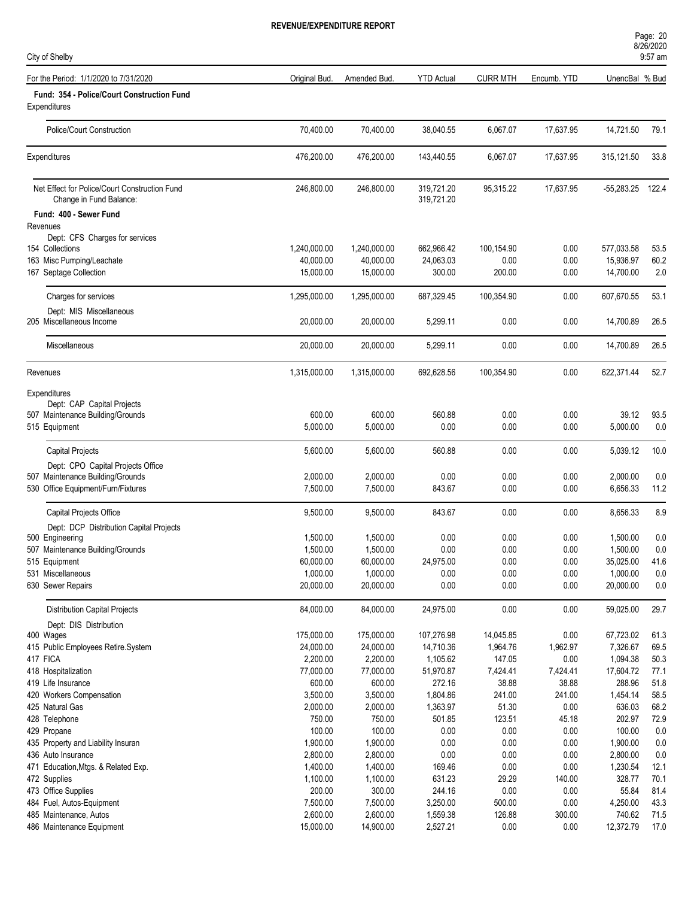| City of Shelby                                                           |                           |                           |                          |                    |              |                         | UILUILULU<br>9:57 am |  |
|--------------------------------------------------------------------------|---------------------------|---------------------------|--------------------------|--------------------|--------------|-------------------------|----------------------|--|
| For the Period: 1/1/2020 to 7/31/2020                                    | Original Bud.             | Amended Bud.              | <b>YTD Actual</b>        | <b>CURR MTH</b>    | Encumb. YTD  | UnencBal % Bud          |                      |  |
| Fund: 354 - Police/Court Construction Fund<br>Expenditures               |                           |                           |                          |                    |              |                         |                      |  |
| Police/Court Construction                                                | 70,400.00                 | 70,400.00                 | 38,040.55                | 6,067.07           | 17,637.95    | 14,721.50               | 79.1                 |  |
| Expenditures                                                             | 476,200.00                | 476,200.00                | 143,440.55               | 6,067.07           | 17,637.95    | 315,121.50              | 33.8                 |  |
| Net Effect for Police/Court Construction Fund<br>Change in Fund Balance: | 246,800.00                | 246,800.00                | 319,721.20<br>319,721.20 | 95,315.22          | 17,637.95    | $-55,283.25$            | 122.4                |  |
| Fund: 400 - Sewer Fund                                                   |                           |                           |                          |                    |              |                         |                      |  |
| Revenues                                                                 |                           |                           |                          |                    |              |                         |                      |  |
| Dept: CFS Charges for services                                           |                           |                           |                          |                    |              |                         |                      |  |
| 154 Collections<br>163 Misc Pumping/Leachate                             | 1,240,000.00<br>40,000.00 | 1,240,000.00<br>40,000.00 | 662,966.42<br>24,063.03  | 100,154.90<br>0.00 | 0.00<br>0.00 | 577,033.58<br>15,936.97 | 53.5<br>60.2         |  |
| 167 Septage Collection                                                   | 15,000.00                 | 15,000.00                 | 300.00                   | 200.00             | 0.00         | 14,700.00               | 2.0                  |  |
|                                                                          |                           |                           |                          |                    |              |                         |                      |  |
| Charges for services                                                     | 1,295,000.00              | 1,295,000.00              | 687,329.45               | 100,354.90         | 0.00         | 607,670.55              | 53.1                 |  |
| Dept: MIS Miscellaneous<br>205 Miscellaneous Income                      | 20,000.00                 | 20,000.00                 | 5,299.11                 | 0.00               | 0.00         | 14,700.89               | 26.5                 |  |
|                                                                          |                           |                           |                          |                    |              |                         |                      |  |
| Miscellaneous                                                            | 20,000.00                 | 20,000.00                 | 5,299.11                 | 0.00               | 0.00         | 14,700.89               | 26.5                 |  |
| Revenues                                                                 | 1,315,000.00              | 1,315,000.00              | 692,628.56               | 100,354.90         | 0.00         | 622,371.44              | 52.7                 |  |
| Expenditures                                                             |                           |                           |                          |                    |              |                         |                      |  |
| Dept: CAP Capital Projects                                               |                           |                           |                          |                    |              |                         |                      |  |
| 507 Maintenance Building/Grounds                                         | 600.00                    | 600.00                    | 560.88                   | 0.00               | 0.00         | 39.12                   | 93.5                 |  |
| 515 Equipment                                                            | 5,000.00                  | 5,000.00                  | 0.00                     | 0.00               | 0.00         | 5,000.00                | 0.0                  |  |
| <b>Capital Projects</b>                                                  | 5,600.00                  | 5,600.00                  | 560.88                   | 0.00               | 0.00         | 5,039.12                | 10.0                 |  |
| Dept: CPO Capital Projects Office                                        |                           |                           |                          |                    |              |                         |                      |  |
| 507 Maintenance Building/Grounds                                         | 2,000.00                  | 2,000.00                  | 0.00                     | 0.00               | 0.00         | 2,000.00                | 0.0                  |  |
| 530 Office Equipment/Furn/Fixtures                                       | 7,500.00                  | 7,500.00                  | 843.67                   | 0.00               | 0.00         | 6,656.33                | 11.2                 |  |
| Capital Projects Office                                                  | 9,500.00                  | 9,500.00                  | 843.67                   | 0.00               | 0.00         | 8,656.33                | 8.9                  |  |
| Dept: DCP Distribution Capital Projects                                  |                           |                           |                          |                    |              |                         |                      |  |
| 500 Engineering                                                          | 1,500.00                  | 1,500.00                  | 0.00                     | 0.00               | 0.00         | 1,500.00                | 0.0                  |  |
| 507 Maintenance Building/Grounds                                         | 1,500.00                  | 1,500.00                  | 0.00                     | 0.00               | 0.00         | 1,500.00                | 0.0                  |  |
| 515 Equipment<br>531 Miscellaneous                                       | 60,000.00<br>1,000.00     | 60,000.00<br>1,000.00     | 24,975.00<br>0.00        | 0.00<br>0.00       | 0.00<br>0.00 | 35,025.00<br>1,000.00   | 41.6<br>0.0          |  |
| 630 Sewer Repairs                                                        | 20,000.00                 | 20,000.00                 | 0.00                     | 0.00               | 0.00         | 20,000.00               | 0.0                  |  |
| <b>Distribution Capital Projects</b>                                     | 84,000.00                 | 84,000.00                 | 24,975.00                | 0.00               | 0.00         | 59,025.00               | 29.7                 |  |
| Dept: DIS Distribution                                                   |                           |                           |                          |                    |              |                         |                      |  |
| 400 Wages                                                                | 175,000.00                | 175,000.00                | 107,276.98               | 14,045.85          | 0.00         | 67,723.02               | 61.3                 |  |
| 415 Public Employees Retire.System                                       | 24,000.00                 | 24,000.00                 | 14,710.36                | 1,964.76           | 1,962.97     | 7,326.67                | 69.5                 |  |
| 417 FICA                                                                 | 2,200.00                  | 2,200.00                  | 1,105.62                 | 147.05             | 0.00         | 1,094.38                | 50.3                 |  |
| 418 Hospitalization                                                      | 77,000.00                 | 77,000.00                 | 51,970.87                | 7,424.41           | 7,424.41     | 17,604.72               | 77.1                 |  |
| 419 Life Insurance                                                       | 600.00                    | 600.00                    | 272.16                   | 38.88              | 38.88        | 288.96                  | 51.8                 |  |
| 420 Workers Compensation                                                 | 3,500.00                  | 3,500.00                  | 1,804.86                 | 241.00             | 241.00       | 1,454.14                | 58.5                 |  |
| 425 Natural Gas                                                          | 2,000.00                  | 2,000.00                  | 1,363.97                 | 51.30              | 0.00         | 636.03                  | 68.2                 |  |
| 428 Telephone                                                            | 750.00                    | 750.00                    | 501.85                   | 123.51             | 45.18        | 202.97                  | 72.9                 |  |
| 429 Propane<br>435 Property and Liability Insuran                        | 100.00<br>1,900.00        | 100.00<br>1,900.00        | 0.00<br>0.00             | 0.00<br>0.00       | 0.00<br>0.00 | 100.00<br>1,900.00      | 0.0<br>$0.0\,$       |  |
| 436 Auto Insurance                                                       | 2,800.00                  | 2,800.00                  | 0.00                     | 0.00               | 0.00         | 2,800.00                | 0.0                  |  |
| 471 Education, Mtgs. & Related Exp.                                      | 1,400.00                  | 1,400.00                  | 169.46                   | 0.00               | 0.00         | 1,230.54                | 12.1                 |  |
| 472 Supplies                                                             | 1,100.00                  | 1,100.00                  | 631.23                   | 29.29              | 140.00       | 328.77                  | 70.1                 |  |
| 473 Office Supplies                                                      | 200.00                    | 300.00                    | 244.16                   | 0.00               | 0.00         | 55.84                   | 81.4                 |  |
| 484 Fuel, Autos-Equipment                                                | 7,500.00                  | 7,500.00                  | 3,250.00                 | 500.00             | 0.00         | 4,250.00                | 43.3                 |  |
| 485 Maintenance, Autos                                                   | 2,600.00                  | 2,600.00                  | 1,559.38                 | 126.88             | 300.00       | 740.62                  | 71.5                 |  |
| 486 Maintenance Equipment                                                | 15,000.00                 | 14,900.00                 | 2,527.21                 | 0.00               | 0.00         | 12,372.79               | 17.0                 |  |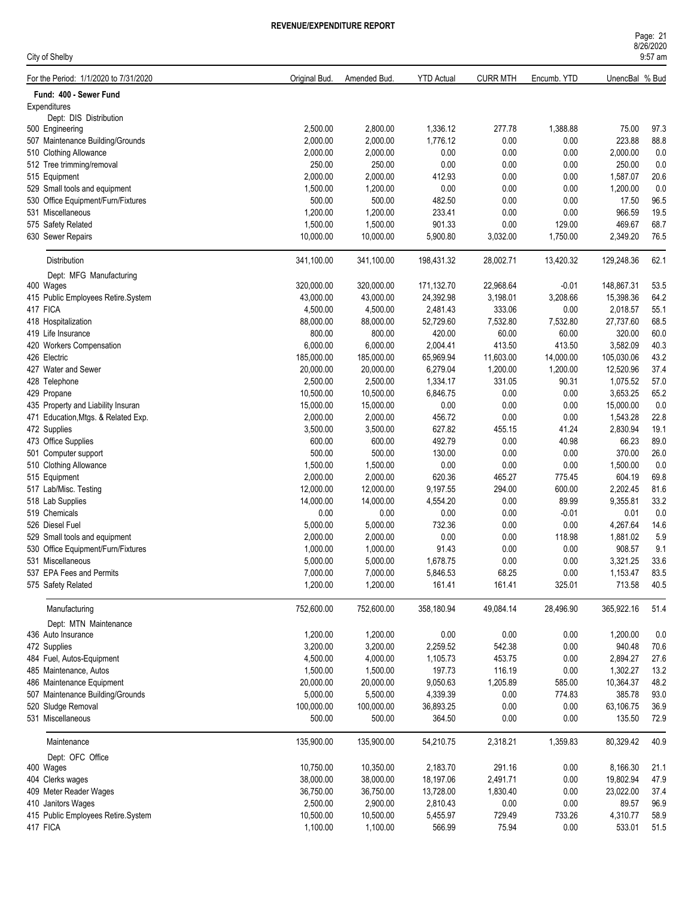| 8/26/2020 |
|-----------|
|           |
| $9:57$ am |

| City of Shelby                                          |               |                      |                   |                 |                |                | 9:57 am |
|---------------------------------------------------------|---------------|----------------------|-------------------|-----------------|----------------|----------------|---------|
| For the Period: 1/1/2020 to 7/31/2020                   | Original Bud. | Amended Bud.         | <b>YTD Actual</b> | <b>CURR MTH</b> | Encumb. YTD    | UnencBal % Bud |         |
| Fund: 400 - Sewer Fund                                  |               |                      |                   |                 |                |                |         |
| Expenditures                                            |               |                      |                   |                 |                |                |         |
| Dept: DIS Distribution                                  |               |                      |                   |                 |                |                |         |
| 500 Engineering                                         | 2,500.00      | 2,800.00             | 1,336.12          | 277.78          | 1,388.88       | 75.00          | 97.3    |
| 507 Maintenance Building/Grounds                        | 2,000.00      | 2,000.00             | 1,776.12          | 0.00            | 0.00           | 223.88         | 88.8    |
| 510 Clothing Allowance                                  | 2,000.00      | 2,000.00             | 0.00              | 0.00            | 0.00           | 2,000.00       | 0.0     |
| 512 Tree trimming/removal                               | 250.00        | 250.00               | 0.00              | 0.00            | 0.00           | 250.00         | 0.0     |
| 515 Equipment                                           | 2,000.00      | 2,000.00             | 412.93            | 0.00            | 0.00           | 1,587.07       | 20.6    |
| 529 Small tools and equipment                           | 1,500.00      | 1,200.00             | 0.00              | 0.00            | 0.00           | 1,200.00       | 0.0     |
| 530 Office Equipment/Furn/Fixtures                      | 500.00        | 500.00               | 482.50            | 0.00            | 0.00           | 17.50          | 96.5    |
| 531 Miscellaneous                                       | 1,200.00      | 1,200.00             | 233.41            | 0.00            | 0.00           | 966.59         | 19.5    |
| 575 Safety Related                                      | 1,500.00      | 1,500.00             | 901.33            | 0.00            | 129.00         | 469.67         | 68.7    |
| 630 Sewer Repairs                                       | 10,000.00     | 10,000.00            | 5,900.80          | 3,032.00        | 1,750.00       | 2,349.20       | 76.5    |
| Distribution                                            | 341,100.00    | 341,100.00           | 198,431.32        | 28,002.71       | 13,420.32      | 129,248.36     | 62.1    |
| Dept: MFG Manufacturing                                 |               |                      |                   |                 |                |                |         |
| 400 Wages                                               | 320,000.00    | 320,000.00           | 171,132.70        | 22,968.64       | $-0.01$        | 148,867.31     | 53.5    |
| 415 Public Employees Retire.System                      | 43,000.00     | 43,000.00            | 24,392.98         | 3,198.01        | 3,208.66       | 15,398.36      | 64.2    |
| 417 FICA                                                | 4,500.00      | 4,500.00             | 2,481.43          | 333.06          | 0.00           | 2,018.57       | 55.1    |
| 418 Hospitalization                                     | 88,000.00     | 88,000.00            | 52,729.60         | 7,532.80        | 7,532.80       | 27,737.60      | 68.5    |
| 419 Life Insurance                                      | 800.00        | 800.00               | 420.00            | 60.00           | 60.00          | 320.00         | 60.0    |
| 420 Workers Compensation                                | 6,000.00      | 6,000.00             | 2,004.41          | 413.50          | 413.50         | 3,582.09       | 40.3    |
| 426 Electric                                            | 185,000.00    | 185,000.00           | 65,969.94         | 11,603.00       | 14,000.00      | 105,030.06     | 43.2    |
| 427 Water and Sewer                                     | 20,000.00     | 20,000.00            | 6,279.04          | 1,200.00        | 1,200.00       | 12,520.96      | 37.4    |
| 428 Telephone                                           | 2,500.00      | 2,500.00             | 1,334.17          | 331.05          | 90.31          | 1,075.52       | 57.0    |
| 429 Propane                                             | 10,500.00     | 10,500.00            | 6,846.75          | 0.00            | 0.00           | 3,653.25       | 65.2    |
| 435 Property and Liability Insuran                      | 15,000.00     | 15,000.00            | $0.00\,$          | 0.00            | 0.00           | 15,000.00      | $0.0\,$ |
| 471 Education, Mtgs. & Related Exp.                     | 2,000.00      | 2,000.00             | 456.72            | 0.00            | 0.00           | 1,543.28       | 22.8    |
| 472 Supplies                                            | 3,500.00      | 3,500.00             | 627.82            | 455.15          | 41.24          | 2,830.94       | 19.1    |
| 473 Office Supplies                                     | 600.00        | 600.00               | 492.79            | 0.00            | 40.98          | 66.23          | 89.0    |
| 501 Computer support                                    | 500.00        | 500.00               | 130.00            | 0.00            | 0.00           | 370.00         | 26.0    |
| 510 Clothing Allowance                                  | 1,500.00      | 1,500.00             | 0.00              | 0.00            | 0.00           | 1,500.00       | 0.0     |
| 515 Equipment                                           | 2,000.00      | 2,000.00             | 620.36            | 465.27          | 775.45         | 604.19         | 69.8    |
| 517 Lab/Misc. Testing                                   | 12,000.00     | 12,000.00            | 9,197.55          | 294.00          | 600.00         | 2,202.45       | 81.6    |
| 518 Lab Supplies                                        | 14,000.00     | 14,000.00            | 4,554.20          | 0.00            | 89.99          | 9,355.81       | 33.2    |
| 519 Chemicals                                           | 0.00          | 0.00                 | 0.00              | 0.00            | $-0.01$        | 0.01           | 0.0     |
| 526 Diesel Fuel                                         | 5,000.00      | 5,000.00             | 732.36            | 0.00            | 0.00           | 4,267.64       | 14.6    |
| 529 Small tools and equipment                           | 2,000.00      |                      | 0.00              | 0.00            |                | 1,881.02       | 5.9     |
|                                                         | 1,000.00      | 2,000.00<br>1,000.00 | 91.43             | 0.00            | 118.98<br>0.00 | 908.57         | 9.1     |
| 530 Office Equipment/Furn/Fixtures<br>531 Miscellaneous | 5,000.00      | 5,000.00             | 1,678.75          | 0.00            | 0.00           | 3,321.25       | 33.6    |
| 537 EPA Fees and Permits                                | 7,000.00      | 7,000.00             | 5,846.53          | 68.25           | 0.00           | 1,153.47       | 83.5    |
| 575 Safety Related                                      | 1,200.00      | 1,200.00             | 161.41            | 161.41          | 325.01         | 713.58         | 40.5    |
|                                                         |               |                      |                   |                 |                |                |         |
| Manufacturing<br>Dept: MTN Maintenance                  | 752,600.00    | 752,600.00           | 358,180.94        | 49,084.14       | 28,496.90      | 365,922.16     | 51.4    |
| 436 Auto Insurance                                      | 1,200.00      | 1,200.00             | $0.00\,$          | 0.00            | 0.00           | 1,200.00       | 0.0     |
| 472 Supplies                                            | 3,200.00      | 3,200.00             | 2,259.52          | 542.38          | 0.00           | 940.48         | 70.6    |
| 484 Fuel, Autos-Equipment                               | 4,500.00      | 4,000.00             | 1,105.73          | 453.75          | 0.00           | 2,894.27       | 27.6    |
| 485 Maintenance, Autos                                  | 1,500.00      | 1,500.00             | 197.73            | 116.19          | 0.00           | 1,302.27       | 13.2    |
| 486 Maintenance Equipment                               | 20,000.00     | 20,000.00            | 9,050.63          | 1,205.89        | 585.00         | 10,364.37      | 48.2    |
| 507 Maintenance Building/Grounds                        | 5,000.00      | 5,500.00             | 4,339.39          | 0.00            | 774.83         | 385.78         | 93.0    |
| 520 Sludge Removal                                      |               |                      |                   |                 |                |                | 36.9    |
|                                                         | 100,000.00    | 100,000.00           | 36,893.25         | 0.00            | 0.00           | 63,106.75      |         |
| 531 Miscellaneous                                       | 500.00        | 500.00               | 364.50            | 0.00            | 0.00           | 135.50         | 72.9    |
| Maintenance                                             | 135,900.00    | 135,900.00           | 54,210.75         | 2,318.21        | 1,359.83       | 80,329.42      | 40.9    |
| Dept: OFC Office                                        |               |                      |                   |                 |                |                |         |
| 400 Wages                                               | 10,750.00     | 10,350.00            | 2,183.70          | 291.16          | 0.00           | 8,166.30       | 21.1    |
| 404 Clerks wages                                        | 38,000.00     | 38,000.00            | 18,197.06         | 2,491.71        | 0.00           | 19,802.94      | 47.9    |
| 409 Meter Reader Wages                                  | 36,750.00     | 36,750.00            | 13,728.00         | 1,830.40        | 0.00           | 23,022.00      | 37.4    |
| 410 Janitors Wages                                      | 2,500.00      | 2,900.00             | 2,810.43          | 0.00            | 0.00           | 89.57          | 96.9    |
| 415 Public Employees Retire.System                      | 10,500.00     | 10,500.00            | 5,455.97          | 729.49          | 733.26         | 4,310.77       | 58.9    |
| 417 FICA                                                | 1,100.00      | 1,100.00             | 566.99            | 75.94           | 0.00           | 533.01         | 51.5    |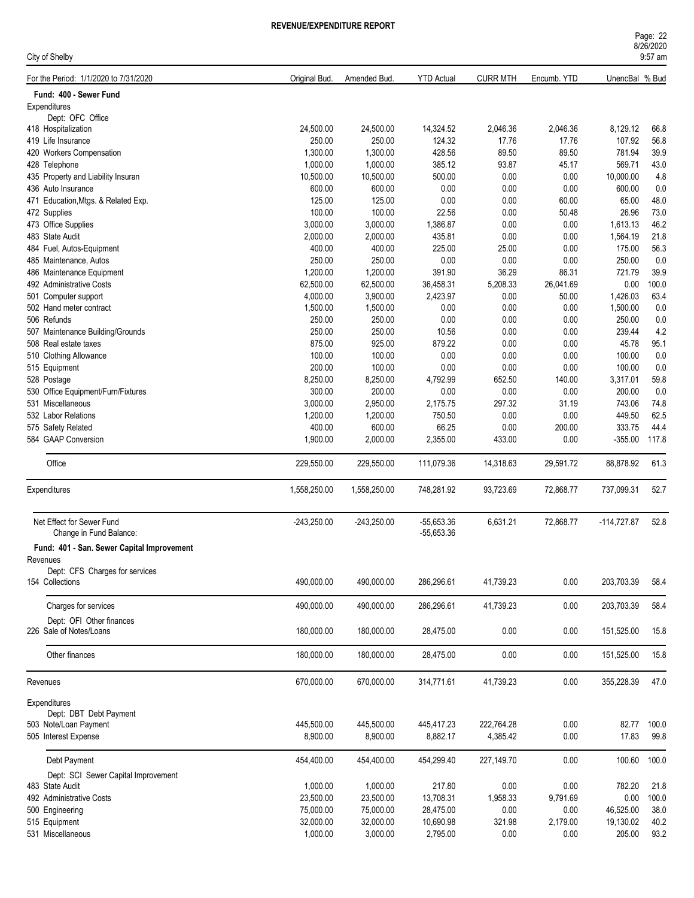| Page: 22  |  |  |  |
|-----------|--|--|--|
| 8/26/2020 |  |  |  |
| $9:57$ am |  |  |  |

| City of Shelby                             |               |               |                   |                 |             |                | 9:57 am |
|--------------------------------------------|---------------|---------------|-------------------|-----------------|-------------|----------------|---------|
| For the Period: 1/1/2020 to 7/31/2020      | Original Bud. | Amended Bud.  | <b>YTD Actual</b> | <b>CURR MTH</b> | Encumb. YTD | UnencBal % Bud |         |
| Fund: 400 - Sewer Fund                     |               |               |                   |                 |             |                |         |
| Expenditures                               |               |               |                   |                 |             |                |         |
| Dept: OFC Office                           |               |               |                   |                 |             |                |         |
| 418 Hospitalization                        | 24,500.00     | 24,500.00     | 14,324.52         | 2,046.36        | 2,046.36    | 8,129.12       | 66.8    |
| 419 Life Insurance                         | 250.00        | 250.00        | 124.32            | 17.76           | 17.76       | 107.92         | 56.8    |
| 420 Workers Compensation                   | 1,300.00      | 1,300.00      | 428.56            | 89.50           | 89.50       | 781.94         | 39.9    |
| 428 Telephone                              | 1,000.00      | 1,000.00      | 385.12            | 93.87           | 45.17       | 569.71         | 43.0    |
| 435 Property and Liability Insuran         | 10,500.00     | 10,500.00     | 500.00            | 0.00            | 0.00        | 10,000.00      | 4.8     |
| 436 Auto Insurance                         | 600.00        | 600.00        | 0.00              | 0.00            | 0.00        | 600.00         | 0.0     |
| 471 Education, Mtgs. & Related Exp.        | 125.00        | 125.00        | 0.00              | 0.00            | 60.00       | 65.00          | 48.0    |
| 472 Supplies                               | 100.00        | 100.00        | 22.56             | 0.00            | 50.48       | 26.96          | 73.0    |
| 473 Office Supplies                        | 3,000.00      | 3,000.00      | 1,386.87          | 0.00            | 0.00        | 1,613.13       | 46.2    |
| 483 State Audit                            | 2,000.00      | 2,000.00      | 435.81            | 0.00            | 0.00        | 1,564.19       | 21.8    |
| 484 Fuel, Autos-Equipment                  | 400.00        | 400.00        | 225.00            | 25.00           | 0.00        | 175.00         | 56.3    |
| 485 Maintenance, Autos                     | 250.00        | 250.00        | $0.00\,$          | 0.00            | 0.00        | 250.00         | 0.0     |
| 486 Maintenance Equipment                  | 1,200.00      | 1,200.00      | 391.90            | 36.29           | 86.31       | 721.79         | 39.9    |
| 492 Administrative Costs                   | 62,500.00     | 62,500.00     | 36,458.31         | 5,208.33        | 26,041.69   | 0.00           | 100.0   |
| 501 Computer support                       | 4,000.00      | 3,900.00      | 2,423.97          | 0.00            | 50.00       | 1,426.03       | 63.4    |
| 502 Hand meter contract                    | 1,500.00      | 1,500.00      | 0.00              | 0.00            | 0.00        | 1,500.00       | 0.0     |
| 506 Refunds                                | 250.00        | 250.00        | 0.00              | 0.00            | 0.00        | 250.00         | 0.0     |
| 507 Maintenance Building/Grounds           | 250.00        | 250.00        | 10.56             | 0.00            | 0.00        | 239.44         | 4.2     |
| 508 Real estate taxes                      | 875.00        | 925.00        | 879.22            | 0.00            | 0.00        | 45.78          | 95.1    |
| 510 Clothing Allowance                     | 100.00        | 100.00        | 0.00              | 0.00            | 0.00        | 100.00         | 0.0     |
|                                            | 200.00        | 100.00        | 0.00              | 0.00            | 0.00        | 100.00         | 0.0     |
| 515 Equipment                              |               |               |                   |                 |             |                |         |
| 528 Postage                                | 8,250.00      | 8,250.00      | 4,792.99          | 652.50          | 140.00      | 3,317.01       | 59.8    |
| 530 Office Equipment/Furn/Fixtures         | 300.00        | 200.00        | 0.00              | 0.00            | 0.00        | 200.00         | 0.0     |
| 531 Miscellaneous                          | 3,000.00      | 2,950.00      | 2,175.75          | 297.32          | 31.19       | 743.06         | 74.8    |
| 532 Labor Relations                        | 1,200.00      | 1,200.00      | 750.50            | 0.00            | 0.00        | 449.50         | 62.5    |
| 575 Safety Related                         | 400.00        | 600.00        | 66.25             | 0.00            | 200.00      | 333.75         | 44.4    |
| 584 GAAP Conversion                        | 1,900.00      | 2,000.00      | 2,355.00          | 433.00          | 0.00        | $-355.00$      | 117.8   |
| Office                                     | 229,550.00    | 229,550.00    | 111,079.36        | 14,318.63       | 29,591.72   | 88,878.92      | 61.3    |
| Expenditures                               | 1,558,250.00  | 1,558,250.00  | 748,281.92        | 93,723.69       | 72,868.77   | 737,099.31     | 52.7    |
| Net Effect for Sewer Fund                  | $-243,250.00$ | $-243,250.00$ | $-55,653.36$      | 6,631.21        | 72,868.77   | $-114,727.87$  | 52.8    |
| Change in Fund Balance:                    |               |               | $-55,653.36$      |                 |             |                |         |
| Fund: 401 - San. Sewer Capital Improvement |               |               |                   |                 |             |                |         |
| Revenues                                   |               |               |                   |                 |             |                |         |
| Dept: CFS Charges for services             |               |               |                   |                 |             |                |         |
| 154 Collections                            | 490,000.00    | 490,000.00    | 286,296.61        | 41,739.23       | 0.00        | 203,703.39     | 58.4    |
|                                            |               |               |                   |                 |             |                |         |
| Charges for services                       | 490.000.00    | 490,000.00    | 286,296.61        | 41,739.23       | 0.00        | 203,703.39     | 58.4    |
| Dept: OFI Other finances                   |               |               |                   |                 |             |                |         |
| 226 Sale of Notes/Loans                    | 180,000.00    | 180,000.00    | 28,475.00         | 0.00            | 0.00        | 151,525.00     | 15.8    |
| Other finances                             | 180,000.00    | 180,000.00    | 28,475.00         | 0.00            | 0.00        | 151,525.00     | 15.8    |
| Revenues                                   | 670,000.00    | 670,000.00    | 314,771.61        | 41,739.23       | 0.00        | 355,228.39     | 47.0    |
|                                            |               |               |                   |                 |             |                |         |
| Expenditures                               |               |               |                   |                 |             |                |         |
| Dept: DBT Debt Payment                     |               |               |                   |                 |             |                |         |
| 503 Note/Loan Payment                      | 445,500.00    | 445,500.00    | 445,417.23        | 222,764.28      | 0.00        | 82.77          | 100.0   |
| 505 Interest Expense                       | 8,900.00      | 8,900.00      | 8,882.17          | 4,385.42        | 0.00        | 17.83          | 99.8    |
| Debt Payment                               | 454,400.00    | 454,400.00    | 454,299.40        | 227,149.70      | 0.00        | 100.60         | 100.0   |
| Dept: SCI Sewer Capital Improvement        |               |               |                   |                 |             |                |         |
| 483 State Audit                            | 1,000.00      | 1,000.00      | 217.80            | 0.00            | 0.00        | 782.20         | 21.8    |
| 492 Administrative Costs                   | 23,500.00     | 23,500.00     | 13,708.31         | 1,958.33        | 9,791.69    | 0.00           | 100.0   |
| 500 Engineering                            | 75,000.00     | 75,000.00     | 28,475.00         | 0.00            | 0.00        | 46,525.00      | 38.0    |
| 515 Equipment                              | 32,000.00     | 32,000.00     | 10,690.98         | 321.98          | 2,179.00    | 19,130.02      | 40.2    |
| 531 Miscellaneous                          | 1,000.00      | 3,000.00      | 2,795.00          | 0.00            | 0.00        | 205.00         | 93.2    |
|                                            |               |               |                   |                 |             |                |         |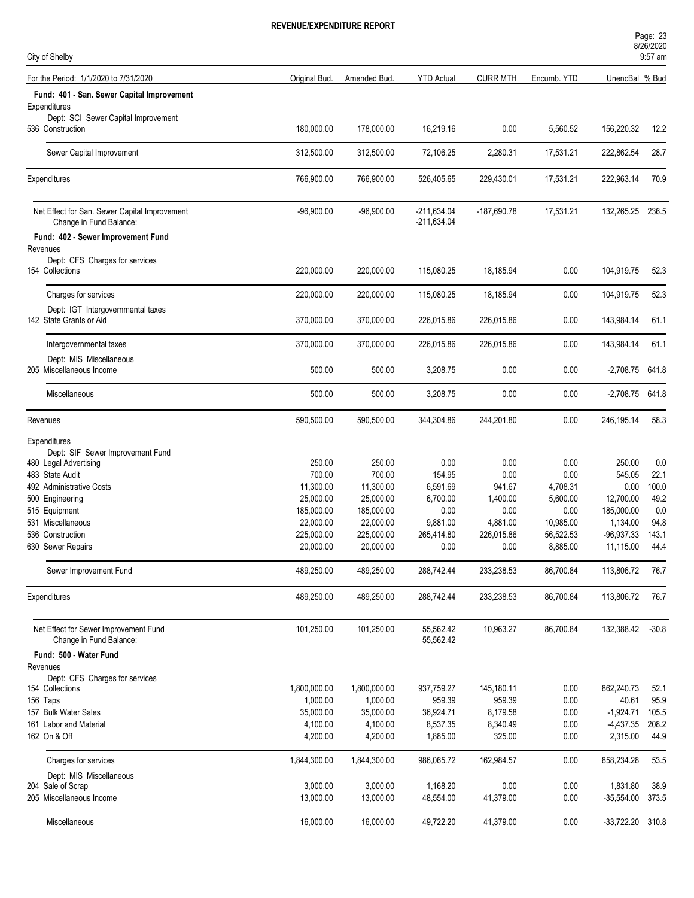| Page: 23<br>8/26/2020 |  |
|-----------------------|--|
| $9:57$ am             |  |

| City of Shelby                                               |               |              |                   |                 |             |                  | $9:57$ am |
|--------------------------------------------------------------|---------------|--------------|-------------------|-----------------|-------------|------------------|-----------|
| For the Period: 1/1/2020 to 7/31/2020                        | Original Bud. | Amended Bud. | <b>YTD Actual</b> | <b>CURR MTH</b> | Encumb. YTD | UnencBal % Bud   |           |
| Fund: 401 - San. Sewer Capital Improvement                   |               |              |                   |                 |             |                  |           |
| Expenditures                                                 |               |              |                   |                 |             |                  |           |
| Dept: SCI Sewer Capital Improvement<br>536 Construction      | 180,000.00    | 178,000.00   | 16,219.16         | 0.00            | 5,560.52    | 156,220.32       | 12.2      |
| Sewer Capital Improvement                                    | 312,500.00    | 312,500.00   | 72,106.25         | 2,280.31        | 17,531.21   | 222,862.54       | 28.7      |
| Expenditures                                                 | 766,900.00    | 766,900.00   | 526,405.65        | 229,430.01      | 17,531.21   | 222,963.14       | 70.9      |
| Net Effect for San. Sewer Capital Improvement                | $-96,900.00$  | $-96,900.00$ | $-211,634.04$     | -187,690.78     | 17,531.21   | 132,265.25       | 236.5     |
| Change in Fund Balance:                                      |               |              | $-211,634.04$     |                 |             |                  |           |
| Fund: 402 - Sewer Improvement Fund<br>Revenues               |               |              |                   |                 |             |                  |           |
| Dept: CFS Charges for services                               |               |              |                   |                 |             |                  |           |
| 154 Collections                                              | 220,000.00    | 220,000.00   | 115,080.25        | 18,185.94       | 0.00        | 104,919.75       | 52.3      |
| Charges for services                                         | 220,000.00    | 220,000.00   | 115,080.25        | 18,185.94       | 0.00        | 104,919.75       | 52.3      |
| Dept: IGT Intergovernmental taxes<br>142 State Grants or Aid | 370,000.00    | 370,000.00   | 226,015.86        | 226,015.86      | 0.00        | 143,984.14       | 61.1      |
| Intergovernmental taxes                                      | 370,000.00    | 370,000.00   | 226,015.86        | 226,015.86      | 0.00        | 143,984.14       | 61.1      |
| Dept: MIS Miscellaneous<br>205 Miscellaneous Income          | 500.00        | 500.00       | 3,208.75          | 0.00            | 0.00        | $-2,708.75$      | 641.8     |
| Miscellaneous                                                | 500.00        | 500.00       | 3,208.75          | 0.00            | 0.00        | -2,708.75 641.8  |           |
|                                                              | 590,500.00    | 590,500.00   | 344,304.86        | 244,201.80      | 0.00        | 246,195.14       | 58.3      |
| Revenues                                                     |               |              |                   |                 |             |                  |           |
| Expenditures<br>Dept: SIF Sewer Improvement Fund             |               |              |                   |                 |             |                  |           |
| 480 Legal Advertising                                        | 250.00        | 250.00       | 0.00              | 0.00            | 0.00        | 250.00           | 0.0       |
| 483 State Audit                                              | 700.00        | 700.00       | 154.95            | 0.00            | 0.00        | 545.05           | 22.1      |
| 492 Administrative Costs                                     | 11,300.00     | 11,300.00    | 6,591.69          | 941.67          | 4,708.31    | 0.00             | 100.0     |
| 500 Engineering                                              | 25,000.00     | 25,000.00    | 6,700.00          | 1,400.00        | 5,600.00    | 12,700.00        | 49.2      |
| 515 Equipment                                                | 185,000.00    | 185,000.00   | 0.00              | 0.00            | 0.00        | 185,000.00       | 0.0       |
| 531 Miscellaneous                                            | 22,000.00     | 22,000.00    | 9,881.00          | 4,881.00        | 10,985.00   | 1,134.00         | 94.8      |
| 536 Construction                                             | 225,000.00    | 225,000.00   | 265,414.80        | 226,015.86      | 56,522.53   | $-96,937.33$     | 143.1     |
| 630 Sewer Repairs                                            | 20,000.00     | 20,000.00    | 0.00              | 0.00            | 8,885.00    | 11,115.00        | 44.4      |
| Sewer Improvement Fund                                       | 489,250.00    | 489,250.00   | 288,742.44        | 233,238.53      | 86,700.84   | 113,806.72       | 76.7      |
| Expenditures                                                 | 489,250.00    | 489,250.00   | 288,742.44        | 233,238.53      | 86,700.84   | 113,806.72       | 76.7      |
| Net Effect for Sewer Improvement Fund                        | 101,250.00    | 101,250.00   | 55,562.42         | 10,963.27       | 86,700.84   | 132,388.42       | $-30.8$   |
| Change in Fund Balance:                                      |               |              | 55,562.42         |                 |             |                  |           |
| Fund: 500 - Water Fund<br>Revenues                           |               |              |                   |                 |             |                  |           |
| Dept: CFS Charges for services                               |               |              |                   |                 |             |                  |           |
| 154 Collections                                              | 1,800,000.00  | 1,800,000.00 | 937,759.27        | 145,180.11      | 0.00        | 862,240.73       | 52.1      |
| 156 Taps                                                     | 1,000.00      | 1,000.00     | 959.39            | 959.39          | 0.00        | 40.61            | 95.9      |
| 157 Bulk Water Sales                                         | 35,000.00     | 35,000.00    | 36,924.71         | 8,179.58        | 0.00        | $-1,924.71$      | 105.5     |
| 161 Labor and Material                                       | 4,100.00      | 4,100.00     | 8,537.35          | 8,340.49        | 0.00        | -4,437.35        | 208.2     |
| 162 On & Off                                                 | 4,200.00      | 4,200.00     | 1,885.00          | 325.00          | 0.00        | 2,315.00         | 44.9      |
| Charges for services                                         | 1,844,300.00  | 1,844,300.00 | 986,065.72        | 162,984.57      | 0.00        | 858,234.28       | 53.5      |
| Dept: MIS Miscellaneous                                      |               |              |                   |                 |             |                  |           |
| 204 Sale of Scrap                                            | 3,000.00      | 3,000.00     | 1,168.20          | 0.00            | 0.00        | 1,831.80         | 38.9      |
| 205 Miscellaneous Income                                     | 13,000.00     | 13,000.00    | 48,554.00         | 41,379.00       | 0.00        | $-35,554.00$     | 373.5     |
| Miscellaneous                                                | 16,000.00     | 16,000.00    | 49,722.20         | 41,379.00       | 0.00        | -33,722.20 310.8 |           |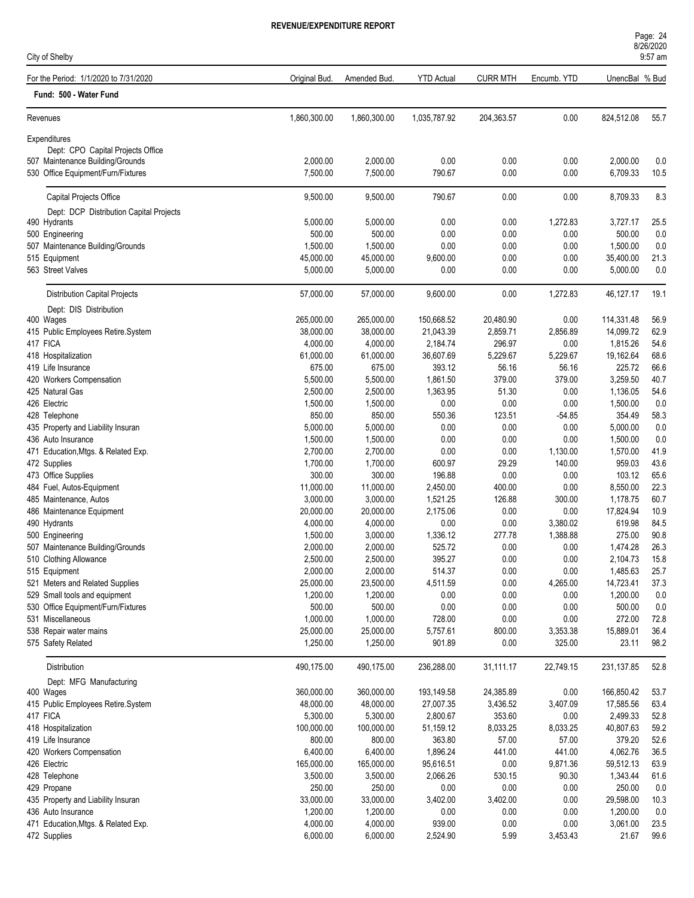9:57 am

| City of Shelby                                    |               |              |                   |                 |             |                | $9:57$ am |
|---------------------------------------------------|---------------|--------------|-------------------|-----------------|-------------|----------------|-----------|
| For the Period: 1/1/2020 to 7/31/2020             | Original Bud. | Amended Bud. | <b>YTD Actual</b> | <b>CURR MTH</b> | Encumb. YTD | UnencBal % Bud |           |
| Fund: 500 - Water Fund                            |               |              |                   |                 |             |                |           |
| Revenues                                          | 1,860,300.00  | 1,860,300.00 | 1,035,787.92      | 204,363.57      | 0.00        | 824,512.08     | 55.7      |
| Expenditures<br>Dept: CPO Capital Projects Office |               |              |                   |                 |             |                |           |
| 507 Maintenance Building/Grounds                  | 2,000.00      | 2,000.00     | 0.00              | 0.00            | 0.00        | 2,000.00       | 0.0       |
| 530 Office Equipment/Furn/Fixtures                | 7,500.00      | 7,500.00     | 790.67            | 0.00            | 0.00        | 6,709.33       | 10.5      |
|                                                   |               |              |                   |                 |             |                |           |
| Capital Projects Office                           | 9,500.00      | 9,500.00     | 790.67            | 0.00            | 0.00        | 8,709.33       | 8.3       |
| Dept: DCP Distribution Capital Projects           |               |              |                   |                 |             |                |           |
| 490 Hydrants                                      | 5,000.00      | 5,000.00     | 0.00              | 0.00            | 1,272.83    | 3,727.17       | 25.5      |
| 500 Engineering                                   | 500.00        | 500.00       | 0.00              | 0.00            | 0.00        | 500.00         | 0.0       |
| 507 Maintenance Building/Grounds                  | 1,500.00      | 1,500.00     | 0.00              | 0.00            | 0.00        | 1,500.00       | 0.0       |
| 515 Equipment                                     | 45,000.00     | 45,000.00    | 9,600.00          | 0.00            | 0.00        | 35,400.00      | 21.3      |
| 563 Street Valves                                 | 5,000.00      | 5,000.00     | 0.00              | 0.00            | 0.00        | 5,000.00       | 0.0       |
| <b>Distribution Capital Projects</b>              | 57,000.00     | 57,000.00    | 9,600.00          | 0.00            | 1,272.83    | 46,127.17      | 19.1      |
| Dept: DIS Distribution                            |               |              |                   |                 |             |                |           |
| 400 Wages                                         | 265,000.00    | 265,000.00   | 150,668.52        | 20,480.90       | 0.00        | 114,331.48     | 56.9      |
| 415 Public Employees Retire.System                | 38,000.00     | 38,000.00    | 21,043.39         | 2,859.71        | 2,856.89    | 14,099.72      | 62.9      |
| 417 FICA                                          | 4,000.00      | 4,000.00     | 2,184.74          | 296.97          | 0.00        | 1,815.26       | 54.6      |
| 418 Hospitalization                               | 61,000.00     | 61,000.00    | 36,607.69         | 5,229.67        | 5,229.67    | 19,162.64      | 68.6      |
| 419 Life Insurance                                | 675.00        | 675.00       | 393.12            | 56.16           | 56.16       | 225.72         | 66.6      |
| 420 Workers Compensation                          | 5,500.00      | 5,500.00     | 1,861.50          | 379.00          | 379.00      | 3,259.50       | 40.7      |
| 425 Natural Gas                                   | 2,500.00      | 2,500.00     | 1,363.95          | 51.30           | 0.00        | 1,136.05       | 54.6      |
| 426 Electric                                      | 1,500.00      | 1,500.00     | 0.00              | 0.00            | 0.00        | 1,500.00       | 0.0       |
| 428 Telephone                                     | 850.00        | 850.00       | 550.36            | 123.51          | $-54.85$    | 354.49         | 58.3      |
| 435 Property and Liability Insuran                | 5,000.00      | 5,000.00     | 0.00              | 0.00            | 0.00        | 5,000.00       | 0.0       |
| 436 Auto Insurance                                | 1,500.00      | 1,500.00     | 0.00              | 0.00            | 0.00        | 1,500.00       | 0.0       |
| 471 Education, Mtgs. & Related Exp.               | 2,700.00      | 2,700.00     | 0.00              | 0.00            | 1,130.00    | 1,570.00       | 41.9      |
| 472 Supplies                                      | 1,700.00      | 1,700.00     | 600.97            | 29.29           | 140.00      | 959.03         | 43.6      |
| 473 Office Supplies                               | 300.00        | 300.00       | 196.88            | 0.00            | 0.00        | 103.12         | 65.6      |
| 484 Fuel, Autos-Equipment                         | 11,000.00     | 11,000.00    | 2,450.00          | 400.00          | 0.00        | 8,550.00       | 22.3      |
| 485 Maintenance, Autos                            | 3,000.00      | 3,000.00     | 1,521.25          | 126.88          | 300.00      | 1,178.75       | 60.7      |
| 486 Maintenance Equipment                         | 20,000.00     | 20,000.00    | 2,175.06          | 0.00            | 0.00        | 17,824.94      | 10.9      |
| 490 Hydrants                                      | 4,000.00      | 4,000.00     | 0.00              | 0.00            | 3,380.02    | 619.98         | 84.5      |
| 500 Engineering                                   | 1,500.00      | 3,000.00     | 1,336.12          | 277.78          | 1,388.88    | 275.00         | 90.8      |
| 507 Maintenance Building/Grounds                  | 2,000.00      | 2,000.00     | 525.72            | 0.00            | 0.00        | 1,474.28       | 26.3      |
| 510 Clothing Allowance                            | 2,500.00      | 2,500.00     | 395.27            | 0.00            | $0.00\,$    | 2,104.73       | 15.8      |
| 515 Equipment                                     | 2,000.00      | 2,000.00     | 514.37            | 0.00            | 0.00        | 1,485.63       | 25.7      |
| 521 Meters and Related Supplies                   | 25,000.00     | 23,500.00    | 4,511.59          | 0.00            | 4,265.00    | 14,723.41      | 37.3      |
| 529 Small tools and equipment                     | 1,200.00      | 1,200.00     | 0.00              | 0.00            | 0.00        | 1,200.00       | 0.0       |
| 530 Office Equipment/Furn/Fixtures                | 500.00        | 500.00       | $0.00\,$          | 0.00            | 0.00        | 500.00         | $0.0\,$   |
| 531 Miscellaneous                                 | 1,000.00      | 1,000.00     | 728.00            | 0.00            | 0.00        | 272.00         | 72.8      |
| 538 Repair water mains                            | 25,000.00     | 25,000.00    | 5,757.61          | 800.00          | 3,353.38    | 15,889.01      | 36.4      |
| 575 Safety Related                                | 1,250.00      | 1,250.00     | 901.89            | 0.00            | 325.00      | 23.11          | 98.2      |
| Distribution                                      | 490,175.00    | 490,175.00   | 236,288.00        | 31,111.17       | 22,749.15   | 231,137.85     | 52.8      |
| Dept: MFG Manufacturing                           |               |              |                   |                 |             |                |           |
| 400 Wages                                         | 360,000.00    | 360,000.00   | 193,149.58        | 24,385.89       | 0.00        | 166,850.42     | 53.7      |
| 415 Public Employees Retire.System                | 48,000.00     | 48,000.00    | 27,007.35         | 3,436.52        | 3,407.09    | 17,585.56      | 63.4      |
| 417 FICA                                          | 5,300.00      | 5,300.00     | 2,800.67          | 353.60          | 0.00        | 2,499.33       | 52.8      |
| 418 Hospitalization                               | 100,000.00    | 100,000.00   | 51,159.12         | 8,033.25        | 8,033.25    | 40,807.63      | 59.2      |
| 419 Life Insurance                                | 800.00        | 800.00       | 363.80            | 57.00           | 57.00       | 379.20         | 52.6      |
| 420 Workers Compensation                          | 6,400.00      | 6,400.00     | 1,896.24          | 441.00          | 441.00      | 4,062.76       | 36.5      |
| 426 Electric                                      | 165,000.00    | 165,000.00   | 95,616.51         | 0.00            | 9,871.36    | 59,512.13      | 63.9      |
| 428 Telephone                                     | 3,500.00      | 3,500.00     | 2,066.26          | 530.15          | 90.30       | 1,343.44       | 61.6      |
| 429 Propane                                       | 250.00        | 250.00       | 0.00              | 0.00            | 0.00        | 250.00         | 0.0       |
| 435 Property and Liability Insuran                | 33,000.00     | 33,000.00    | 3,402.00          | 3,402.00        | 0.00        | 29,598.00      | 10.3      |
| 436 Auto Insurance                                | 1,200.00      | 1,200.00     | 0.00              | 0.00            | 0.00        | 1,200.00       | 0.0       |
| 471 Education, Mtgs. & Related Exp.               | 4,000.00      | 4,000.00     | 939.00            | 0.00            | 0.00        | 3,061.00       | 23.5      |
| 472 Supplies                                      | 6,000.00      | 6,000.00     | 2,524.90          | 5.99            | 3,453.43    | 21.67          | 99.6      |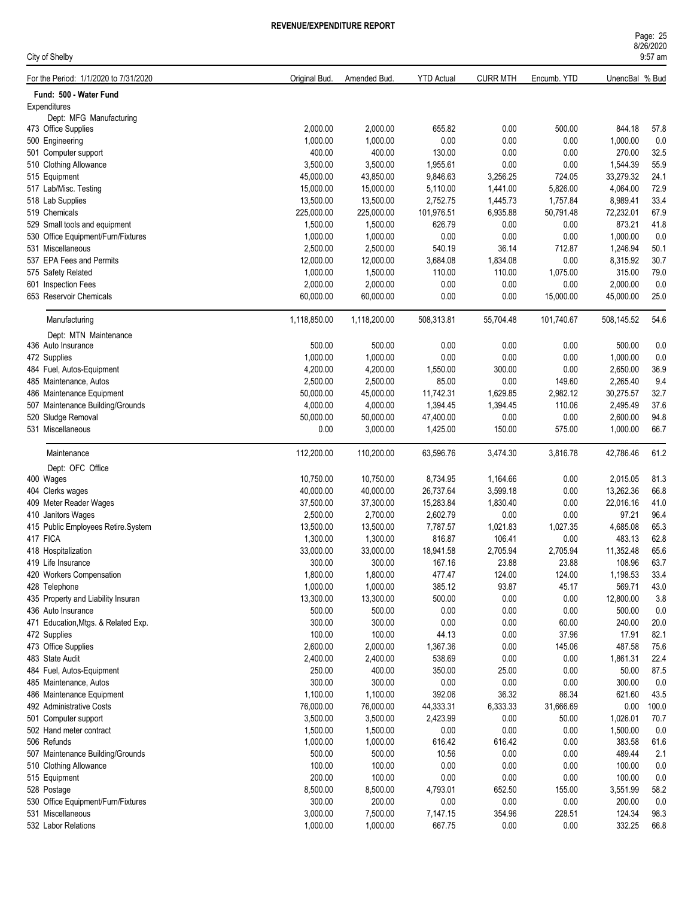| Page: 25            |  |
|---------------------|--|
| 8/26/2020           |  |
| $0.57 \, \text{nm}$ |  |

| City of Shelby                         |                       |                       |                     |                    |                  |                     | $9:57$ am    |
|----------------------------------------|-----------------------|-----------------------|---------------------|--------------------|------------------|---------------------|--------------|
| For the Period: 1/1/2020 to 7/31/2020  | Original Bud.         | Amended Bud.          | <b>YTD Actual</b>   | <b>CURR MTH</b>    | Encumb. YTD      | UnencBal % Bud      |              |
| Fund: 500 - Water Fund                 |                       |                       |                     |                    |                  |                     |              |
| Expenditures                           |                       |                       |                     |                    |                  |                     |              |
| Dept: MFG Manufacturing                |                       |                       |                     |                    |                  |                     |              |
| 473 Office Supplies<br>500 Engineering | 2,000.00<br>1,000.00  | 2,000.00<br>1,000.00  | 655.82<br>0.00      | 0.00<br>0.00       | 500.00<br>0.00   | 844.18<br>1,000.00  | 57.8<br>0.0  |
| 501 Computer support                   | 400.00                | 400.00                | 130.00              | 0.00               | 0.00             | 270.00              | 32.5         |
| 510 Clothing Allowance                 | 3,500.00              | 3,500.00              | 1,955.61            | 0.00               | 0.00             | 1,544.39            | 55.9         |
| 515 Equipment                          | 45,000.00             | 43,850.00             | 9,846.63            | 3,256.25           | 724.05           | 33,279.32           | 24.1         |
| 517 Lab/Misc. Testing                  | 15,000.00             | 15,000.00             | 5,110.00            | 1,441.00           | 5,826.00         | 4,064.00            | 72.9         |
| 518 Lab Supplies                       | 13,500.00             | 13,500.00             | 2,752.75            | 1,445.73           | 1,757.84         | 8,989.41            | 33.4         |
| 519 Chemicals                          | 225,000.00            | 225,000.00            | 101,976.51          | 6,935.88           | 50,791.48        | 72,232.01           | 67.9         |
| 529 Small tools and equipment          | 1,500.00              | 1,500.00              | 626.79              | 0.00               | 0.00             | 873.21              | 41.8         |
| 530 Office Equipment/Furn/Fixtures     | 1,000.00              | 1,000.00              | 0.00                | 0.00               | 0.00             | 1,000.00            | 0.0          |
| 531 Miscellaneous                      | 2,500.00              | 2,500.00              | 540.19              | 36.14              | 712.87           | 1,246.94            | 50.1         |
| 537 EPA Fees and Permits               | 12,000.00             | 12,000.00             | 3,684.08            | 1,834.08           | 0.00             | 8,315.92            | 30.7         |
| 575 Safety Related                     | 1,000.00              | 1,500.00              | 110.00              | 110.00             | 1,075.00         | 315.00              | 79.0         |
| 601 Inspection Fees                    | 2,000.00              | 2,000.00              | 0.00                | 0.00               | 0.00             | 2,000.00            | 0.0          |
| 653 Reservoir Chemicals                | 60,000.00             | 60,000.00             | 0.00                | 0.00               | 15,000.00        | 45,000.00           | 25.0         |
| Manufacturing                          | 1,118,850.00          | 1,118,200.00          | 508,313.81          | 55,704.48          | 101,740.67       | 508,145.52          | 54.6         |
| Dept: MTN Maintenance                  |                       |                       |                     |                    |                  |                     |              |
| 436 Auto Insurance                     | 500.00                | 500.00                | 0.00                | 0.00               | 0.00             | 500.00              | 0.0          |
| 472 Supplies                           | 1,000.00              | 1,000.00              | 0.00                | 0.00               | 0.00             | 1,000.00            | 0.0          |
| 484 Fuel, Autos-Equipment              | 4,200.00              | 4,200.00              | 1,550.00            | 300.00             | 0.00             | 2,650.00            | 36.9         |
| 485 Maintenance, Autos                 | 2,500.00              | 2,500.00              | 85.00               | 0.00               | 149.60           | 2,265.40            | 9.4          |
| 486 Maintenance Equipment              | 50,000.00             | 45,000.00             | 11,742.31           | 1,629.85           | 2,982.12         | 30,275.57           | 32.7         |
| 507 Maintenance Building/Grounds       | 4,000.00              | 4,000.00              | 1,394.45            | 1,394.45           | 110.06           | 2,495.49            | 37.6         |
| 520 Sludge Removal                     | 50,000.00             | 50,000.00             | 47,400.00           | 0.00               | 0.00             | 2,600.00            | 94.8         |
| 531 Miscellaneous                      | 0.00                  | 3,000.00              | 1,425.00            | 150.00             | 575.00           | 1,000.00            | 66.7         |
| Maintenance                            | 112,200.00            | 110,200.00            | 63,596.76           | 3,474.30           | 3,816.78         | 42,786.46           | 61.2         |
| Dept: OFC Office                       |                       |                       |                     |                    |                  |                     |              |
| 400 Wages                              | 10,750.00             | 10,750.00             | 8,734.95            | 1,164.66           | 0.00             | 2,015.05            | 81.3         |
| 404 Clerks wages                       | 40,000.00             | 40,000.00             | 26,737.64           | 3,599.18           | 0.00             | 13,262.36           | 66.8         |
| 409 Meter Reader Wages                 | 37,500.00             | 37,300.00             | 15,283.84           | 1,830.40           | 0.00             | 22,016.16           | 41.0         |
| 410 Janitors Wages                     | 2,500.00              | 2,700.00              | 2,602.79            | 0.00               | 0.00             | 97.21               | 96.4         |
| 415 Public Employees Retire.System     | 13,500.00             | 13,500.00             | 7,787.57            | 1,021.83           | 1,027.35         | 4,685.08            | 65.3         |
| 417 FICA<br>418 Hospitalization        | 1,300.00<br>33,000.00 | 1,300.00<br>33,000.00 | 816.87<br>18,941.58 | 106.41<br>2,705.94 | 0.00<br>2,705.94 | 483.13<br>11,352.48 | 62.8<br>65.6 |
| 419 Life Insurance                     | 300.00                | 300.00                | 167.16              | 23.88              | 23.88            | 108.96              | 63.7         |
| 420 Workers Compensation               | 1,800.00              | 1,800.00              | 477.47              | 124.00             | 124.00           | 1,198.53            | 33.4         |
| 428 Telephone                          | 1,000.00              | 1,000.00              | 385.12              | 93.87              | 45.17            | 569.71              | 43.0         |
| 435 Property and Liability Insuran     | 13,300.00             | 13,300.00             | 500.00              | 0.00               | 0.00             | 12,800.00           | 3.8          |
| 436 Auto Insurance                     | 500.00                | 500.00                | 0.00                | 0.00               | 0.00             | 500.00              | 0.0          |
| 471 Education, Mtgs. & Related Exp.    | 300.00                | 300.00                | 0.00                | 0.00               | 60.00            | 240.00              | 20.0         |
| 472 Supplies                           | 100.00                | 100.00                | 44.13               | 0.00               | 37.96            | 17.91               | 82.1         |
| 473 Office Supplies                    | 2,600.00              | 2,000.00              | 1,367.36            | 0.00               | 145.06           | 487.58              | 75.6         |
| 483 State Audit                        | 2,400.00              | 2,400.00              | 538.69              | 0.00               | 0.00             | 1,861.31            | 22.4         |
| 484 Fuel, Autos-Equipment              | 250.00                | 400.00                | 350.00              | 25.00              | 0.00             | 50.00               | 87.5         |
| 485 Maintenance, Autos                 | 300.00                | 300.00                | 0.00                | 0.00               | 0.00             | 300.00              | 0.0          |
| 486 Maintenance Equipment              | 1,100.00              | 1,100.00              | 392.06              | 36.32              | 86.34            | 621.60              | 43.5         |
| 492 Administrative Costs               | 76,000.00             | 76,000.00             | 44,333.31           | 6,333.33           | 31,666.69        | 0.00                | 100.0        |
| 501 Computer support                   | 3,500.00              | 3,500.00              | 2,423.99            | $0.00\,$           | 50.00            | 1,026.01            | 70.7         |
| 502 Hand meter contract                | 1,500.00              | 1,500.00              | 0.00                | 0.00               | 0.00             | 1,500.00            | 0.0          |
| 506 Refunds                            | 1,000.00              | 1,000.00              | 616.42              | 616.42             | 0.00             | 383.58              | 61.6         |
| 507 Maintenance Building/Grounds       | 500.00                | 500.00                | 10.56               | 0.00               | 0.00             | 489.44              | 2.1          |
| 510 Clothing Allowance                 | 100.00                | 100.00                | 0.00                | 0.00               | 0.00             | 100.00              | 0.0          |
| 515 Equipment                          | 200.00                | 100.00                | 0.00                | 0.00               | 0.00             | 100.00              | 0.0          |
| 528 Postage                            | 8,500.00              | 8,500.00              | 4,793.01            | 652.50             | 155.00           | 3,551.99            | 58.2         |
| 530 Office Equipment/Furn/Fixtures     | 300.00                | 200.00                | 0.00                | 0.00               | 0.00             | 200.00              | 0.0          |
| 531 Miscellaneous                      | 3,000.00              | 7,500.00              | 7,147.15            | 354.96             | 228.51           | 124.34              | 98.3         |
| 532 Labor Relations                    | 1,000.00              | 1,000.00              | 667.75              | 0.00               | 0.00             | 332.25              | 66.8         |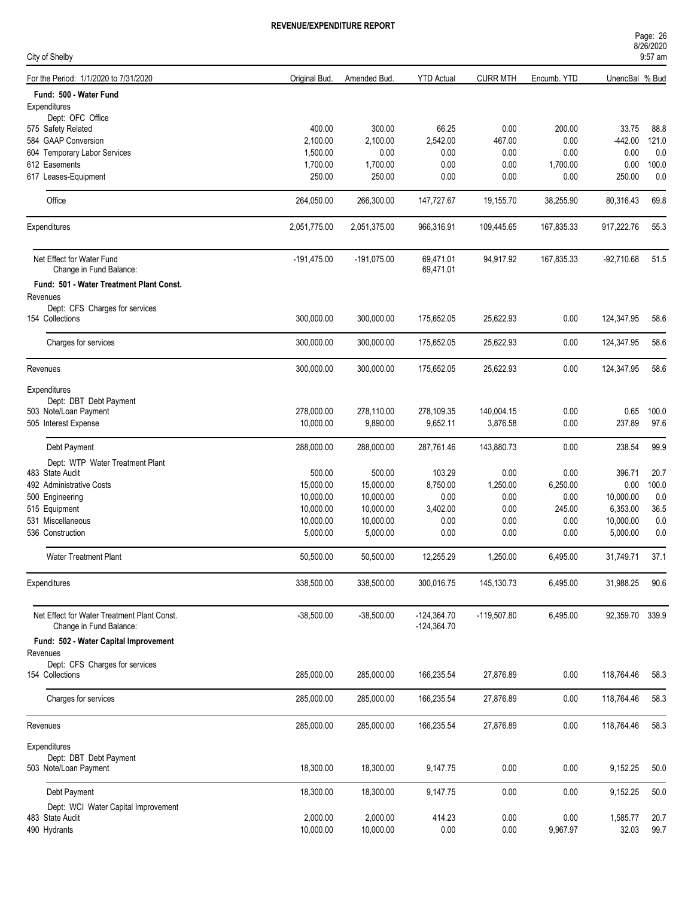| Page: 26  |  |  |
|-----------|--|--|
| 8/26/2020 |  |  |
| $9:57$ am |  |  |

| City of Shelby                              |               |               |                   |                 |             |                 | 9:57 am |
|---------------------------------------------|---------------|---------------|-------------------|-----------------|-------------|-----------------|---------|
| For the Period: 1/1/2020 to 7/31/2020       | Original Bud. | Amended Bud.  | <b>YTD Actual</b> | <b>CURR MTH</b> | Encumb. YTD | UnencBal % Bud  |         |
| Fund: 500 - Water Fund                      |               |               |                   |                 |             |                 |         |
| Expenditures                                |               |               |                   |                 |             |                 |         |
| Dept: OFC Office                            |               |               |                   |                 |             |                 |         |
| 575 Safety Related                          | 400.00        | 300.00        | 66.25             | 0.00            | 200.00      | 33.75           | 88.8    |
| 584 GAAP Conversion                         | 2,100.00      | 2,100.00      | 2,542.00          | 467.00          | 0.00        | $-442.00$       | 121.0   |
| 604 Temporary Labor Services                | 1,500.00      | 0.00          | 0.00              | 0.00            | 0.00        | 0.00            | 0.0     |
| 612 Easements                               | 1,700.00      | 1,700.00      | 0.00              | 0.00            | 1,700.00    | 0.00            | 100.0   |
| 617 Leases-Equipment                        | 250.00        | 250.00        | 0.00              | 0.00            | 0.00        | 250.00          | 0.0     |
| Office                                      | 264,050.00    | 266,300.00    | 147,727.67        | 19,155.70       | 38,255.90   | 80,316.43       | 69.8    |
| Expenditures                                | 2,051,775.00  | 2,051,375.00  | 966,316.91        | 109,445.65      | 167,835.33  | 917,222.76      | 55.3    |
| Net Effect for Water Fund                   | $-191,475.00$ | $-191,075.00$ | 69,471.01         | 94,917.92       | 167,835.33  | $-92,710.68$    | 51.5    |
| Change in Fund Balance:                     |               |               | 69,471.01         |                 |             |                 |         |
| Fund: 501 - Water Treatment Plant Const.    |               |               |                   |                 |             |                 |         |
|                                             |               |               |                   |                 |             |                 |         |
| Revenues<br>Dept: CFS Charges for services  |               |               |                   |                 |             |                 |         |
| 154 Collections                             | 300,000.00    | 300,000.00    | 175,652.05        | 25,622.93       | 0.00        | 124,347.95      | 58.6    |
|                                             |               |               |                   |                 |             |                 |         |
| Charges for services                        | 300,000.00    | 300,000.00    | 175,652.05        | 25,622.93       | 0.00        | 124,347.95      | 58.6    |
|                                             | 300,000.00    | 300,000.00    |                   | 25,622.93       | 0.00        | 124,347.95      | 58.6    |
| Revenues                                    |               |               | 175,652.05        |                 |             |                 |         |
| Expenditures                                |               |               |                   |                 |             |                 |         |
| Dept: DBT Debt Payment                      |               |               |                   |                 |             |                 |         |
| 503 Note/Loan Payment                       | 278,000.00    | 278,110.00    | 278,109.35        | 140,004.15      | 0.00        | 0.65            | 100.0   |
| 505 Interest Expense                        | 10,000.00     | 9,890.00      | 9,652.11          | 3,876.58        | 0.00        | 237.89          | 97.6    |
| Debt Payment                                | 288,000.00    | 288,000.00    | 287,761.46        | 143,880.73      | 0.00        | 238.54          | 99.9    |
| Dept: WTP Water Treatment Plant             |               |               |                   |                 |             |                 |         |
| 483 State Audit                             | 500.00        | 500.00        | 103.29            | 0.00            | 0.00        | 396.71          | 20.7    |
| 492 Administrative Costs                    | 15,000.00     | 15,000.00     | 8,750.00          | 1,250.00        | 6,250.00    | 0.00            | 100.0   |
| 500 Engineering                             | 10,000.00     | 10,000.00     | 0.00              | 0.00            | 0.00        | 10,000.00       | 0.0     |
| 515 Equipment                               | 10,000.00     | 10,000.00     | 3,402.00          | 0.00            | 245.00      | 6,353.00        | 36.5    |
| 531 Miscellaneous                           | 10,000.00     | 10,000.00     | 0.00              | 0.00            | 0.00        | 10,000.00       | 0.0     |
| 536 Construction                            | 5,000.00      | 5,000.00      | 0.00              | 0.00            | 0.00        | 5,000.00        | 0.0     |
|                                             |               |               |                   |                 |             |                 |         |
| <b>Water Treatment Plant</b>                | 50,500.00     | 50,500.00     | 12,255.29         | 1,250.00        | 6,495.00    | 31,749.71       | 37.1    |
| Expenditures                                | 338,500.00    | 338,500.00    | 300,016.75        | 145,130.73      | 6,495.00    | 31,988.25       | 90.6    |
| Net Effect for Water Treatment Plant Const. | $-38,500.00$  | $-38,500.00$  | $-124,364.70$     | $-119,507.80$   | 6,495.00    | 92,359.70 339.9 |         |
| Change in Fund Balance:                     |               |               | $-124,364.70$     |                 |             |                 |         |
| Fund: 502 - Water Capital Improvement       |               |               |                   |                 |             |                 |         |
| Revenues                                    |               |               |                   |                 |             |                 |         |
| Dept: CFS Charges for services              |               |               |                   |                 |             |                 |         |
| 154 Collections                             | 285,000.00    | 285,000.00    | 166,235.54        | 27,876.89       | 0.00        | 118,764.46      | 58.3    |
| Charges for services                        | 285,000.00    | 285,000.00    | 166,235.54        | 27,876.89       | 0.00        | 118,764.46      | 58.3    |
|                                             |               |               |                   |                 |             |                 |         |
| Revenues                                    | 285,000.00    | 285,000.00    | 166,235.54        | 27,876.89       | 0.00        | 118,764.46      | 58.3    |
| Expenditures                                |               |               |                   |                 |             |                 |         |
| Dept: DBT Debt Payment                      |               |               |                   |                 |             |                 |         |
| 503 Note/Loan Payment                       | 18,300.00     | 18,300.00     | 9,147.75          | 0.00            | 0.00        | 9,152.25        | 50.0    |
| Debt Payment                                | 18,300.00     | 18,300.00     | 9,147.75          | 0.00            | 0.00        | 9,152.25        | 50.0    |
| Dept: WCI Water Capital Improvement         |               |               |                   |                 |             |                 |         |
| 483 State Audit                             | 2,000.00      | 2,000.00      | 414.23            | 0.00            | 0.00        | 1,585.77        | 20.7    |
| 490 Hydrants                                | 10,000.00     | 10,000.00     | 0.00              | 0.00            | 9,967.97    | 32.03           | 99.7    |
|                                             |               |               |                   |                 |             |                 |         |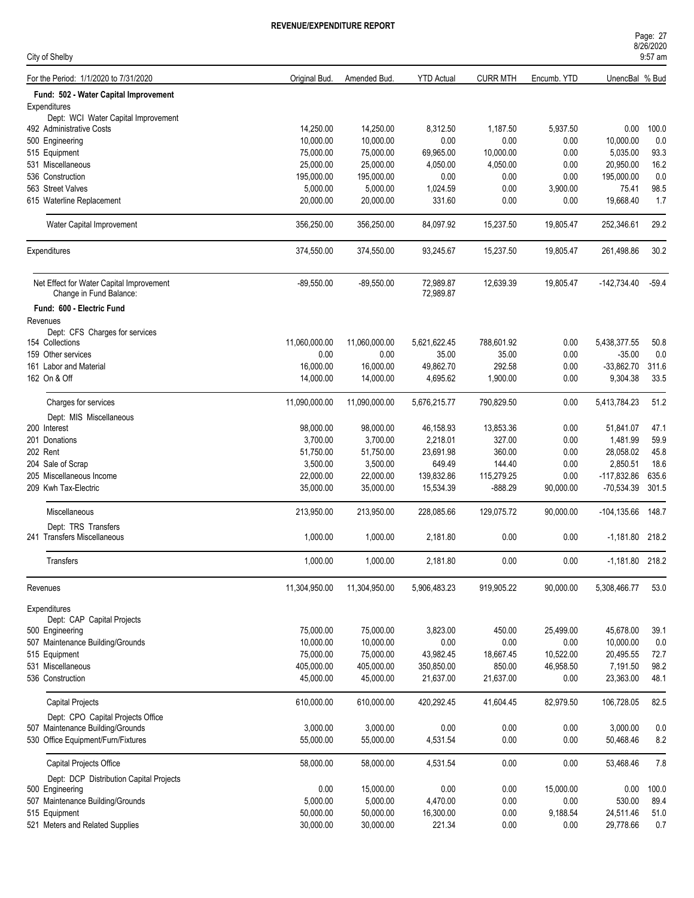| Page: 27            |  |  |
|---------------------|--|--|
| 8/26/2020           |  |  |
| $0.57 \, \text{nm}$ |  |  |

| City of Shelby                             |                     |               |                   |                 |             |                   | 9:57 am |
|--------------------------------------------|---------------------|---------------|-------------------|-----------------|-------------|-------------------|---------|
| For the Period: 1/1/2020 to 7/31/2020      | <b>Original Bud</b> | Amended Bud.  | <b>YTD Actual</b> | <b>CURR MTH</b> | Encumb. YTD | UnencBal % Bud    |         |
| Fund: 502 - Water Capital Improvement      |                     |               |                   |                 |             |                   |         |
| Expenditures                               |                     |               |                   |                 |             |                   |         |
| Dept: WCI Water Capital Improvement        |                     |               |                   |                 |             |                   |         |
| 492 Administrative Costs                   | 14,250.00           | 14,250.00     | 8,312.50          | 1,187.50        | 5,937.50    | 0.00              | 100.0   |
| 500 Engineering                            | 10,000.00           | 10,000.00     | 0.00              | 0.00            | 0.00        | 10,000.00         | 0.0     |
| 515 Equipment                              | 75,000.00           | 75,000.00     | 69,965.00         | 10,000.00       | 0.00        | 5,035.00          | 93.3    |
| 531 Miscellaneous                          | 25,000.00           | 25,000.00     | 4,050.00          | 4,050.00        | 0.00        | 20,950.00         | 16.2    |
| 536 Construction                           | 195,000.00          | 195,000.00    | 0.00              | 0.00            | 0.00        | 195,000.00        | 0.0     |
| 563 Street Valves                          | 5,000.00            | 5,000.00      | 1,024.59          | 0.00            | 3,900.00    | 75.41             | 98.5    |
| 615 Waterline Replacement                  | 20,000.00           | 20,000.00     | 331.60            | 0.00            | 0.00        | 19,668.40         | 1.7     |
| Water Capital Improvement                  | 356,250.00          | 356,250.00    | 84,097.92         | 15,237.50       | 19,805.47   | 252,346.61        | 29.2    |
| Expenditures                               | 374,550.00          | 374,550.00    | 93,245.67         | 15,237.50       | 19,805.47   | 261,498.86        | 30.2    |
| Net Effect for Water Capital Improvement   | $-89,550.00$        | $-89,550.00$  | 72,989.87         | 12,639.39       | 19,805.47   | $-142,734.40$     | $-59.4$ |
| Change in Fund Balance:                    |                     |               | 72,989.87         |                 |             |                   |         |
| Fund: 600 - Electric Fund                  |                     |               |                   |                 |             |                   |         |
| Revenues                                   |                     |               |                   |                 |             |                   |         |
| Dept: CFS Charges for services             |                     |               |                   |                 |             |                   |         |
| 154 Collections                            | 11,060,000.00       | 11,060,000.00 | 5,621,622.45      | 788,601.92      | 0.00        | 5,438,377.55      | 50.8    |
| 159 Other services                         | 0.00                | 0.00          | 35.00             | 35.00           | 0.00        | $-35.00$          | 0.0     |
| 161 Labor and Material                     | 16,000.00           | 16,000.00     | 49,862.70         | 292.58          | 0.00        | $-33,862.70$      | 311.6   |
| 162 On & Off                               | 14,000.00           | 14,000.00     | 4,695.62          | 1,900.00        | 0.00        | 9,304.38          | 33.5    |
| Charges for services                       | 11,090,000.00       | 11,090,000.00 | 5,676,215.77      | 790,829.50      | 0.00        | 5,413,784.23      | 51.2    |
| Dept: MIS Miscellaneous                    |                     |               |                   |                 |             |                   |         |
| 200 Interest                               | 98,000.00           | 98,000.00     | 46,158.93         | 13,853.36       | 0.00        | 51,841.07         | 47.1    |
| 201 Donations                              | 3,700.00            | 3,700.00      | 2,218.01          | 327.00          | 0.00        | 1,481.99          | 59.9    |
| 202 Rent                                   | 51,750.00           | 51,750.00     | 23,691.98         | 360.00          | 0.00        | 28,058.02         | 45.8    |
| 204 Sale of Scrap                          | 3,500.00            | 3,500.00      | 649.49            | 144.40          | 0.00        | 2,850.51          | 18.6    |
|                                            |                     |               |                   |                 |             |                   |         |
| 205 Miscellaneous Income                   | 22,000.00           | 22,000.00     | 139,832.86        | 115,279.25      | 0.00        | $-117,832.86$     | 635.6   |
| 209 Kwh Tax-Electric                       | 35,000.00           | 35,000.00     | 15,534.39         | $-888.29$       | 90,000.00   | -70,534.39        | 301.5   |
| Miscellaneous                              | 213,950.00          | 213,950.00    | 228,085.66        | 129,075.72      | 90,000.00   | $-104, 135.66$    | 148.7   |
| Dept: TRS Transfers                        |                     |               |                   |                 |             |                   |         |
| 241 Transfers Miscellaneous                | 1,000.00            | 1,000.00      | 2,181.80          | 0.00            | 0.00        | $-1,181.80$ 218.2 |         |
| Transfers                                  | 1,000.00            | 1,000.00      | 2,181.80          | 0.00            | 0.00        | $-1,181.80$ 218.2 |         |
| Revenues                                   | 11,304,950.00       | 11,304,950.00 | 5,906,483.23      | 919,905.22      | 90,000.00   | 5,308,466.77      | 53.0    |
|                                            |                     |               |                   |                 |             |                   |         |
| Expenditures<br>Dept: CAP Capital Projects |                     |               |                   |                 |             |                   |         |
| 500 Engineering                            | 75,000.00           | 75,000.00     | 3,823.00          | 450.00          | 25,499.00   | 45,678.00         | 39.1    |
| 507 Maintenance Building/Grounds           | 10,000.00           | 10,000.00     | 0.00              | $0.00\,$        | 0.00        | 10,000.00         | 0.0     |
| 515 Equipment                              | 75,000.00           | 75,000.00     | 43,982.45         | 18,667.45       | 10,522.00   | 20,495.55         | 72.7    |
|                                            |                     |               |                   |                 |             |                   |         |
| 531 Miscellaneous                          | 405,000.00          | 405,000.00    | 350,850.00        | 850.00          | 46,958.50   | 7,191.50          | 98.2    |
| 536 Construction                           | 45,000.00           | 45,000.00     | 21,637.00         | 21,637.00       | 0.00        | 23,363.00         | 48.1    |
| <b>Capital Projects</b>                    | 610,000.00          | 610,000.00    | 420,292.45        | 41,604.45       | 82,979.50   | 106,728.05        | 82.5    |
| Dept: CPO Capital Projects Office          |                     |               |                   |                 |             |                   |         |
| 507 Maintenance Building/Grounds           | 3,000.00            | 3,000.00      | 0.00              | 0.00            | 0.00        | 3,000.00          | $0.0\,$ |
| 530 Office Equipment/Furn/Fixtures         | 55,000.00           | 55,000.00     | 4,531.54          | 0.00            | 0.00        | 50,468.46         | 8.2     |
| Capital Projects Office                    | 58,000.00           | 58,000.00     | 4,531.54          | 0.00            | 0.00        | 53,468.46         | 7.8     |
| Dept: DCP Distribution Capital Projects    |                     |               |                   |                 |             |                   |         |
| 500 Engineering                            | 0.00                | 15,000.00     | 0.00              | 0.00            | 15,000.00   | 0.00              | 100.0   |
| 507 Maintenance Building/Grounds           | 5,000.00            | 5,000.00      | 4,470.00          | 0.00            | 0.00        | 530.00            | 89.4    |
| 515 Equipment                              | 50,000.00           | 50,000.00     | 16,300.00         | 0.00            | 9,188.54    | 24,511.46         | 51.0    |
| 521 Meters and Related Supplies            | 30,000.00           | 30,000.00     | 221.34            | 0.00            | 0.00        | 29,778.66         | 0.7     |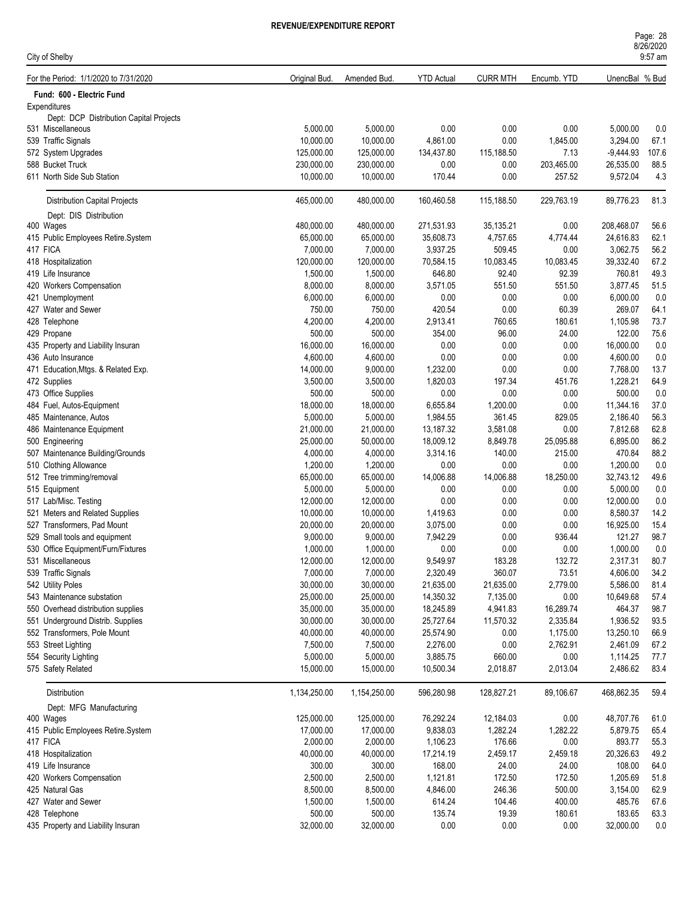| Page: 28  |  |
|-----------|--|
| 8/26/2020 |  |
| $9:57$ am |  |

|          | City of Shelby                          |               |              |                   |                 |             |                | 9:57 am |
|----------|-----------------------------------------|---------------|--------------|-------------------|-----------------|-------------|----------------|---------|
|          | For the Period: 1/1/2020 to 7/31/2020   | Original Bud. | Amended Bud. | <b>YTD Actual</b> | <b>CURR MTH</b> | Encumb. YTD | UnencBal % Bud |         |
|          | Fund: 600 - Electric Fund               |               |              |                   |                 |             |                |         |
|          | Expenditures                            |               |              |                   |                 |             |                |         |
|          | Dept: DCP Distribution Capital Projects |               |              |                   |                 |             |                |         |
|          | 531 Miscellaneous                       | 5,000.00      | 5,000.00     | 0.00              | 0.00            | 0.00        | 5,000.00       | 0.0     |
|          | 539 Traffic Signals                     | 10,000.00     | 10,000.00    | 4,861.00          | 0.00            | 1,845.00    | 3,294.00       | 67.1    |
|          | 572 System Upgrades                     | 125,000.00    | 125,000.00   | 134,437.80        | 115,188.50      | 7.13        | $-9,444.93$    | 107.6   |
|          | 588 Bucket Truck                        | 230,000.00    | 230,000.00   | 0.00              | 0.00            | 203,465.00  | 26,535.00      | 88.5    |
|          | 611 North Side Sub Station              | 10,000.00     | 10,000.00    | 170.44            | 0.00            | 257.52      | 9,572.04       | 4.3     |
|          | <b>Distribution Capital Projects</b>    | 465,000.00    | 480,000.00   | 160,460.58        | 115,188.50      | 229,763.19  | 89,776.23      | 81.3    |
|          | Dept: DIS Distribution                  |               |              |                   |                 |             |                |         |
|          | 400 Wages                               | 480,000.00    | 480,000.00   | 271,531.93        | 35,135.21       | 0.00        | 208,468.07     | 56.6    |
|          | 415 Public Employees Retire.System      | 65,000.00     | 65,000.00    | 35,608.73         | 4,757.65        | 4,774.44    | 24,616.83      | 62.1    |
| 417 FICA |                                         | 7,000.00      | 7,000.00     | 3,937.25          | 509.45          | 0.00        | 3,062.75       | 56.2    |
|          | 418 Hospitalization                     | 120,000.00    | 120,000.00   | 70,584.15         | 10,083.45       | 10,083.45   | 39,332.40      | 67.2    |
|          | 419 Life Insurance                      | 1,500.00      | 1,500.00     | 646.80            | 92.40           | 92.39       | 760.81         | 49.3    |
|          | 420 Workers Compensation                | 8,000.00      | 8,000.00     | 3,571.05          | 551.50          | 551.50      | 3,877.45       | 51.5    |
|          | 421 Unemployment                        | 6,000.00      | 6,000.00     | 0.00              | 0.00            | 0.00        | 6,000.00       | 0.0     |
|          | 427 Water and Sewer                     | 750.00        | 750.00       | 420.54            | 0.00            | 60.39       | 269.07         | 64.1    |
|          | 428 Telephone                           | 4,200.00      | 4,200.00     | 2,913.41          | 760.65          | 180.61      | 1,105.98       | 73.7    |
|          | 429 Propane                             | 500.00        | 500.00       | 354.00            | 96.00           | 24.00       | 122.00         | 75.6    |
|          | 435 Property and Liability Insuran      | 16,000.00     | 16,000.00    | 0.00              | 0.00            | 0.00        | 16,000.00      | 0.0     |
|          | 436 Auto Insurance                      | 4,600.00      | 4,600.00     | 0.00              | 0.00            | 0.00        | 4,600.00       | 0.0     |
|          | 471 Education, Mtgs. & Related Exp.     | 14,000.00     | 9,000.00     | 1,232.00          | 0.00            | 0.00        | 7,768.00       | 13.7    |
|          | 472 Supplies                            | 3,500.00      | 3,500.00     | 1,820.03          | 197.34          | 451.76      | 1,228.21       | 64.9    |
|          | 473 Office Supplies                     | 500.00        | 500.00       | 0.00              | 0.00            | 0.00        | 500.00         | 0.0     |
|          | 484 Fuel, Autos-Equipment               | 18,000.00     | 18,000.00    | 6,655.84          | 1,200.00        | 0.00        | 11,344.16      | 37.0    |
|          | 485 Maintenance, Autos                  | 5,000.00      | 5,000.00     | 1,984.55          | 361.45          | 829.05      | 2,186.40       | 56.3    |
|          | 486 Maintenance Equipment               | 21,000.00     | 21,000.00    | 13,187.32         | 3,581.08        | 0.00        | 7,812.68       | 62.8    |
|          | 500 Engineering                         | 25,000.00     | 50,000.00    | 18,009.12         | 8,849.78        | 25,095.88   | 6,895.00       | 86.2    |
|          | 507 Maintenance Building/Grounds        | 4,000.00      | 4,000.00     | 3,314.16          | 140.00          | 215.00      | 470.84         | 88.2    |
|          | 510 Clothing Allowance                  | 1,200.00      | 1,200.00     | 0.00              | 0.00            | 0.00        | 1,200.00       | 0.0     |
|          | 512 Tree trimming/removal               | 65,000.00     | 65,000.00    | 14,006.88         | 14,006.88       | 18,250.00   | 32,743.12      | 49.6    |
|          | 515 Equipment                           | 5,000.00      | 5,000.00     | 0.00              | 0.00            | 0.00        | 5,000.00       | 0.0     |
|          | 517 Lab/Misc. Testing                   | 12,000.00     | 12,000.00    | 0.00              | 0.00            | 0.00        | 12,000.00      | 0.0     |
|          | 521 Meters and Related Supplies         | 10,000.00     | 10,000.00    | 1,419.63          | 0.00            | 0.00        | 8,580.37       | 14.2    |
|          | 527 Transformers, Pad Mount             | 20,000.00     | 20,000.00    | 3,075.00          | 0.00            | 0.00        | 16,925.00      | 15.4    |
|          | 529 Small tools and equipment           | 9,000.00      | 9,000.00     | 7,942.29          | 0.00            | 936.44      | 121.27         | 98.7    |
|          | 530 Office Equipment/Furn/Fixtures      | 1,000.00      | 1,000.00     | 0.00              | 0.00            | 0.00        | 1,000.00       | 0.0     |
|          | 531 Miscellaneous                       | 12,000.00     | 12,000.00    | 9,549.97          | 183.28          | 132.72      | 2,317.31       | 80.7    |
|          | 539 Traffic Signals                     | 7,000.00      | 7,000.00     | 2,320.49          | 360.07          | 73.51       | 4,606.00       | 34.2    |
|          | 542 Utility Poles                       | 30,000.00     | 30,000.00    | 21,635.00         | 21,635.00       | 2,779.00    | 5,586.00       | 81.4    |
|          | 543 Maintenance substation              | 25,000.00     | 25,000.00    | 14,350.32         | 7,135.00        | 0.00        | 10,649.68      | 57.4    |
|          | 550 Overhead distribution supplies      | 35,000.00     | 35,000.00    | 18,245.89         | 4,941.83        | 16,289.74   | 464.37         | 98.7    |
|          | 551 Underground Distrib. Supplies       | 30,000.00     | 30,000.00    | 25,727.64         | 11,570.32       | 2,335.84    | 1,936.52       | 93.5    |
|          | 552 Transformers, Pole Mount            | 40,000.00     | 40,000.00    | 25,574.90         | 0.00            | 1,175.00    | 13,250.10      | 66.9    |
|          | 553 Street Lighting                     | 7,500.00      | 7,500.00     | 2,276.00          | 0.00            | 2,762.91    | 2,461.09       | 67.2    |
|          | 554 Security Lighting                   | 5,000.00      | 5,000.00     | 3,885.75          | 660.00          | 0.00        | 1,114.25       | 77.7    |
|          | 575 Safety Related                      | 15,000.00     | 15,000.00    | 10,500.34         | 2,018.87        | 2,013.04    | 2,486.62       | 83.4    |
|          | Distribution                            | 1,134,250.00  | 1,154,250.00 | 596,280.98        | 128,827.21      | 89,106.67   | 468,862.35     | 59.4    |
|          | Dept: MFG Manufacturing                 |               |              |                   |                 |             |                |         |
|          | 400 Wages                               | 125,000.00    | 125,000.00   | 76,292.24         | 12,184.03       | 0.00        | 48,707.76      | 61.0    |
|          | 415 Public Employees Retire.System      | 17,000.00     | 17,000.00    | 9,838.03          | 1,282.24        | 1,282.22    | 5,879.75       | 65.4    |
| 417 FICA |                                         | 2,000.00      | 2,000.00     | 1,106.23          | 176.66          | 0.00        | 893.77         | 55.3    |
|          | 418 Hospitalization                     | 40,000.00     | 40,000.00    | 17,214.19         | 2,459.17        | 2,459.18    | 20,326.63      | 49.2    |
|          | 419 Life Insurance                      | 300.00        | 300.00       | 168.00            | 24.00           | 24.00       | 108.00         | 64.0    |
|          | 420 Workers Compensation                | 2,500.00      | 2,500.00     | 1,121.81          | 172.50          | 172.50      | 1,205.69       | 51.8    |
|          | 425 Natural Gas                         | 8,500.00      | 8,500.00     | 4,846.00          | 246.36          | 500.00      | 3,154.00       | 62.9    |
|          | 427 Water and Sewer                     | 1,500.00      | 1,500.00     | 614.24            | 104.46          | 400.00      | 485.76         | 67.6    |
|          | 428 Telephone                           | 500.00        | 500.00       | 135.74            | 19.39           | 180.61      | 183.65         | 63.3    |
|          | 435 Property and Liability Insuran      | 32,000.00     | 32,000.00    | 0.00              | 0.00            | 0.00        | 32,000.00      | $0.0\,$ |
|          |                                         |               |              |                   |                 |             |                |         |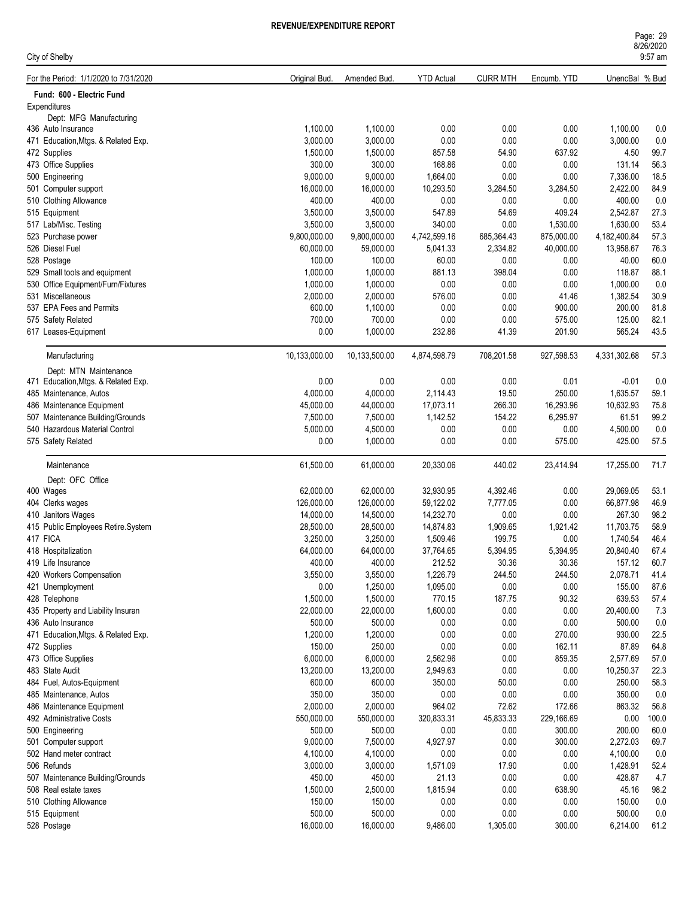| Page: 29  |  |
|-----------|--|
| 8/26/2020 |  |
| $9.57$ am |  |

| City of Shelby                                            |                  |                      |                    |                 |               |                  | 9:57 am      |
|-----------------------------------------------------------|------------------|----------------------|--------------------|-----------------|---------------|------------------|--------------|
| For the Period: 1/1/2020 to 7/31/2020                     | Original Bud.    | Amended Bud.         | <b>YTD Actual</b>  | <b>CURR MTH</b> | Encumb. YTD   | UnencBal % Bud   |              |
| Fund: 600 - Electric Fund                                 |                  |                      |                    |                 |               |                  |              |
| Expenditures                                              |                  |                      |                    |                 |               |                  |              |
| Dept: MFG Manufacturing                                   | 1,100.00         | 1,100.00             | 0.00               | 0.00            | 0.00          | 1,100.00         | 0.0          |
| 436 Auto Insurance<br>471 Education, Mtgs. & Related Exp. | 3,000.00         | 3,000.00             | 0.00               | 0.00            | 0.00          | 3,000.00         | 0.0          |
| 472 Supplies                                              | 1,500.00         | 1,500.00             | 857.58             | 54.90           | 637.92        | 4.50             | 99.7         |
| 473 Office Supplies                                       | 300.00           | 300.00               | 168.86             | 0.00            | 0.00          | 131.14           | 56.3         |
| 500 Engineering                                           | 9,000.00         | 9,000.00             | 1,664.00           | 0.00            | 0.00          | 7,336.00         | 18.5         |
| 501 Computer support                                      | 16,000.00        | 16,000.00            | 10,293.50          | 3,284.50        | 3,284.50      | 2,422.00         | 84.9         |
| 510 Clothing Allowance                                    | 400.00           | 400.00               | 0.00               | 0.00            | 0.00          | 400.00           | 0.0          |
| 515 Equipment                                             | 3,500.00         | 3,500.00             | 547.89             | 54.69           | 409.24        | 2,542.87         | 27.3         |
| 517 Lab/Misc. Testing                                     | 3,500.00         | 3,500.00             | 340.00             | 0.00            | 1,530.00      | 1,630.00         | 53.4         |
| 523 Purchase power                                        | 9,800,000.00     | 9,800,000.00         | 4,742,599.16       | 685,364.43      | 875,000.00    | 4,182,400.84     | 57.3         |
| 526 Diesel Fuel                                           | 60,000.00        | 59,000.00            | 5,041.33           | 2,334.82        | 40,000.00     | 13,958.67        | 76.3         |
| 528 Postage                                               | 100.00           | 100.00               | 60.00              | 0.00            | 0.00          | 40.00            | 60.0         |
| 529 Small tools and equipment                             | 1,000.00         | 1,000.00             | 881.13             | 398.04          | 0.00          | 118.87           | 88.1         |
| 530 Office Equipment/Furn/Fixtures                        | 1,000.00         | 1,000.00             | 0.00               | 0.00            | 0.00          | 1,000.00         | 0.0          |
| 531 Miscellaneous                                         | 2,000.00         | 2,000.00             | 576.00             | 0.00            | 41.46         | 1,382.54         | 30.9         |
| 537 EPA Fees and Permits                                  | 600.00           | 1,100.00             | 0.00               | 0.00            | 900.00        | 200.00           | 81.8         |
| 575 Safety Related                                        | 700.00           | 700.00               | 0.00               | 0.00            | 575.00        | 125.00           | 82.1         |
| 617 Leases-Equipment                                      | 0.00             | 1,000.00             | 232.86             | 41.39           | 201.90        | 565.24           | 43.5         |
| Manufacturing                                             | 10,133,000.00    | 10,133,500.00        | 4,874,598.79       | 708,201.58      | 927,598.53    | 4,331,302.68     | 57.3         |
| Dept: MTN Maintenance                                     |                  |                      |                    |                 |               |                  |              |
| 471 Education, Mtgs. & Related Exp.                       | 0.00             | 0.00                 | 0.00               | 0.00            | 0.01          | $-0.01$          | 0.0          |
| 485 Maintenance, Autos                                    | 4,000.00         | 4,000.00             | 2,114.43           | 19.50           | 250.00        | 1,635.57         | 59.1         |
| 486 Maintenance Equipment                                 | 45,000.00        | 44,000.00            | 17,073.11          | 266.30          | 16,293.96     | 10,632.93        | 75.8         |
| 507 Maintenance Building/Grounds                          | 7,500.00         | 7,500.00             | 1,142.52           | 154.22          | 6,295.97      | 61.51            | 99.2         |
| 540 Hazardous Material Control                            | 5,000.00         | 4,500.00             | 0.00               | 0.00            | 0.00          | 4,500.00         | 0.0          |
| 575 Safety Related                                        | 0.00             | 1,000.00             | 0.00               | 0.00            | 575.00        | 425.00           | 57.5         |
| Maintenance                                               | 61,500.00        | 61,000.00            | 20,330.06          | 440.02          | 23,414.94     | 17,255.00        | 71.7         |
| Dept: OFC Office                                          |                  |                      |                    |                 |               |                  |              |
| 400 Wages                                                 | 62,000.00        | 62,000.00            | 32,930.95          | 4,392.46        | 0.00          | 29,069.05        | 53.1         |
| 404 Clerks wages                                          | 126,000.00       | 126,000.00           | 59,122.02          | 7,777.05        | 0.00          | 66,877.98        | 46.9         |
| 410 Janitors Wages                                        | 14,000.00        | 14,500.00            | 14,232.70          | 0.00            | 0.00          | 267.30           | 98.2         |
| 415 Public Employees Retire.System                        | 28,500.00        | 28,500.00            | 14,874.83          | 1,909.65        | 1,921.42      | 11,703.75        | 58.9         |
| 417 FICA                                                  | 3,250.00         | 3,250.00             | 1,509.46           | 199.75          | 0.00          | 1,740.54         | 46.4         |
| 418 Hospitalization                                       | 64,000.00        | 64,000.00            | 37,764.65          | 5,394.95        | 5,394.95      | 20,840.40        | 67.4         |
| 419 Life Insurance                                        | 400.00           | 400.00               | 212.52             | 30.36           | 30.36         | 157.12           | 60.7         |
| 420 Workers Compensation                                  | 3,550.00         | 3,550.00             | 1,226.79           | 244.50          | 244.50        | 2,078.71         | 41.4<br>87.6 |
| 421 Unemployment<br>428 Telephone                         | 0.00<br>1,500.00 | 1,250.00<br>1,500.00 | 1,095.00<br>770.15 | 0.00<br>187.75  | 0.00<br>90.32 | 155.00<br>639.53 | 57.4         |
| 435 Property and Liability Insuran                        | 22,000.00        | 22,000.00            | 1,600.00           | 0.00            | 0.00          | 20,400.00        | 7.3          |
| 436 Auto Insurance                                        | 500.00           | 500.00               | 0.00               | 0.00            | 0.00          | 500.00           | 0.0          |
| 471 Education, Mtgs. & Related Exp.                       | 1,200.00         | 1,200.00             | 0.00               | 0.00            | 270.00        | 930.00           | 22.5         |
| 472 Supplies                                              | 150.00           | 250.00               | 0.00               | 0.00            | 162.11        | 87.89            | 64.8         |
| 473 Office Supplies                                       | 6,000.00         | 6,000.00             | 2,562.96           | 0.00            | 859.35        | 2,577.69         | 57.0         |
| 483 State Audit                                           | 13,200.00        | 13,200.00            | 2,949.63           | 0.00            | 0.00          | 10,250.37        | 22.3         |
| 484 Fuel, Autos-Equipment                                 | 600.00           | 600.00               | 350.00             | 50.00           | 0.00          | 250.00           | 58.3         |
| 485 Maintenance, Autos                                    | 350.00           | 350.00               | 0.00               | 0.00            | 0.00          | 350.00           | 0.0          |
| 486 Maintenance Equipment                                 | 2,000.00         | 2,000.00             | 964.02             | 72.62           | 172.66        | 863.32           | 56.8         |
| 492 Administrative Costs                                  | 550,000.00       | 550,000.00           | 320,833.31         | 45,833.33       | 229,166.69    | 0.00             | 100.0        |
| 500 Engineering                                           | 500.00           | 500.00               | 0.00               | 0.00            | 300.00        | 200.00           | 60.0         |
| 501 Computer support                                      | 9,000.00         | 7,500.00             | 4,927.97           | 0.00            | 300.00        | 2,272.03         | 69.7         |
| 502 Hand meter contract                                   | 4,100.00         | 4,100.00             | 0.00               | 0.00            | 0.00          | 4,100.00         | 0.0          |
| 506 Refunds                                               | 3,000.00         | 3,000.00             | 1,571.09           | 17.90           | 0.00          | 1,428.91         | 52.4         |
| 507 Maintenance Building/Grounds                          | 450.00           | 450.00               | 21.13              | 0.00            | 0.00          | 428.87           | 4.7          |
| 508 Real estate taxes                                     | 1,500.00         | 2,500.00             | 1,815.94           | 0.00            | 638.90        | 45.16            | 98.2         |
| 510 Clothing Allowance                                    | 150.00           | 150.00               | 0.00               | 0.00            | 0.00          | 150.00           | 0.0          |
| 515 Equipment                                             | 500.00           | 500.00               | 0.00               | 0.00            | 0.00          | 500.00           | 0.0          |
| 528 Postage                                               | 16,000.00        | 16,000.00            | 9,486.00           | 1,305.00        | 300.00        | 6,214.00         | 61.2         |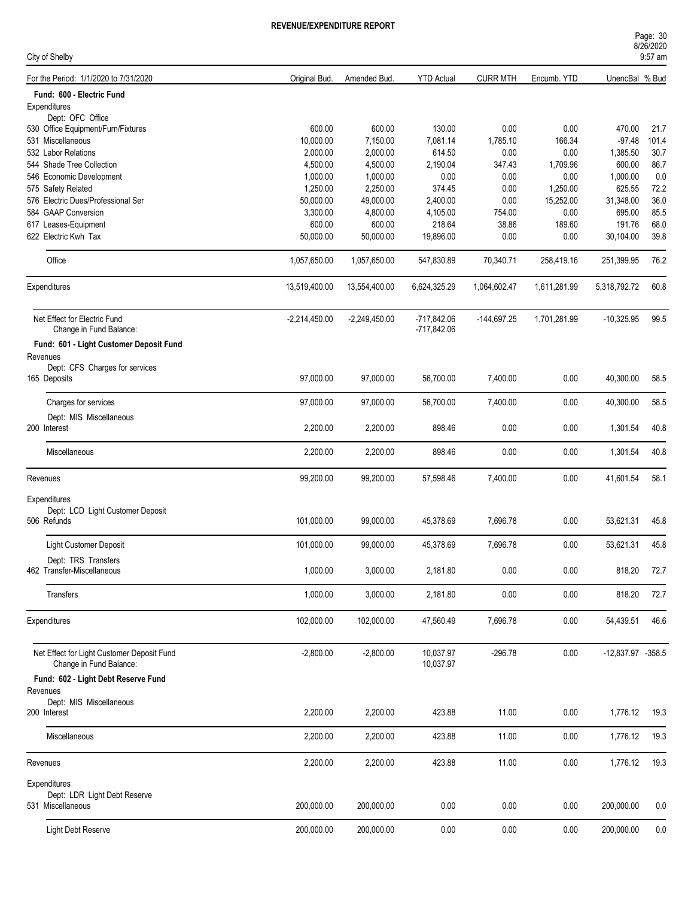| City of Shelby                                                        |                       |                       |                        |                 |                   |                     | 9:57 am       |
|-----------------------------------------------------------------------|-----------------------|-----------------------|------------------------|-----------------|-------------------|---------------------|---------------|
| For the Period: 1/1/2020 to 7/31/2020                                 | Original Bud.         | Amended Bud.          | <b>YTD Actual</b>      | <b>CURR MTH</b> | Encumb. YTD       | UnencBal % Bud      |               |
| Fund: 600 - Electric Fund                                             |                       |                       |                        |                 |                   |                     |               |
| Expenditures                                                          |                       |                       |                        |                 |                   |                     |               |
| Dept: OFC Office                                                      |                       |                       |                        |                 |                   |                     |               |
| 530 Office Equipment/Furn/Fixtures                                    | 600.00                | 600.00                | 130.00                 | 0.00            | 0.00              | 470.00<br>$-97.48$  | 21.7<br>101.4 |
| 531 Miscellaneous                                                     | 10,000.00             | 7,150.00              | 7,081.14               | 1,785.10        | 166.34            |                     | 30.7          |
| 532 Labor Relations                                                   | 2,000.00              | 2,000.00              | 614.50                 | 0.00            | 0.00              | 1,385.50            |               |
| 544 Shade Tree Collection                                             | 4,500.00              | 4,500.00              | 2,190.04               | 347.43          | 1,709.96          | 600.00              | 86.7          |
| 546 Economic Development                                              | 1,000.00<br>1,250.00  | 1,000.00              | 0.00                   | 0.00            | 0.00              | 1,000.00<br>625.55  | 0.0<br>72.2   |
| 575 Safety Related<br>576 Electric Dues/Professional Ser              |                       | 2,250.00              | 374.45                 | 0.00            | 1,250.00          |                     | 36.0          |
| 584 GAAP Conversion                                                   | 50,000.00<br>3,300.00 | 49,000.00<br>4,800.00 | 2,400.00<br>4,105.00   | 0.00<br>754.00  | 15,252.00<br>0.00 | 31,348.00<br>695.00 | 85.5          |
| 617 Leases-Equipment                                                  | 600.00                | 600.00                | 218.64                 | 38.86           | 189.60            | 191.76              | 68.0          |
| 622 Electric Kwh Tax                                                  | 50,000.00             | 50,000.00             | 19,896.00              | 0.00            | 0.00              | 30,104.00           | 39.8          |
|                                                                       |                       |                       |                        |                 |                   |                     |               |
| Office                                                                | 1,057,650.00          | 1,057,650.00          | 547,830.89             | 70,340.71       | 258,419.16        | 251,399.95          | 76.2          |
| Expenditures                                                          | 13,519,400.00         | 13,554,400.00         | 6,624,325.29           | 1,064,602.47    | 1,611,281.99      | 5,318,792.72        | 60.8          |
| Net Effect for Electric Fund                                          | $-2,214,450.00$       | $-2,249,450.00$       | -717,842.06            | $-144,697.25$   | 1,701,281.99      | $-10,325.95$        | 99.5          |
| Change in Fund Balance:                                               |                       |                       | $-717,842.06$          |                 |                   |                     |               |
| Fund: 601 - Light Customer Deposit Fund                               |                       |                       |                        |                 |                   |                     |               |
| Revenues                                                              |                       |                       |                        |                 |                   |                     |               |
| Dept: CFS Charges for services                                        |                       |                       |                        |                 |                   |                     |               |
| 165 Deposits                                                          | 97,000.00             | 97,000.00             | 56,700.00              | 7,400.00        | 0.00              | 40,300.00           | 58.5          |
| Charges for services                                                  | 97,000.00             | 97,000.00             | 56,700.00              | 7,400.00        | 0.00              | 40,300.00           | 58.5          |
| Dept: MIS Miscellaneous                                               |                       |                       |                        |                 |                   |                     |               |
| 200 Interest                                                          | 2,200.00              | 2,200.00              | 898.46                 | 0.00            | 0.00              | 1,301.54            | 40.8          |
|                                                                       |                       |                       |                        |                 |                   |                     |               |
| Miscellaneous                                                         | 2,200.00              | 2,200.00              | 898.46                 | 0.00            | 0.00              | 1,301.54            | 40.8          |
| Revenues                                                              | 99,200.00             | 99,200.00             | 57,598.46              | 7,400.00        | 0.00              | 41,601.54           | 58.1          |
| Expenditures                                                          |                       |                       |                        |                 |                   |                     |               |
| Dept: LCD Light Customer Deposit                                      |                       |                       |                        |                 |                   |                     |               |
| 506 Refunds                                                           | 101,000.00            | 99,000.00             | 45,378.69              | 7,696.78        | 0.00              | 53,621.31           | 45.8          |
|                                                                       |                       |                       |                        |                 |                   |                     |               |
| <b>Light Customer Deposit</b>                                         | 101,000.00            | 99,000.00             | 45,378.69              | 7,696.78        | 0.00              | 53,621.31           | 45.8          |
| Dept: TRS Transfers                                                   |                       |                       |                        |                 |                   |                     |               |
| 462 Transfer-Miscellaneous                                            | 1,000.00              | 3,000.00              | 2,181.80               | 0.00            | 0.00              | 818.20              | 72.7          |
|                                                                       |                       |                       |                        |                 |                   |                     |               |
| Transfers                                                             | 1,000.00              | 3,000.00              | 2,181.80               | 0.00            | 0.00              | 818.20              | 72.7          |
| Expenditures                                                          | 102,000.00            | 102,000.00            | 47,560.49              | 7,696.78        | 0.00              | 54,439.51           | 46.6          |
|                                                                       |                       |                       |                        |                 |                   |                     |               |
|                                                                       |                       |                       |                        |                 |                   |                     |               |
| Net Effect for Light Customer Deposit Fund<br>Change in Fund Balance: | $-2,800.00$           | $-2,800.00$           | 10,037.97<br>10,037.97 | $-296.78$       | 0.00              | -12,837.97 -358.5   |               |
|                                                                       |                       |                       |                        |                 |                   |                     |               |
| Fund: 602 - Light Debt Reserve Fund                                   |                       |                       |                        |                 |                   |                     |               |
| Revenues<br>Dept: MIS Miscellaneous                                   |                       |                       |                        |                 |                   |                     |               |
| 200 Interest                                                          | 2,200.00              | 2,200.00              | 423.88                 | 11.00           | 0.00              | 1,776.12            | 19.3          |
|                                                                       |                       |                       |                        |                 |                   |                     |               |
| Miscellaneous                                                         | 2,200.00              | 2,200.00              | 423.88                 | 11.00           | 0.00              | 1,776.12            | 19.3          |
| Revenues                                                              | 2,200.00              | 2,200.00              | 423.88                 | 11.00           | 0.00              | 1,776.12            | 19.3          |
|                                                                       |                       |                       |                        |                 |                   |                     |               |
| Expenditures                                                          |                       |                       |                        |                 |                   |                     |               |
| Dept: LDR Light Debt Reserve<br>531 Miscellaneous                     | 200,000.00            | 200,000.00            | 0.00                   | 0.00            | 0.00              | 200,000.00          | 0.0           |
|                                                                       |                       |                       |                        |                 |                   |                     |               |
| Light Debt Reserve                                                    | 200,000.00            | 200,000.00            | 0.00                   | 0.00            | 0.00              | 200,000.00          | $0.0\,$       |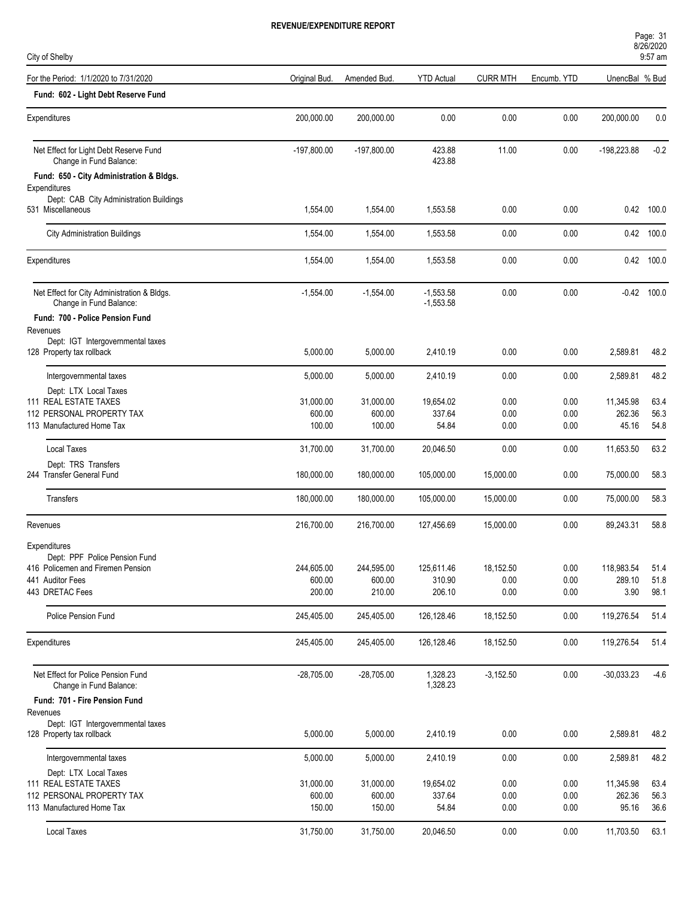| Page: 31  |  |
|-----------|--|
| 8/26/2020 |  |
| $9.57$ am |  |

| City of Shelby                                                         |                      |                      |                            |                   |              |                      | 9:57 am       |
|------------------------------------------------------------------------|----------------------|----------------------|----------------------------|-------------------|--------------|----------------------|---------------|
| For the Period: 1/1/2020 to 7/31/2020                                  | Original Bud.        | Amended Bud.         | <b>YTD Actual</b>          | <b>CURR MTH</b>   | Encumb. YTD  | UnencBal % Bud       |               |
| Fund: 602 - Light Debt Reserve Fund                                    |                      |                      |                            |                   |              |                      |               |
| Expenditures                                                           | 200,000.00           | 200,000.00           | 0.00                       | 0.00              | 0.00         | 200,000.00           | 0.0           |
| Net Effect for Light Debt Reserve Fund<br>Change in Fund Balance:      | $-197,800.00$        | $-197,800.00$        | 423.88<br>423.88           | 11.00             | 0.00         | -198,223.88          | $-0.2$        |
| Fund: 650 - City Administration & Bldgs.                               |                      |                      |                            |                   |              |                      |               |
| Expenditures<br>Dept: CAB City Administration Buildings                |                      |                      |                            |                   |              |                      |               |
| 531 Miscellaneous                                                      | 1,554.00             | 1,554.00             | 1,553.58                   | 0.00              | 0.00         |                      | 0.42 100.0    |
| <b>City Administration Buildings</b>                                   | 1,554.00             | 1,554.00             | 1,553.58                   | 0.00              | 0.00         |                      | 0.42 100.0    |
| Expenditures                                                           | 1,554.00             | 1,554.00             | 1,553.58                   | 0.00              | 0.00         |                      | 0.42 100.0    |
| Net Effect for City Administration & Bldgs.<br>Change in Fund Balance: | $-1,554.00$          | $-1,554.00$          | $-1,553.58$<br>$-1,553.58$ | 0.00              | 0.00         |                      | $-0.42$ 100.0 |
| Fund: 700 - Police Pension Fund<br>Revenues                            |                      |                      |                            |                   |              |                      |               |
| Dept: IGT Intergovernmental taxes                                      |                      |                      |                            |                   |              |                      |               |
| 128 Property tax rollback                                              | 5,000.00             | 5,000.00             | 2,410.19                   | 0.00              | 0.00         | 2,589.81             | 48.2          |
| Intergovernmental taxes                                                | 5,000.00             | 5,000.00             | 2,410.19                   | 0.00              | 0.00         | 2,589.81             | 48.2          |
| Dept: LTX Local Taxes                                                  |                      |                      |                            |                   |              |                      |               |
| 111 REAL ESTATE TAXES                                                  | 31,000.00            | 31,000.00            | 19,654.02                  | 0.00              | 0.00         | 11,345.98            | 63.4          |
| 112 PERSONAL PROPERTY TAX                                              | 600.00               | 600.00               | 337.64                     | 0.00              | 0.00         | 262.36               | 56.3          |
| 113 Manufactured Home Tax                                              | 100.00               | 100.00               | 54.84                      | 0.00              | 0.00         | 45.16                | 54.8          |
| <b>Local Taxes</b><br>Dept: TRS Transfers                              | 31,700.00            | 31,700.00            | 20,046.50                  | 0.00              | 0.00         | 11,653.50            | 63.2          |
| 244 Transfer General Fund                                              | 180,000.00           | 180,000.00           | 105,000.00                 | 15,000.00         | 0.00         | 75,000.00            | 58.3          |
| Transfers                                                              | 180,000.00           | 180,000.00           | 105,000.00                 | 15,000.00         | 0.00         | 75,000.00            | 58.3          |
| Revenues                                                               | 216,700.00           | 216,700.00           | 127,456.69                 | 15,000.00         | 0.00         | 89,243.31            | 58.8          |
| Expenditures                                                           |                      |                      |                            |                   |              |                      |               |
| Dept: PPF Police Pension Fund                                          |                      |                      |                            |                   |              |                      |               |
| 416 Policemen and Firemen Pension<br>441 Auditor Fees                  | 244,605.00<br>600.00 | 244,595.00<br>600.00 | 125,611.46<br>310.90       | 18,152.50<br>0.00 | 0.00<br>0.00 | 118,983.54<br>289.10 | 51.4<br>51.8  |
| 443 DRETAC Fees                                                        | 200.00               | 210.00               | 206.10                     | 0.00              | 0.00         | 3.90                 | 98.1          |
| <b>Police Pension Fund</b>                                             | 245,405.00           | 245,405.00           | 126,128.46                 | 18,152.50         | 0.00         | 119,276.54           | 51.4          |
| <b>Expenditures</b>                                                    | 245,405.00           | 245,405.00           | 126,128.46                 | 18,152.50         | 0.00         | 119,276.54           | 51.4          |
| Net Effect for Police Pension Fund<br>Change in Fund Balance:          | $-28,705.00$         | $-28,705.00$         | 1,328.23<br>1,328.23       | $-3,152.50$       | 0.00         | $-30,033.23$         | $-4.6$        |
| Fund: 701 - Fire Pension Fund                                          |                      |                      |                            |                   |              |                      |               |
| Revenues                                                               |                      |                      |                            |                   |              |                      |               |
| Dept: IGT Intergovernmental taxes<br>128 Property tax rollback         | 5,000.00             | 5,000.00             | 2,410.19                   | 0.00              | 0.00         | 2,589.81             | 48.2          |
| Intergovernmental taxes                                                | 5,000.00             | 5,000.00             | 2,410.19                   | 0.00              | 0.00         | 2,589.81             | 48.2          |
| Dept: LTX Local Taxes                                                  |                      |                      |                            |                   |              |                      |               |
| 111 REAL ESTATE TAXES                                                  | 31,000.00            | 31,000.00            | 19,654.02                  | 0.00              | 0.00         | 11,345.98            | 63.4          |
| 112 PERSONAL PROPERTY TAX                                              | 600.00               | 600.00               | 337.64                     | 0.00              | 0.00         | 262.36               | 56.3          |
| 113 Manufactured Home Tax                                              | 150.00               | 150.00               | 54.84                      | 0.00              | 0.00         | 95.16                | 36.6          |
| Local Taxes                                                            | 31,750.00            | 31,750.00            | 20,046.50                  | 0.00              | 0.00         | 11,703.50            | 63.1          |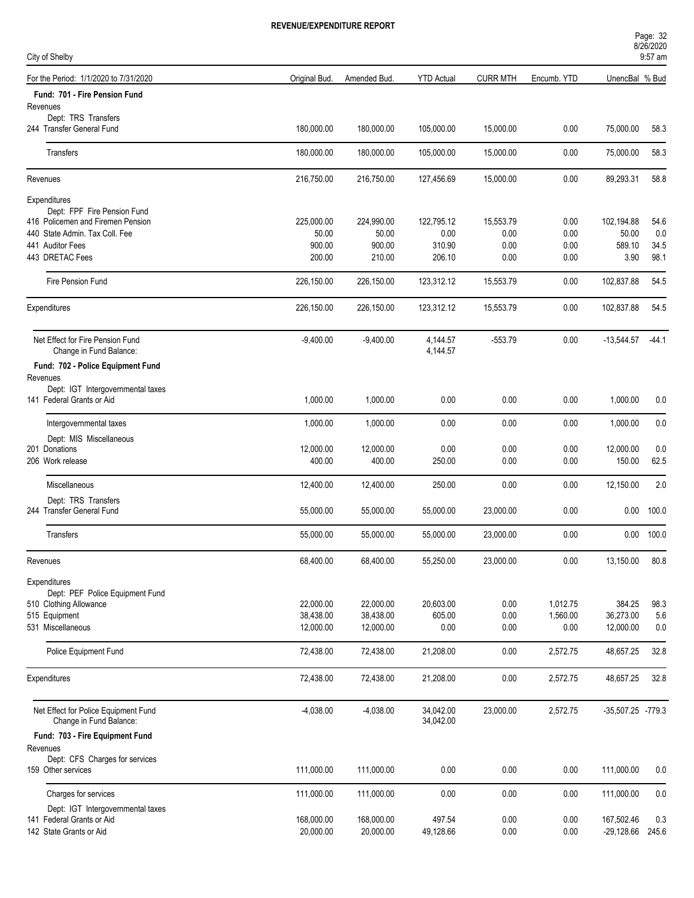| Page: 32  |  |
|-----------|--|
| 8/26/2020 |  |

| City of Shelby                                                  |               |              |                        |                 |             |                   | $9:57$ am |
|-----------------------------------------------------------------|---------------|--------------|------------------------|-----------------|-------------|-------------------|-----------|
| For the Period: 1/1/2020 to 7/31/2020                           | Original Bud. | Amended Bud. | <b>YTD Actual</b>      | <b>CURR MTH</b> | Encumb. YTD | UnencBal % Bud    |           |
| Fund: 701 - Fire Pension Fund                                   |               |              |                        |                 |             |                   |           |
| Revenues<br>Dept: TRS Transfers                                 |               |              |                        |                 |             |                   |           |
| 244 Transfer General Fund                                       | 180,000.00    | 180,000.00   | 105,000.00             | 15,000.00       | 0.00        | 75,000.00         | 58.3      |
| Transfers                                                       | 180,000.00    | 180,000.00   | 105,000.00             | 15,000.00       | 0.00        | 75,000.00         | 58.3      |
| Revenues                                                        | 216,750.00    | 216,750.00   | 127,456.69             | 15,000.00       | 0.00        | 89,293.31         | 58.8      |
| Expenditures                                                    |               |              |                        |                 |             |                   |           |
| Dept: FPF Fire Pension Fund                                     |               |              |                        |                 |             |                   |           |
| 416 Policemen and Firemen Pension                               | 225,000.00    | 224,990.00   | 122,795.12             | 15,553.79       | 0.00        | 102,194.88        | 54.6      |
| 440 State Admin. Tax Coll. Fee                                  | 50.00         | 50.00        | 0.00                   | 0.00            | 0.00        | 50.00             | 0.0       |
| 441 Auditor Fees                                                | 900.00        | 900.00       | 310.90                 | 0.00            | 0.00        | 589.10            | 34.5      |
| 443 DRETAC Fees                                                 | 200.00        | 210.00       | 206.10                 | 0.00            | 0.00        | 3.90              | 98.1      |
| Fire Pension Fund                                               | 226,150.00    | 226,150.00   | 123,312.12             | 15,553.79       | 0.00        | 102,837.88        | 54.5      |
| Expenditures                                                    | 226,150.00    | 226,150.00   | 123,312.12             | 15,553.79       | 0.00        | 102,837.88        | 54.5      |
| Net Effect for Fire Pension Fund                                | $-9,400.00$   | $-9,400.00$  | 4,144.57               | $-553.79$       | 0.00        | $-13,544.57$      | $-44.1$   |
| Change in Fund Balance:                                         |               |              | 4,144.57               |                 |             |                   |           |
| Fund: 702 - Police Equipment Fund<br>Revenues                   |               |              |                        |                 |             |                   |           |
| Dept: IGT Intergovernmental taxes                               |               |              |                        |                 |             |                   |           |
| 141 Federal Grants or Aid                                       | 1,000.00      | 1,000.00     | 0.00                   | 0.00            | 0.00        | 1,000.00          | 0.0       |
| Intergovernmental taxes                                         | 1,000.00      | 1,000.00     | 0.00                   | 0.00            | 0.00        | 1,000.00          | 0.0       |
| Dept: MIS Miscellaneous                                         |               |              |                        |                 |             |                   |           |
| 201 Donations                                                   | 12,000.00     | 12,000.00    | 0.00                   | 0.00            | 0.00        | 12,000.00         | 0.0       |
| 206 Work release                                                | 400.00        | 400.00       | 250.00                 | 0.00            | 0.00        | 150.00            | 62.5      |
| Miscellaneous                                                   | 12,400.00     | 12,400.00    | 250.00                 | 0.00            | 0.00        | 12,150.00         | 2.0       |
| Dept: TRS Transfers                                             |               |              |                        |                 |             |                   |           |
| 244 Transfer General Fund                                       | 55,000.00     | 55,000.00    | 55,000.00              | 23,000.00       | 0.00        | 0.00              | 100.0     |
| Transfers                                                       | 55,000.00     | 55,000.00    | 55,000.00              | 23,000.00       | 0.00        | 0.00              | 100.0     |
| Revenues                                                        | 68,400.00     | 68,400.00    | 55,250.00              | 23,000.00       | 0.00        | 13,150.00         | 80.8      |
| Expenditures                                                    |               |              |                        |                 |             |                   |           |
| Dept: PEF Police Equipment Fund                                 |               |              |                        |                 |             |                   |           |
| 510 Clothing Allowance                                          | 22,000.00     | 22,000.00    | 20,603.00              | 0.00            | 1,012.75    | 384.25            | 98.3      |
| 515 Equipment                                                   | 38,438.00     | 38,438.00    | 605.00                 | 0.00            | 1,560.00    | 36,273.00         | 5.6       |
| 531 Miscellaneous                                               | 12,000.00     | 12,000.00    | 0.00                   | 0.00            | $0.00\,$    | 12,000.00         | 0.0       |
| Police Equipment Fund                                           | 72,438.00     | 72,438.00    | 21,208.00              | 0.00            | 2,572.75    | 48,657.25         | 32.8      |
| Expenditures                                                    | 72,438.00     | 72,438.00    | 21,208.00              | 0.00            | 2,572.75    | 48,657.25         | 32.8      |
| Net Effect for Police Equipment Fund<br>Change in Fund Balance: | $-4,038.00$   | $-4,038.00$  | 34,042.00<br>34,042.00 | 23,000.00       | 2,572.75    | -35,507.25 -779.3 |           |
| Fund: 703 - Fire Equipment Fund                                 |               |              |                        |                 |             |                   |           |
| Revenues                                                        |               |              |                        |                 |             |                   |           |
| Dept: CFS Charges for services                                  |               |              |                        |                 |             |                   |           |
| 159 Other services                                              | 111,000.00    | 111,000.00   | 0.00                   | 0.00            | 0.00        | 111,000.00        | 0.0       |
| Charges for services                                            | 111,000.00    | 111,000.00   | 0.00                   | 0.00            | 0.00        | 111,000.00        | 0.0       |
| Dept: IGT Intergovernmental taxes                               |               |              |                        |                 |             |                   |           |
| 141 Federal Grants or Aid                                       | 168,000.00    | 168,000.00   | 497.54                 | 0.00            | 0.00        | 167,502.46        | 0.3       |
| 142 State Grants or Aid                                         | 20,000.00     | 20,000.00    | 49,128.66              | 0.00            | 0.00        | -29,128.66 245.6  |           |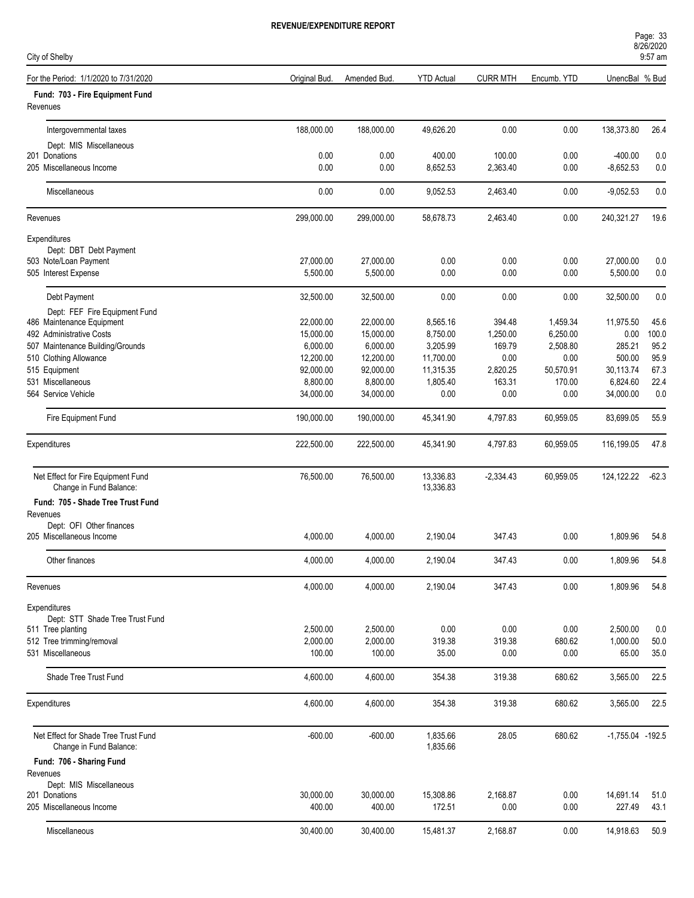| Page: 33  |  |
|-----------|--|
| 8/26/2020 |  |

| City of Shelby                                                  | 9:57 am       |              |                        |                 |             |                      |         |
|-----------------------------------------------------------------|---------------|--------------|------------------------|-----------------|-------------|----------------------|---------|
| For the Period: 1/1/2020 to 7/31/2020                           | Original Bud. | Amended Bud. | <b>YTD Actual</b>      | <b>CURR MTH</b> | Encumb. YTD | UnencBal % Bud       |         |
| Fund: 703 - Fire Equipment Fund<br>Revenues                     |               |              |                        |                 |             |                      |         |
| Intergovernmental taxes                                         | 188,000.00    | 188,000.00   | 49,626.20              | 0.00            | 0.00        | 138,373.80           | 26.4    |
| Dept: MIS Miscellaneous                                         |               |              |                        |                 |             |                      |         |
| 201 Donations                                                   | 0.00          | 0.00         | 400.00                 | 100.00          | 0.00        | $-400.00$            | 0.0     |
| 205 Miscellaneous Income                                        | 0.00          | 0.00         | 8,652.53               | 2,363.40        | 0.00        | $-8,652.53$          | 0.0     |
| Miscellaneous                                                   | 0.00          | 0.00         | 9,052.53               | 2,463.40        | 0.00        | $-9,052.53$          | 0.0     |
| Revenues                                                        | 299,000.00    | 299,000.00   | 58,678.73              | 2,463.40        | 0.00        | 240,321.27           | 19.6    |
| Expenditures                                                    |               |              |                        |                 |             |                      |         |
| Dept: DBT Debt Payment                                          |               |              |                        |                 |             |                      |         |
| 503 Note/Loan Payment                                           | 27,000.00     | 27,000.00    | 0.00                   | 0.00            | 0.00        | 27,000.00            | 0.0     |
| 505 Interest Expense                                            | 5,500.00      | 5,500.00     | 0.00                   | 0.00            | 0.00        | 5,500.00             | 0.0     |
| Debt Payment                                                    | 32,500.00     | 32,500.00    | 0.00                   | 0.00            | 0.00        | 32,500.00            | 0.0     |
| Dept: FEF Fire Equipment Fund                                   |               |              |                        |                 |             |                      |         |
| 486 Maintenance Equipment                                       | 22,000.00     | 22,000.00    | 8,565.16               | 394.48          | 1,459.34    | 11,975.50            | 45.6    |
| 492 Administrative Costs                                        | 15,000.00     | 15,000.00    | 8,750.00               | 1,250.00        | 6,250.00    | 0.00                 | 100.0   |
| 507 Maintenance Building/Grounds                                | 6,000.00      | 6,000.00     | 3,205.99               | 169.79          | 2,508.80    | 285.21               | 95.2    |
| 510 Clothing Allowance                                          | 12,200.00     | 12,200.00    | 11,700.00              | 0.00            | 0.00        | 500.00               | 95.9    |
| 515 Equipment                                                   | 92,000.00     | 92,000.00    | 11,315.35              | 2,820.25        | 50,570.91   | 30,113.74            | 67.3    |
| 531 Miscellaneous                                               | 8,800.00      | 8,800.00     | 1,805.40               | 163.31          | 170.00      | 6,824.60             | 22.4    |
| 564 Service Vehicle                                             | 34,000.00     | 34,000.00    | 0.00                   | 0.00            | 0.00        | 34,000.00            | 0.0     |
| Fire Equipment Fund                                             | 190,000.00    | 190,000.00   | 45,341.90              | 4,797.83        | 60,959.05   | 83,699.05            | 55.9    |
| Expenditures                                                    | 222,500.00    | 222,500.00   | 45,341.90              | 4,797.83        | 60,959.05   | 116,199.05           | 47.8    |
| Net Effect for Fire Equipment Fund<br>Change in Fund Balance:   | 76,500.00     | 76,500.00    | 13,336.83<br>13,336.83 | $-2,334.43$     | 60,959.05   | 124,122.22           | $-62.3$ |
| Fund: 705 - Shade Tree Trust Fund                               |               |              |                        |                 |             |                      |         |
| Revenues                                                        |               |              |                        |                 |             |                      |         |
| Dept: OFI Other finances                                        |               |              |                        |                 |             |                      |         |
| 205 Miscellaneous Income                                        | 4,000.00      | 4,000.00     | 2,190.04               | 347.43          | 0.00        | 1,809.96             | 54.8    |
| Other finances                                                  | 4,000.00      | 4,000.00     | 2,190.04               | 347.43          | 0.00        | 1,809.96             | 54.8    |
| Revenues                                                        | 4,000.00      | 4,000.00     | 2,190.04               | 347.43          | 0.00        | 1,809.96             | 54.8    |
| Expenditures                                                    |               |              |                        |                 |             |                      |         |
| Dept: STT Shade Tree Trust Fund                                 |               |              |                        |                 |             |                      |         |
| 511 Tree planting                                               | 2,500.00      | 2,500.00     | 0.00                   | 0.00            | 0.00        | 2,500.00             | 0.0     |
| 512 Tree trimming/removal                                       | 2,000.00      | 2,000.00     | 319.38                 | 319.38          | 680.62      | 1,000.00             | 50.0    |
| 531 Miscellaneous                                               | 100.00        | 100.00       | 35.00                  | 0.00            | 0.00        | 65.00                | 35.0    |
| Shade Tree Trust Fund                                           | 4,600.00      | 4,600.00     | 354.38                 | 319.38          | 680.62      | 3,565.00             | 22.5    |
| Expenditures                                                    | 4,600.00      | 4,600.00     | 354.38                 | 319.38          | 680.62      | 3,565.00             | 22.5    |
| Net Effect for Shade Tree Trust Fund<br>Change in Fund Balance: | $-600.00$     | $-600.00$    | 1,835.66<br>1,835.66   | 28.05           | 680.62      | $-1,755.04$ $-192.5$ |         |
| Fund: 706 - Sharing Fund                                        |               |              |                        |                 |             |                      |         |
| Revenues                                                        |               |              |                        |                 |             |                      |         |
| Dept: MIS Miscellaneous                                         |               |              |                        |                 |             |                      |         |
| 201 Donations                                                   | 30,000.00     | 30,000.00    | 15,308.86              | 2,168.87        | 0.00        | 14,691.14            | 51.0    |
| 205 Miscellaneous Income                                        | 400.00        | 400.00       | 172.51                 | 0.00            | 0.00        | 227.49               | 43.1    |
| Miscellaneous                                                   | 30,400.00     | 30,400.00    | 15,481.37              | 2,168.87        | 0.00        | 14,918.63            | 50.9    |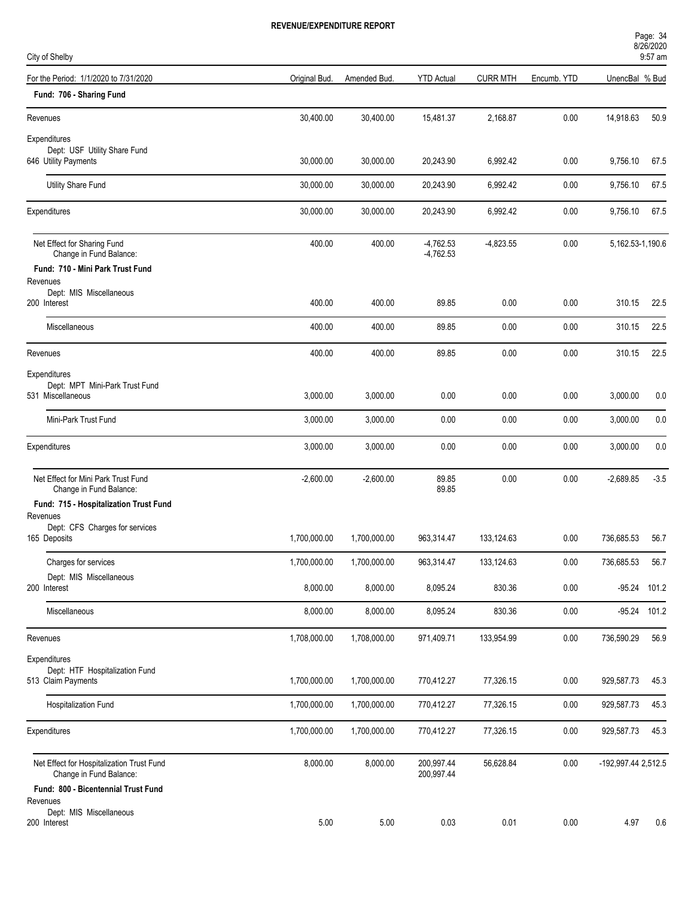| Page: 34  |  |
|-----------|--|
| 8/26/2020 |  |
|           |  |

| City of Shelby                                                       |               |              |                            |                 |             |                     | $9:57$ am |
|----------------------------------------------------------------------|---------------|--------------|----------------------------|-----------------|-------------|---------------------|-----------|
| For the Period: 1/1/2020 to 7/31/2020                                | Original Bud. | Amended Bud. | <b>YTD Actual</b>          | <b>CURR MTH</b> | Encumb. YTD | UnencBal % Bud      |           |
| Fund: 706 - Sharing Fund                                             |               |              |                            |                 |             |                     |           |
| Revenues                                                             | 30,400.00     | 30,400.00    | 15,481.37                  | 2,168.87        | 0.00        | 14,918.63           | 50.9      |
| Expenditures                                                         |               |              |                            |                 |             |                     |           |
| Dept: USF Utility Share Fund<br>646 Utility Payments                 | 30,000.00     | 30,000.00    | 20,243.90                  | 6,992.42        | 0.00        | 9,756.10            | 67.5      |
| Utility Share Fund                                                   | 30,000.00     | 30,000.00    | 20,243.90                  | 6,992.42        | 0.00        | 9,756.10            | 67.5      |
| Expenditures                                                         | 30,000.00     | 30,000.00    | 20,243.90                  | 6,992.42        | 0.00        | 9,756.10            | 67.5      |
| Net Effect for Sharing Fund<br>Change in Fund Balance:               | 400.00        | 400.00       | $-4,762.53$<br>$-4,762.53$ | $-4,823.55$     | 0.00        | 5,162.53-1,190.6    |           |
| Fund: 710 - Mini Park Trust Fund                                     |               |              |                            |                 |             |                     |           |
| Revenues<br>Dept: MIS Miscellaneous                                  |               |              |                            |                 |             |                     |           |
| 200 Interest                                                         | 400.00        | 400.00       | 89.85                      | 0.00            | 0.00        | 310.15              | 22.5      |
| Miscellaneous                                                        | 400.00        | 400.00       | 89.85                      | 0.00            | 0.00        | 310.15              | 22.5      |
| Revenues                                                             | 400.00        | 400.00       | 89.85                      | 0.00            | 0.00        | 310.15              | 22.5      |
| Expenditures                                                         |               |              |                            |                 |             |                     |           |
| Dept: MPT Mini-Park Trust Fund<br>531 Miscellaneous                  | 3,000.00      | 3,000.00     | 0.00                       | 0.00            | 0.00        | 3,000.00            | 0.0       |
| Mini-Park Trust Fund                                                 | 3,000.00      | 3,000.00     | 0.00                       | 0.00            | 0.00        | 3,000.00            | 0.0       |
| Expenditures                                                         | 3,000.00      | 3,000.00     | 0.00                       | 0.00            | 0.00        | 3,000.00            | 0.0       |
| Net Effect for Mini Park Trust Fund<br>Change in Fund Balance:       | $-2,600.00$   | $-2,600.00$  | 89.85<br>89.85             | 0.00            | 0.00        | $-2,689.85$         | $-3.5$    |
| Fund: 715 - Hospitalization Trust Fund                               |               |              |                            |                 |             |                     |           |
| Revenues<br>Dept: CFS Charges for services                           |               |              |                            |                 |             |                     |           |
| 165 Deposits                                                         | 1,700,000.00  | 1,700,000.00 | 963,314.47                 | 133,124.63      | 0.00        | 736,685.53          | 56.7      |
| Charges for services                                                 | 1,700,000.00  | 1,700,000.00 | 963,314.47                 | 133,124.63      | 0.00        | 736,685.53          | 56.7      |
| Dept: MIS Miscellaneous<br>200 Interest                              | 8,000.00      | 8,000.00     | 8,095.24                   | 830.36          | 0.00        | $-95.24$ 101.2      |           |
| Miscellaneous                                                        | 8,000.00      | 8,000.00     | 8,095.24                   | 830.36          | 0.00        | -95.24 101.2        |           |
| Revenues                                                             | 1,708,000.00  | 1,708,000.00 | 971,409.71                 | 133,954.99      | 0.00        | 736,590.29          | 56.9      |
| Expenditures                                                         |               |              |                            |                 |             |                     |           |
| Dept: HTF Hospitalization Fund                                       |               |              |                            |                 |             |                     |           |
| 513 Claim Payments                                                   | 1,700,000.00  | 1,700,000.00 | 770,412.27                 | 77,326.15       | 0.00        | 929,587.73          | 45.3      |
| Hospitalization Fund                                                 | 1,700,000.00  | 1,700,000.00 | 770,412.27                 | 77,326.15       | 0.00        | 929,587.73          | 45.3      |
| Expenditures                                                         | 1,700,000.00  | 1,700,000.00 | 770,412.27                 | 77,326.15       | 0.00        | 929,587.73          | 45.3      |
| Net Effect for Hospitalization Trust Fund<br>Change in Fund Balance: | 8,000.00      | 8,000.00     | 200,997.44<br>200,997.44   | 56,628.84       | 0.00        | -192,997.44 2,512.5 |           |
| Fund: 800 - Bicentennial Trust Fund                                  |               |              |                            |                 |             |                     |           |
| Revenues<br>Dept: MIS Miscellaneous                                  |               |              |                            |                 |             |                     |           |
| 200 Interest                                                         | 5.00          | $5.00$       | 0.03                       | 0.01            | 0.00        | 4.97                | 0.6       |